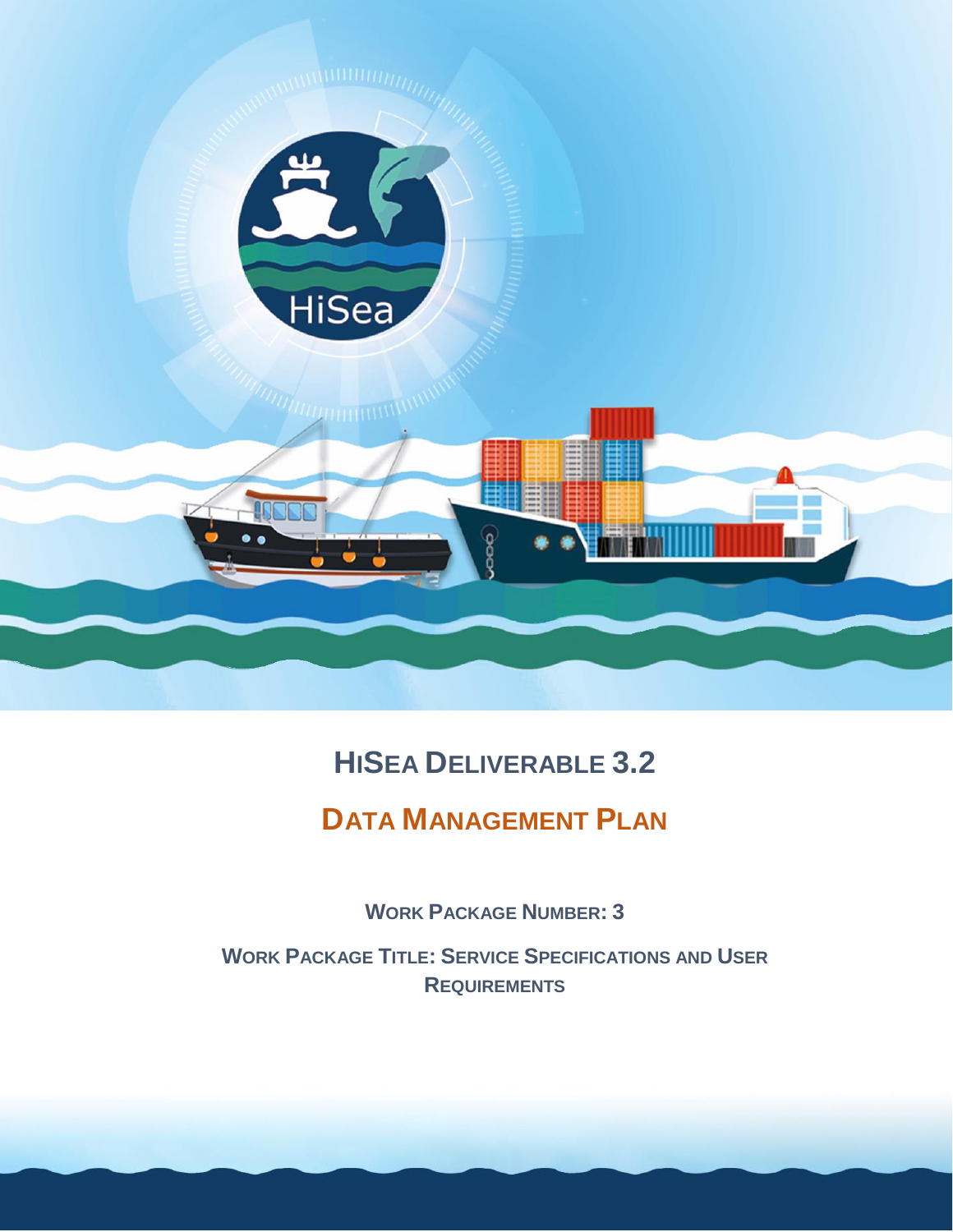

# **HISEA DELIVERABLE 3.2**

# **DATA MANAGEMENT PLAN**

**WORK PACKAGE NUMBER: 3**

**WORK PACKAGE TITLE: SERVICE SPECIFICATIONS AND USER REQUIREMENTS**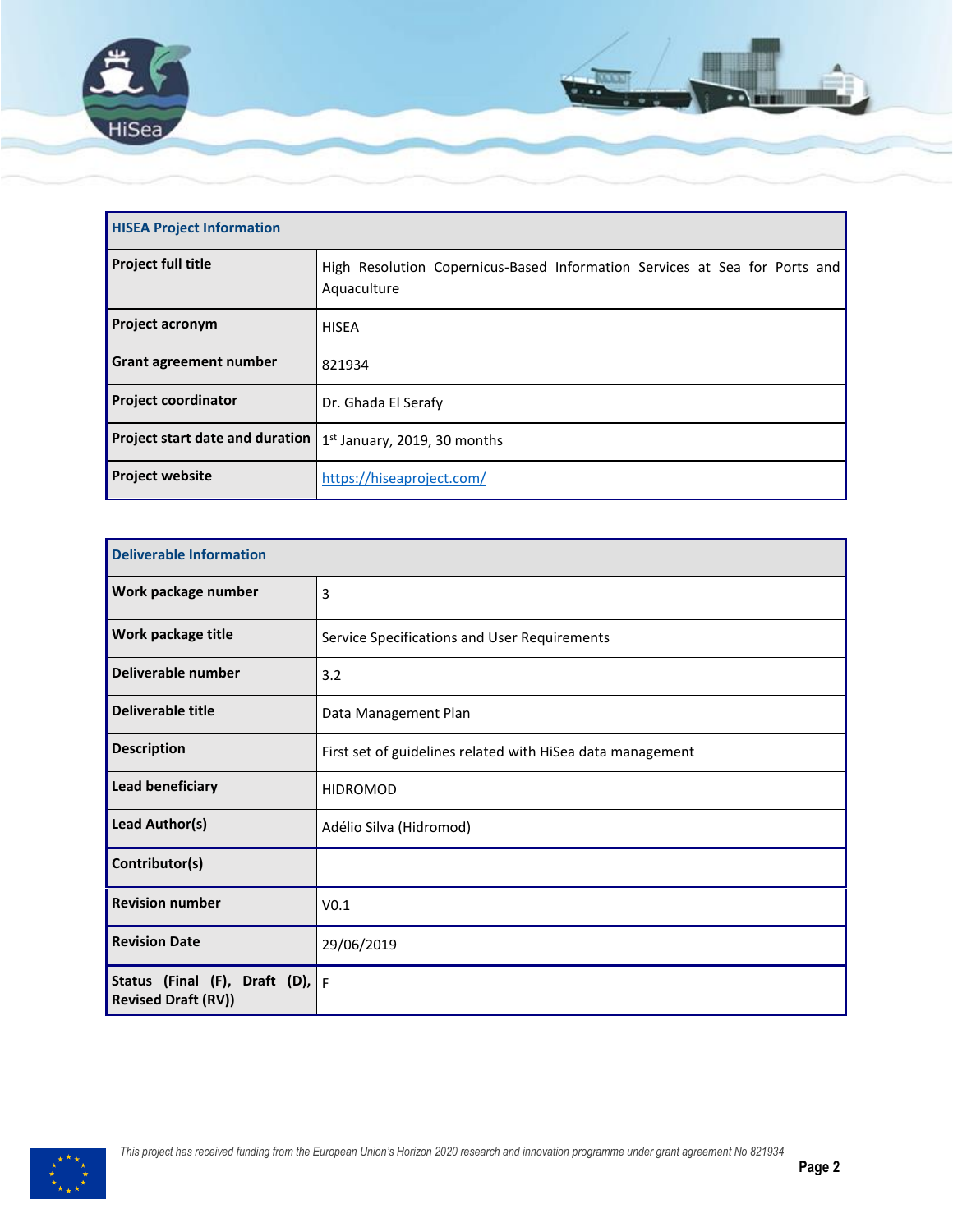

| <b>HISEA Project Information</b> |                                                                                           |  |  |
|----------------------------------|-------------------------------------------------------------------------------------------|--|--|
| <b>Project full title</b>        | High Resolution Copernicus-Based Information Services at Sea for Ports and<br>Aquaculture |  |  |
| Project acronym                  | <b>HISEA</b>                                                                              |  |  |
| Grant agreement number           | 821934                                                                                    |  |  |
| <b>Project coordinator</b>       | Dr. Ghada El Serafy                                                                       |  |  |
| Project start date and duration  | $1st$ January, 2019, 30 months                                                            |  |  |
| <b>Project website</b>           | https://hiseaproject.com/                                                                 |  |  |

| <b>Deliverable Information</b>                                  |                                                            |  |
|-----------------------------------------------------------------|------------------------------------------------------------|--|
| Work package number                                             | 3                                                          |  |
| Work package title                                              | Service Specifications and User Requirements               |  |
| Deliverable number                                              | 3.2                                                        |  |
| Deliverable title                                               | Data Management Plan                                       |  |
| <b>Description</b>                                              | First set of guidelines related with HiSea data management |  |
| Lead beneficiary                                                | <b>HIDROMOD</b>                                            |  |
| Lead Author(s)                                                  | Adélio Silva (Hidromod)                                    |  |
| Contributor(s)                                                  |                                                            |  |
| <b>Revision number</b>                                          | V <sub>0.1</sub>                                           |  |
| <b>Revision Date</b>                                            | 29/06/2019                                                 |  |
| Status (Final (F), Draft (D), $F$<br><b>Revised Draft (RV))</b> |                                                            |  |

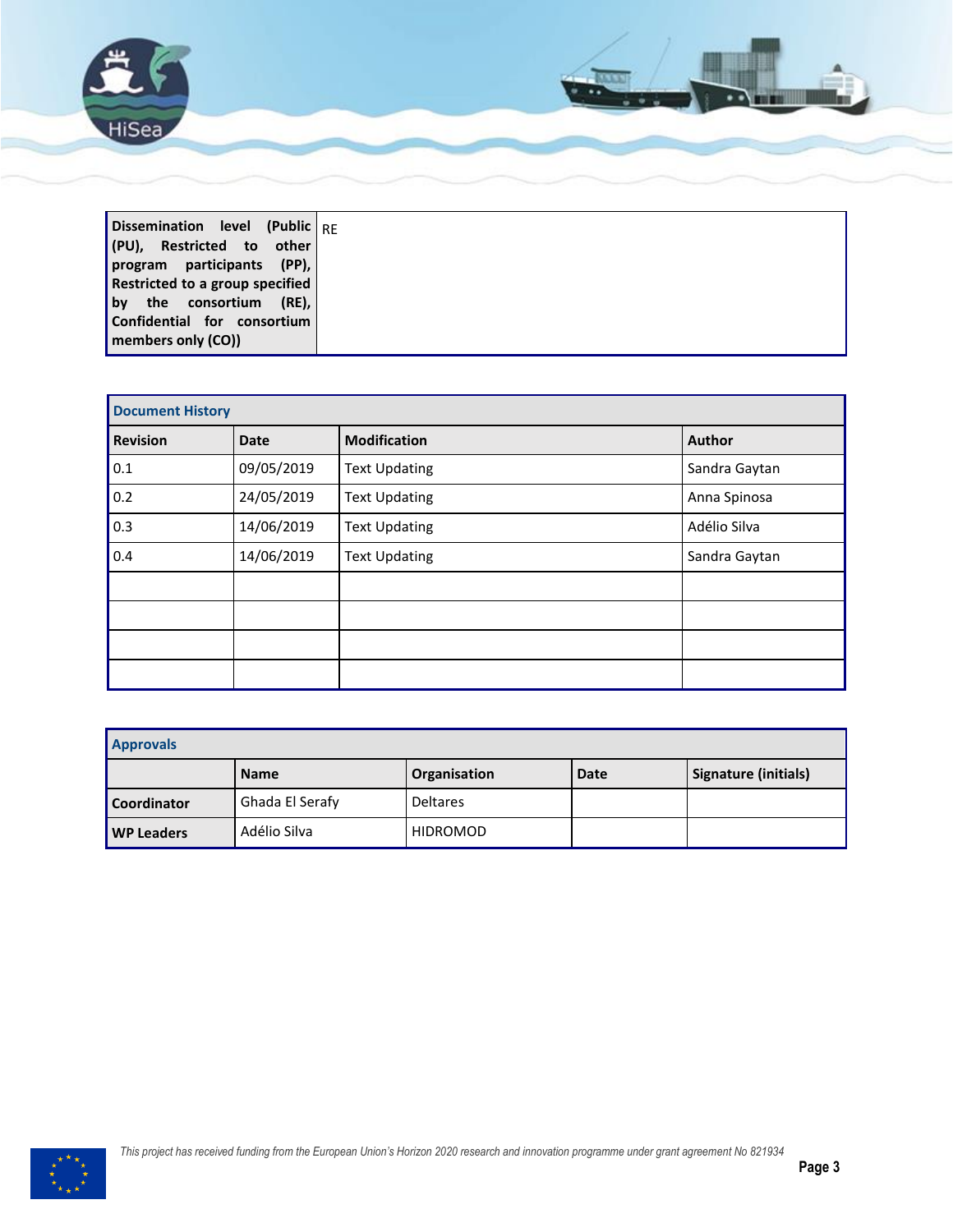

| Dissemination level (Public RF  |  |
|---------------------------------|--|
| (PU), Restricted to other       |  |
| program participants (PP),      |  |
| Restricted to a group specified |  |
| l bv<br>(RE),<br>the consortium |  |
| Confidential for consortium     |  |
| members only (CO))              |  |

| <b>Document History</b> |             |                      |               |
|-------------------------|-------------|----------------------|---------------|
| Revision                | <b>Date</b> | <b>Modification</b>  | <b>Author</b> |
| 0.1                     | 09/05/2019  | <b>Text Updating</b> | Sandra Gaytan |
| $\boxed{0.2}$           | 24/05/2019  | <b>Text Updating</b> | Anna Spinosa  |
| $ _{0.3}$               | 14/06/2019  | <b>Text Updating</b> | Adélio Silva  |
| 0.4                     | 14/06/2019  | <b>Text Updating</b> | Sandra Gaytan |
|                         |             |                      |               |
|                         |             |                      |               |
|                         |             |                      |               |
|                         |             |                      |               |

| <b>Approvals</b>  |                 |                 |             |                      |
|-------------------|-----------------|-----------------|-------------|----------------------|
|                   | <b>Name</b>     | Organisation    | <b>Date</b> | Signature (initials) |
| Coordinator       | Ghada El Serafy | <b>Deltares</b> |             |                      |
| <b>WP Leaders</b> | Adélio Silva    | <b>HIDROMOD</b> |             |                      |

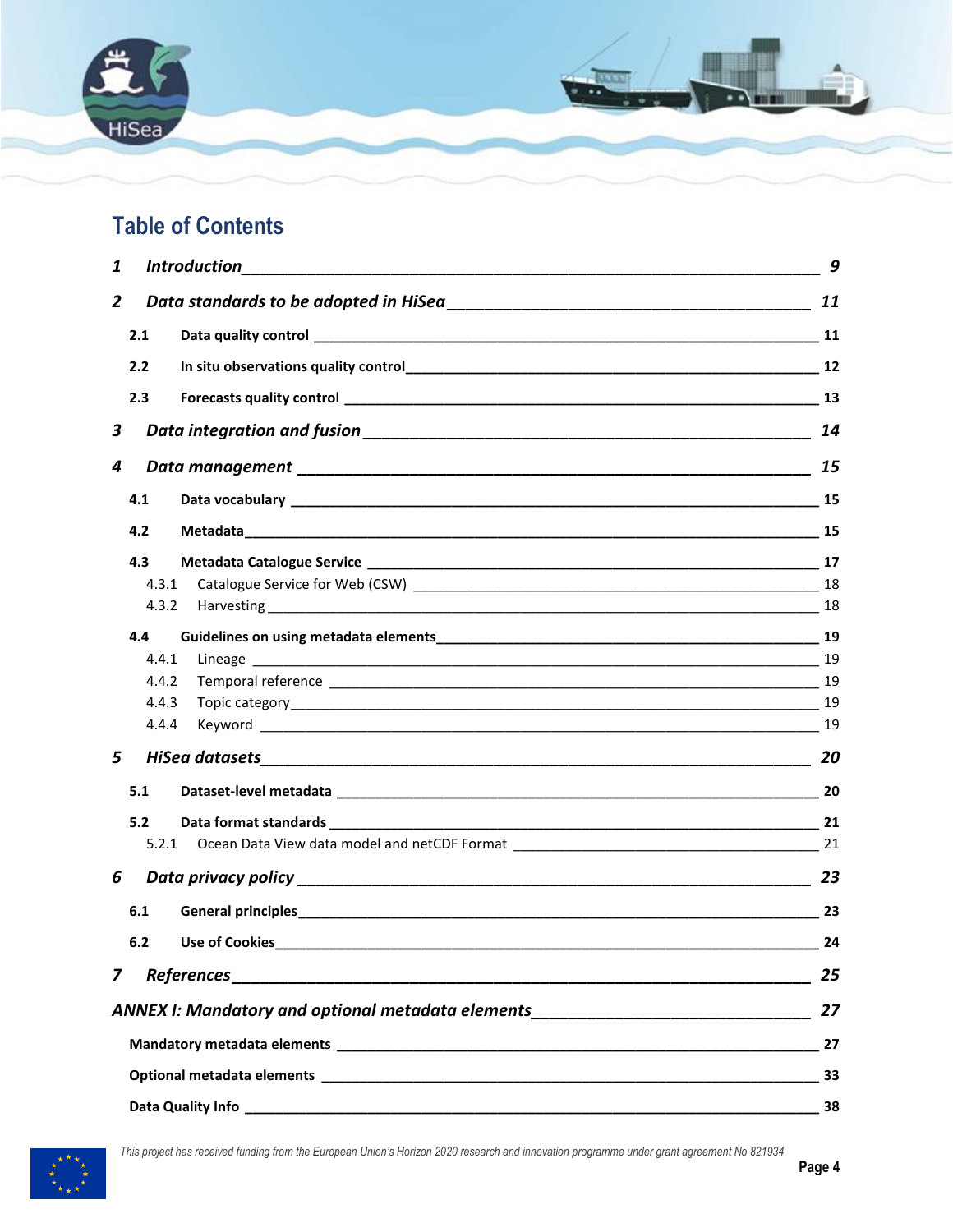

# **Table of Contents**

| 1              |       | <b>Introduction</b>                                                              | 9  |
|----------------|-------|----------------------------------------------------------------------------------|----|
| $\overline{2}$ |       |                                                                                  | 11 |
|                | 2.1   |                                                                                  |    |
|                | 2.2   |                                                                                  |    |
|                |       |                                                                                  |    |
|                | 2.3   |                                                                                  |    |
| 3              |       |                                                                                  | 14 |
| 4              |       |                                                                                  | 15 |
|                | 4.1   |                                                                                  |    |
|                | 4.2   |                                                                                  |    |
|                | 4.3   |                                                                                  |    |
|                | 4.3.1 |                                                                                  |    |
|                | 4.3.2 |                                                                                  |    |
|                | 4.4   |                                                                                  |    |
|                | 4.4.1 |                                                                                  |    |
|                | 4.4.2 |                                                                                  |    |
|                | 4.4.3 |                                                                                  |    |
|                | 4.4.4 |                                                                                  |    |
| 5              |       |                                                                                  | 20 |
|                | 5.1   |                                                                                  |    |
|                | 5.2   | Data format standards                                                            |    |
|                | 5.2.1 |                                                                                  |    |
| 6              |       |                                                                                  | 23 |
|                | 6.1   |                                                                                  |    |
|                | 6.2   | <b>Use of Cookies</b>                                                            | 24 |
| Z              |       |                                                                                  | 25 |
|                |       | ANNEX I: Mandatory and optional metadata elements_______________________________ | 27 |
|                |       |                                                                                  |    |
|                |       |                                                                                  |    |
|                |       |                                                                                  | 38 |
|                |       |                                                                                  |    |

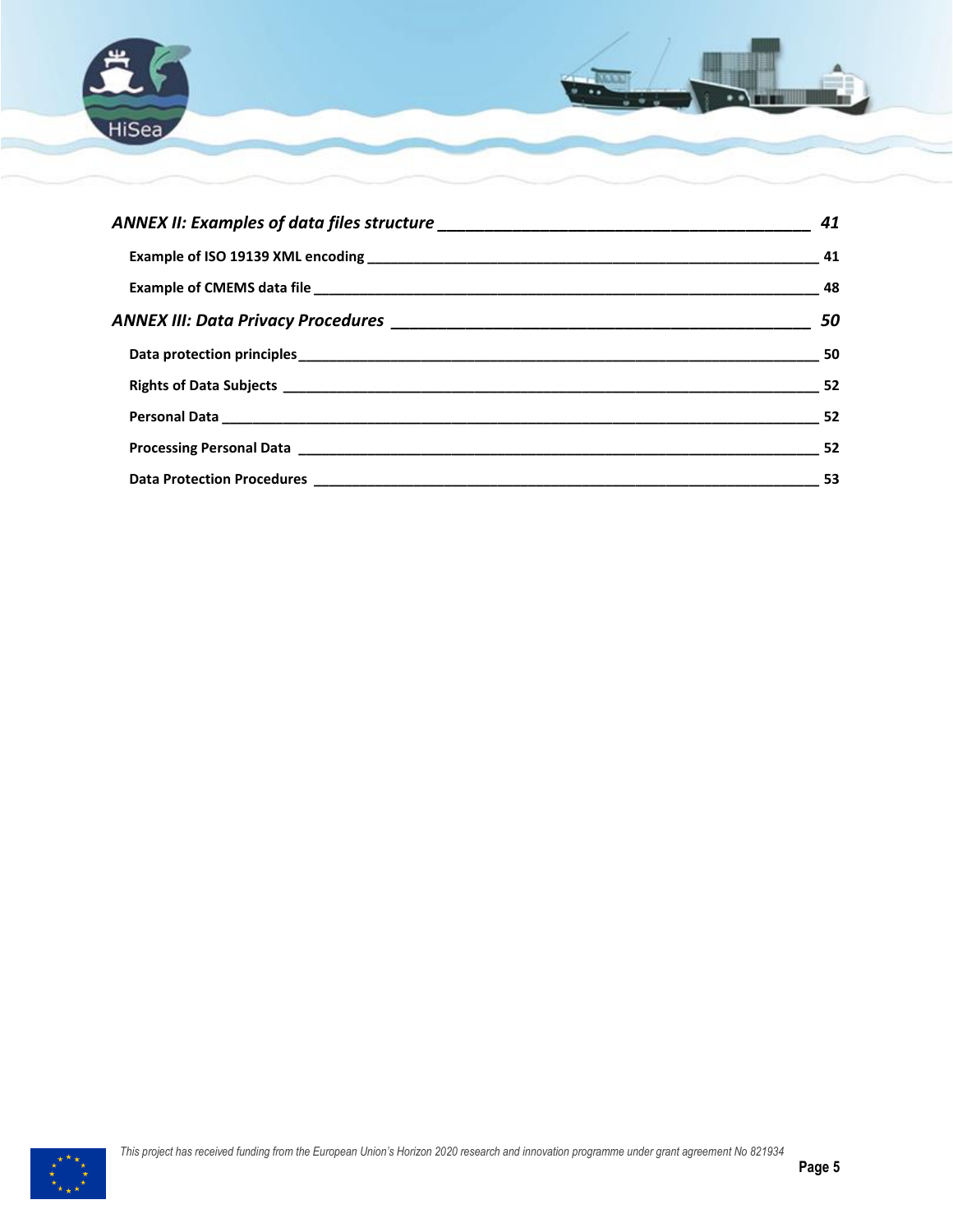

| 41 |
|----|
|    |
|    |
|    |
|    |
|    |
|    |
|    |
|    |

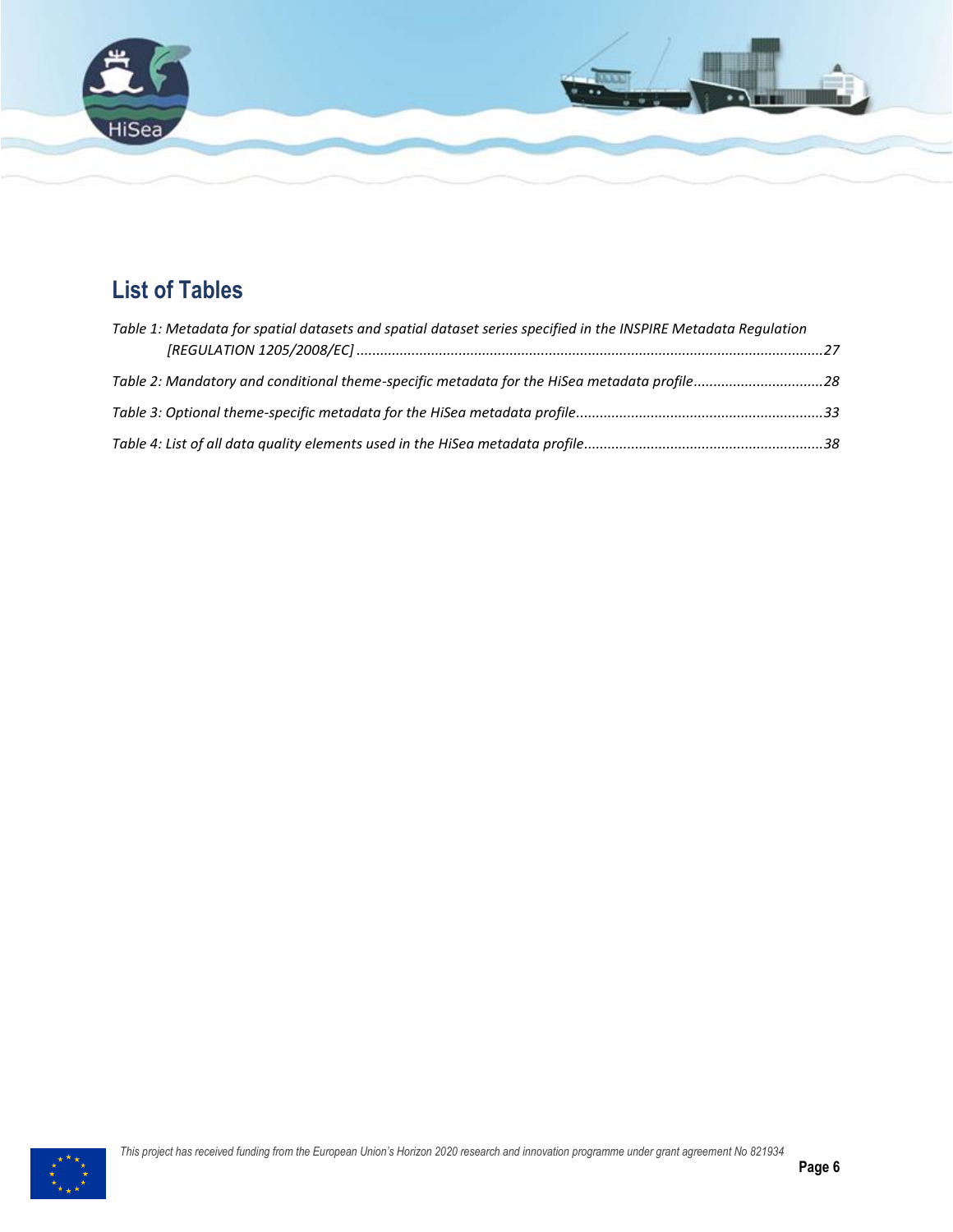

# **List of Tables**

| Table 1: Metadata for spatial datasets and spatial dataset series specified in the INSPIRE Metadata Regulation |  |
|----------------------------------------------------------------------------------------------------------------|--|
|                                                                                                                |  |
| Table 2: Mandatory and conditional theme-specific metadata for the HiSea metadata profile28                    |  |
|                                                                                                                |  |
|                                                                                                                |  |

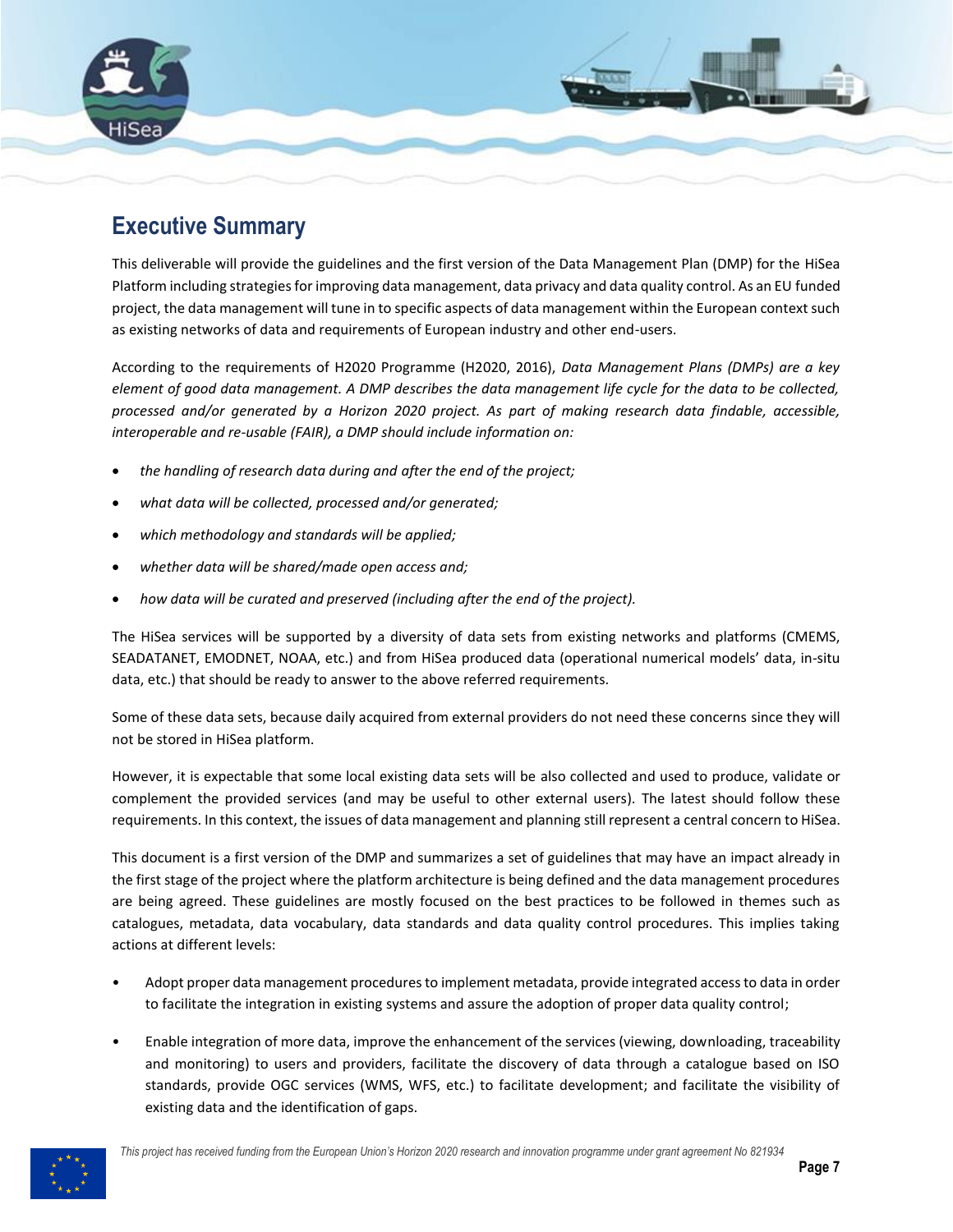

# **Executive Summary**

This deliverable will provide the guidelines and the first version of the Data Management Plan (DMP) for the HiSea Platform including strategies for improving data management, data privacy and data quality control. As an EU funded project, the data management will tune in to specific aspects of data management within the European context such as existing networks of data and requirements of European industry and other end-users.

According to the requirements of H2020 Programme (H2020, 2016), *Data Management Plans (DMPs) are a key element of good data management. A DMP describes the data management life cycle for the data to be collected, processed and/or generated by a Horizon 2020 project. As part of making research data findable, accessible, interoperable and re-usable (FAIR), a DMP should include information on:*

- *the handling of research data during and after the end of the project;*
- *what data will be collected, processed and/or generated;*
- *which methodology and standards will be applied;*
- *whether data will be shared/made open access and;*
- *how data will be curated and preserved (including after the end of the project).*

The HiSea services will be supported by a diversity of data sets from existing networks and platforms (CMEMS, SEADATANET, EMODNET, NOAA, etc.) and from HiSea produced data (operational numerical models' data, in-situ data, etc.) that should be ready to answer to the above referred requirements.

Some of these data sets, because daily acquired from external providers do not need these concerns since they will not be stored in HiSea platform.

However, it is expectable that some local existing data sets will be also collected and used to produce, validate or complement the provided services (and may be useful to other external users). The latest should follow these requirements. In this context, the issues of data management and planning still represent a central concern to HiSea.

This document is a first version of the DMP and summarizes a set of guidelines that may have an impact already in the first stage of the project where the platform architecture is being defined and the data management procedures are being agreed. These guidelines are mostly focused on the best practices to be followed in themes such as catalogues, metadata, data vocabulary, data standards and data quality control procedures. This implies taking actions at different levels:

- Adopt proper data management procedures to implement metadata, provide integrated access to data in order to facilitate the integration in existing systems and assure the adoption of proper data quality control;
- Enable integration of more data, improve the enhancement of the services (viewing, downloading, traceability and monitoring) to users and providers, facilitate the discovery of data through a catalogue based on ISO standards, provide OGC services (WMS, WFS, etc.) to facilitate development; and facilitate the visibility of existing data and the identification of gaps.

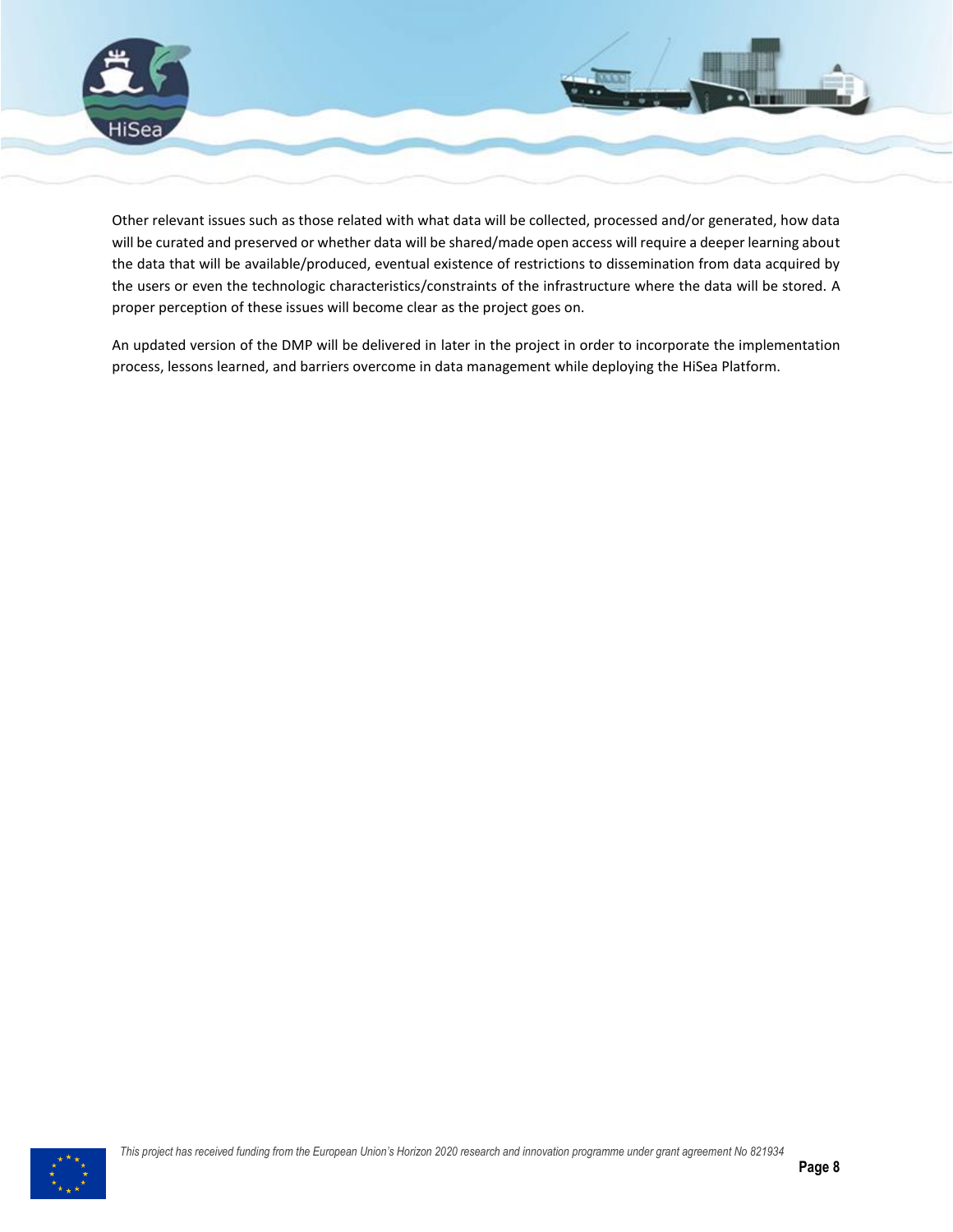

Other relevant issues such as those related with what data will be collected, processed and/or generated, how data will be curated and preserved or whether data will be shared/made open access will require a deeper learning about the data that will be available/produced, eventual existence of restrictions to dissemination from data acquired by the users or even the technologic characteristics/constraints of the infrastructure where the data will be stored. A proper perception of these issues will become clear as the project goes on.

An updated version of the DMP will be delivered in later in the project in order to incorporate the implementation process, lessons learned, and barriers overcome in data management while deploying the HiSea Platform.

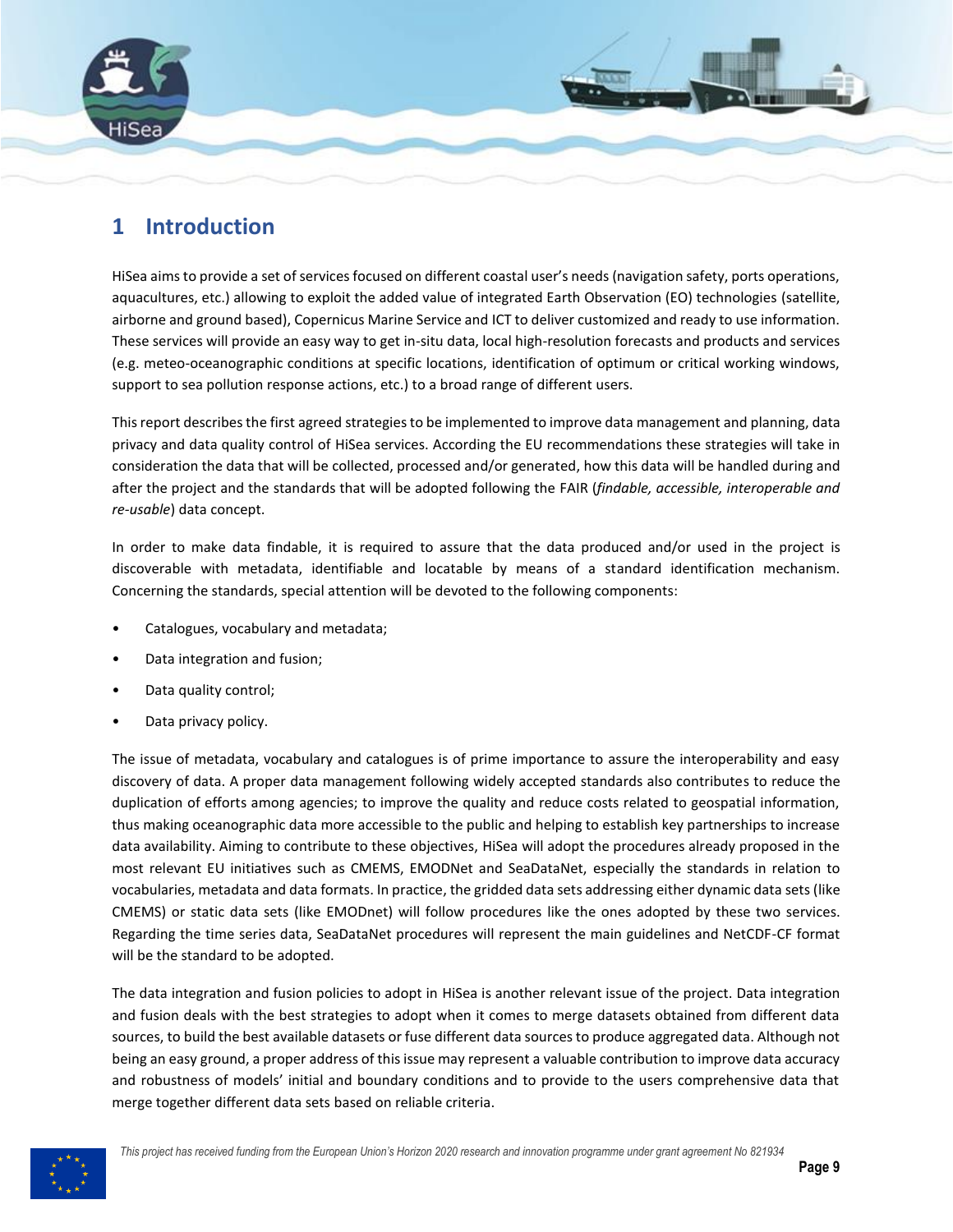

# <span id="page-8-0"></span>**1 Introduction**

HiSea aims to provide a set of services focused on different coastal user's needs (navigation safety, ports operations, aquacultures, etc.) allowing to exploit the added value of integrated Earth Observation (EO) technologies (satellite, airborne and ground based), Copernicus Marine Service and ICT to deliver customized and ready to use information. These services will provide an easy way to get in-situ data, local high-resolution forecasts and products and services (e.g. meteo-oceanographic conditions at specific locations, identification of optimum or critical working windows, support to sea pollution response actions, etc.) to a broad range of different users.

This report describes the first agreed strategies to be implemented to improve data management and planning, data privacy and data quality control of HiSea services. According the EU recommendations these strategies will take in consideration the data that will be collected, processed and/or generated, how this data will be handled during and after the project and the standards that will be adopted following the FAIR (*findable, accessible, interoperable and re-usable*) data concept.

In order to make data findable, it is required to assure that the data produced and/or used in the project is discoverable with metadata, identifiable and locatable by means of a standard identification mechanism. Concerning the standards, special attention will be devoted to the following components:

- Catalogues, vocabulary and metadata;
- Data integration and fusion;
- Data quality control;
- Data privacy policy.

The issue of metadata, vocabulary and catalogues is of prime importance to assure the interoperability and easy discovery of data. A proper data management following widely accepted standards also contributes to reduce the duplication of efforts among agencies; to improve the quality and reduce costs related to geospatial information, thus making oceanographic data more accessible to the public and helping to establish key partnerships to increase data availability. Aiming to contribute to these objectives, HiSea will adopt the procedures already proposed in the most relevant EU initiatives such as CMEMS, EMODNet and SeaDataNet, especially the standards in relation to vocabularies, metadata and data formats. In practice, the gridded data sets addressing either dynamic data sets (like CMEMS) or static data sets (like EMODnet) will follow procedures like the ones adopted by these two services. Regarding the time series data, SeaDataNet procedures will represent the main guidelines and NetCDF-CF format will be the standard to be adopted.

The data integration and fusion policies to adopt in HiSea is another relevant issue of the project. Data integration and fusion deals with the best strategies to adopt when it comes to merge datasets obtained from different data sources, to build the best available datasets or fuse different data sources to produce aggregated data. Although not being an easy ground, a proper address of this issue may represent a valuable contribution to improve data accuracy and robustness of models' initial and boundary conditions and to provide to the users comprehensive data that merge together different data sets based on reliable criteria.

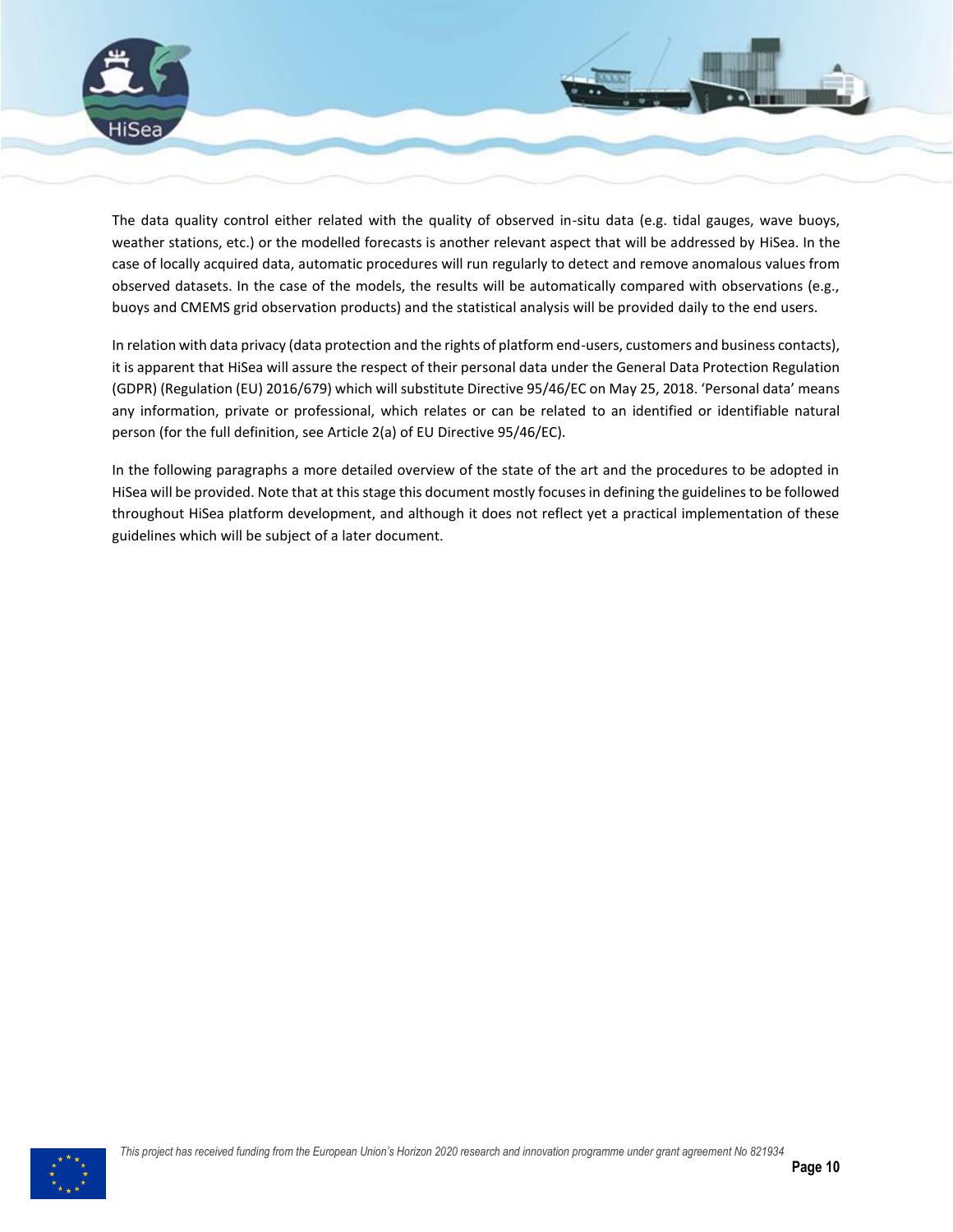

The data quality control either related with the quality of observed in-situ data (e.g. tidal gauges, wave buoys, weather stations, etc.) or the modelled forecasts is another relevant aspect that will be addressed by HiSea. In the case of locally acquired data, automatic procedures will run regularly to detect and remove anomalous values from observed datasets. In the case of the models, the results will be automatically compared with observations (e.g., buoys and CMEMS grid observation products) and the statistical analysis will be provided daily to the end users.

In relation with data privacy (data protection and the rights of platform end-users, customers and business contacts), it is apparent that HiSea will assure the respect of their personal data under the General Data Protection Regulation (GDPR) (Regulation (EU) 2016/679) which will substitute Directive 95/46/EC on May 25, 2018. 'Personal data' means any information, private or professional, which relates or can be related to an identified or identifiable natural person (for the full definition, see Article 2(a) of EU Directive 95/46/EC).

In the following paragraphs a more detailed overview of the state of the art and the procedures to be adopted in HiSea will be provided. Note that at this stage this document mostly focuses in defining the guidelines to be followed throughout HiSea platform development, and although it does not reflect yet a practical implementation of these guidelines which will be subject of a later document.

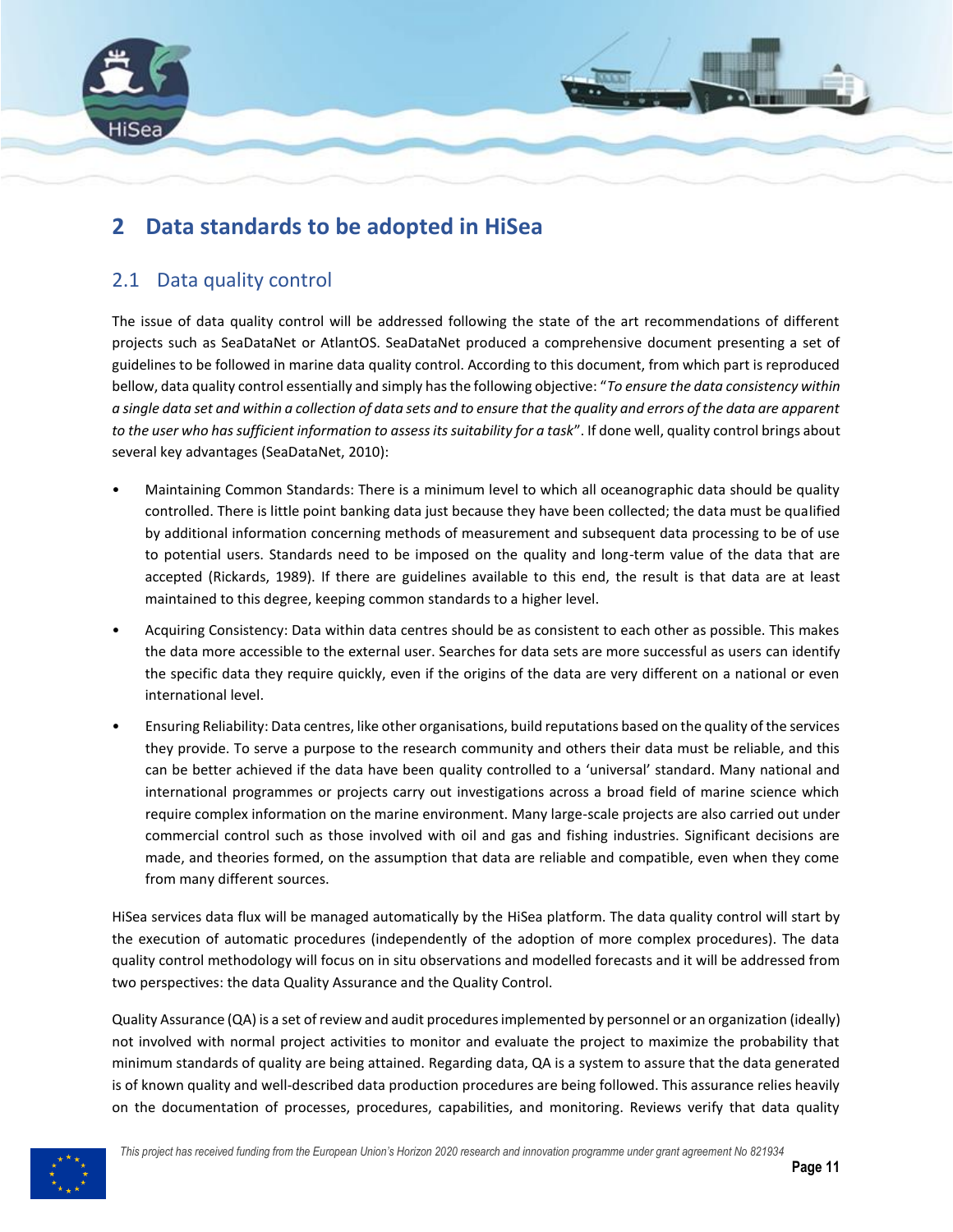

# <span id="page-10-0"></span>**2 Data standards to be adopted in HiSea**

### <span id="page-10-1"></span>2.1 Data quality control

The issue of data quality control will be addressed following the state of the art recommendations of different projects such as SeaDataNet or AtlantOS. SeaDataNet produced a comprehensive document presenting a set of guidelines to be followed in marine data quality control. According to this document, from which part is reproduced bellow, data quality control essentially and simply has the following objective: "*To ensure the data consistency within a single data set and within a collection of data sets and to ensure that the quality and errors of the data are apparent to the user who has sufficient information to assess its suitability for a task*". If done well, quality control brings about several key advantages (SeaDataNet, 2010):

- Maintaining Common Standards: There is a minimum level to which all oceanographic data should be quality controlled. There is little point banking data just because they have been collected; the data must be qualified by additional information concerning methods of measurement and subsequent data processing to be of use to potential users. Standards need to be imposed on the quality and long-term value of the data that are accepted (Rickards, 1989). If there are guidelines available to this end, the result is that data are at least maintained to this degree, keeping common standards to a higher level.
- Acquiring Consistency: Data within data centres should be as consistent to each other as possible. This makes the data more accessible to the external user. Searches for data sets are more successful as users can identify the specific data they require quickly, even if the origins of the data are very different on a national or even international level.
- Ensuring Reliability: Data centres, like other organisations, build reputations based on the quality of the services they provide. To serve a purpose to the research community and others their data must be reliable, and this can be better achieved if the data have been quality controlled to a 'universal' standard. Many national and international programmes or projects carry out investigations across a broad field of marine science which require complex information on the marine environment. Many large-scale projects are also carried out under commercial control such as those involved with oil and gas and fishing industries. Significant decisions are made, and theories formed, on the assumption that data are reliable and compatible, even when they come from many different sources.

HiSea services data flux will be managed automatically by the HiSea platform. The data quality control will start by the execution of automatic procedures (independently of the adoption of more complex procedures). The data quality control methodology will focus on in situ observations and modelled forecasts and it will be addressed from two perspectives: the data Quality Assurance and the Quality Control.

Quality Assurance (QA) is a set of review and audit procedures implemented by personnel or an organization (ideally) not involved with normal project activities to monitor and evaluate the project to maximize the probability that minimum standards of quality are being attained. Regarding data, QA is a system to assure that the data generated is of known quality and well-described data production procedures are being followed. This assurance relies heavily on the documentation of processes, procedures, capabilities, and monitoring. Reviews verify that data quality

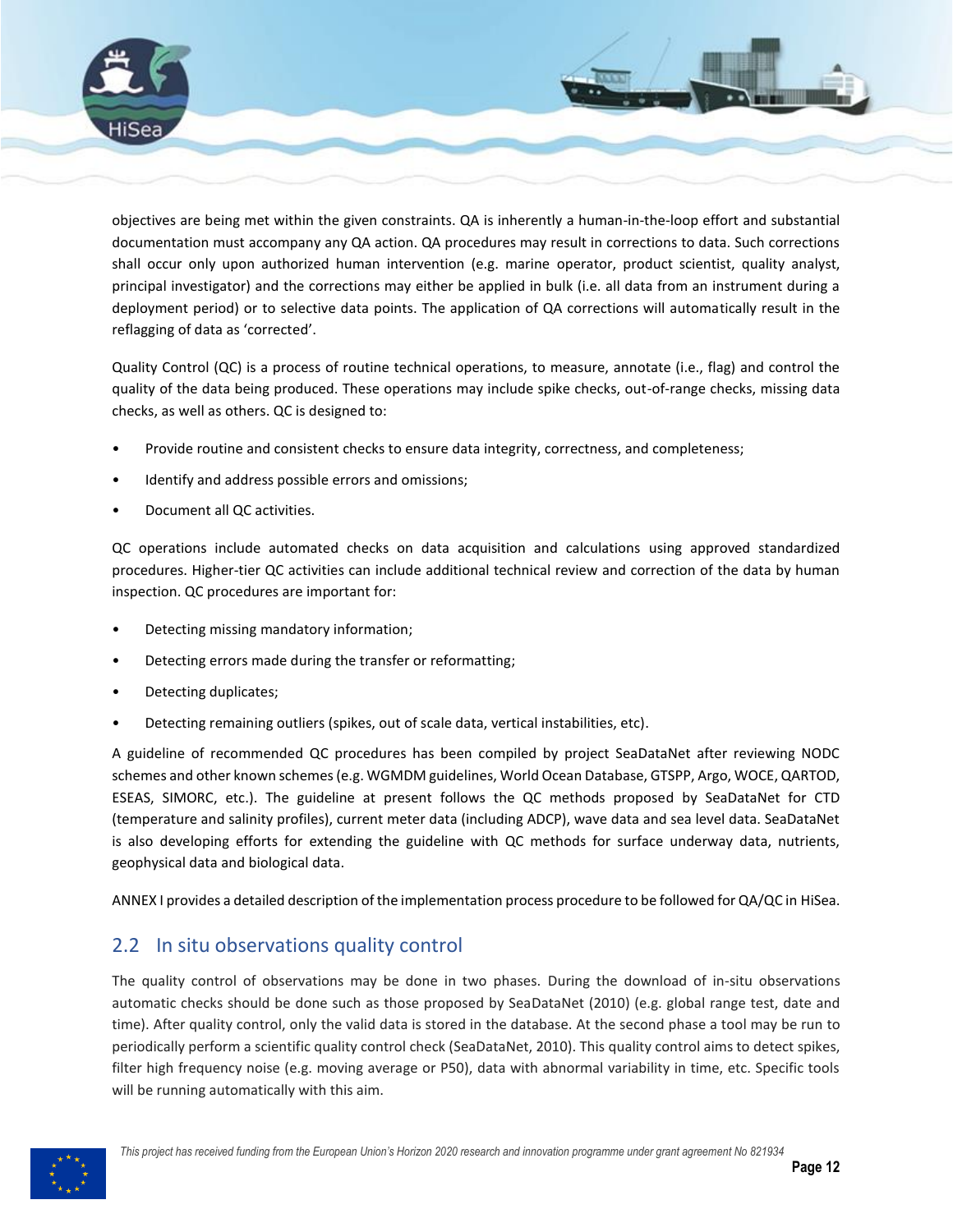

objectives are being met within the given constraints. QA is inherently a human-in-the-loop effort and substantial documentation must accompany any QA action. QA procedures may result in corrections to data. Such corrections shall occur only upon authorized human intervention (e.g. marine operator, product scientist, quality analyst, principal investigator) and the corrections may either be applied in bulk (i.e. all data from an instrument during a deployment period) or to selective data points. The application of QA corrections will automatically result in the reflagging of data as 'corrected'.

Quality Control (QC) is a process of routine technical operations, to measure, annotate (i.e., flag) and control the quality of the data being produced. These operations may include spike checks, out-of-range checks, missing data checks, as well as others. QC is designed to:

- Provide routine and consistent checks to ensure data integrity, correctness, and completeness;
- Identify and address possible errors and omissions;
- Document all QC activities.

QC operations include automated checks on data acquisition and calculations using approved standardized procedures. Higher-tier QC activities can include additional technical review and correction of the data by human inspection. QC procedures are important for:

- Detecting missing mandatory information;
- Detecting errors made during the transfer or reformatting;
- Detecting duplicates;
- Detecting remaining outliers (spikes, out of scale data, vertical instabilities, etc).

A guideline of recommended QC procedures has been compiled by project SeaDataNet after reviewing NODC schemes and other known schemes (e.g. WGMDM guidelines, World Ocean Database, GTSPP, Argo, WOCE, QARTOD, ESEAS, SIMORC, etc.). The guideline at present follows the QC methods proposed by SeaDataNet for CTD (temperature and salinity profiles), current meter data (including ADCP), wave data and sea level data. SeaDataNet is also developing efforts for extending the guideline with QC methods for surface underway data, nutrients, geophysical data and biological data.

ANNEX I provides a detailed description of the implementation process procedure to be followed for QA/QC in HiSea.

### <span id="page-11-0"></span>2.2 In situ observations quality control

The quality control of observations may be done in two phases. During the download of in-situ observations automatic checks should be done such as those proposed by SeaDataNet (2010) (e.g. global range test, date and time). After quality control, only the valid data is stored in the database. At the second phase a tool may be run to periodically perform a scientific quality control check (SeaDataNet, 2010). This quality control aims to detect spikes, filter high frequency noise (e.g. moving average or P50), data with abnormal variability in time, etc. Specific tools will be running automatically with this aim.

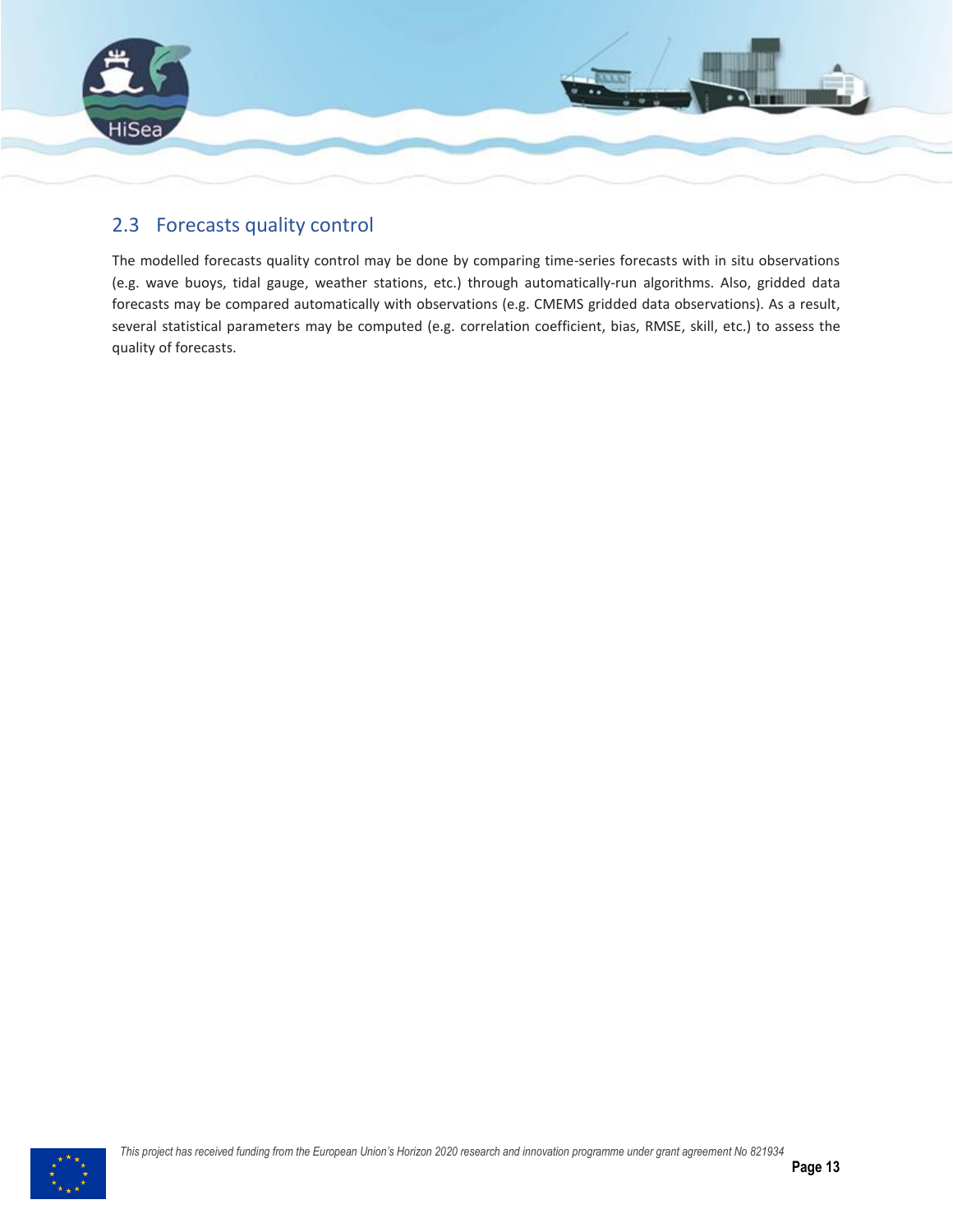

# <span id="page-12-0"></span>2.3 Forecasts quality control

The modelled forecasts quality control may be done by comparing time-series forecasts with in situ observations (e.g. wave buoys, tidal gauge, weather stations, etc.) through automatically-run algorithms. Also, gridded data forecasts may be compared automatically with observations (e.g. CMEMS gridded data observations). As a result, several statistical parameters may be computed (e.g. correlation coefficient, bias, RMSE, skill, etc.) to assess the quality of forecasts.

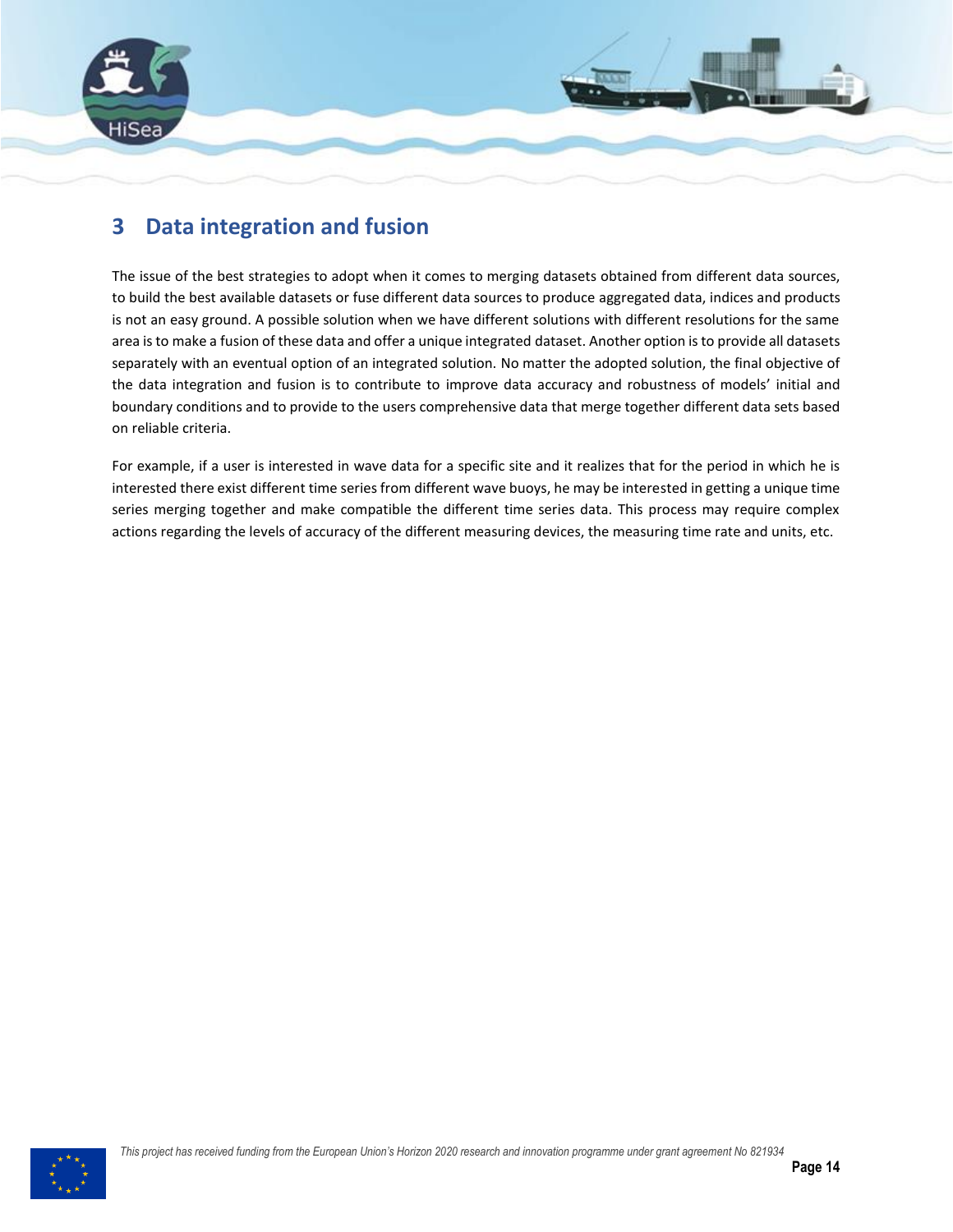

# <span id="page-13-0"></span>**3 Data integration and fusion**

The issue of the best strategies to adopt when it comes to merging datasets obtained from different data sources, to build the best available datasets or fuse different data sources to produce aggregated data, indices and products is not an easy ground. A possible solution when we have different solutions with different resolutions for the same area is to make a fusion of these data and offer a unique integrated dataset. Another option is to provide all datasets separately with an eventual option of an integrated solution. No matter the adopted solution, the final objective of the data integration and fusion is to contribute to improve data accuracy and robustness of models' initial and boundary conditions and to provide to the users comprehensive data that merge together different data sets based on reliable criteria.

For example, if a user is interested in wave data for a specific site and it realizes that for the period in which he is interested there exist different time series from different wave buoys, he may be interested in getting a unique time series merging together and make compatible the different time series data. This process may require complex actions regarding the levels of accuracy of the different measuring devices, the measuring time rate and units, etc.

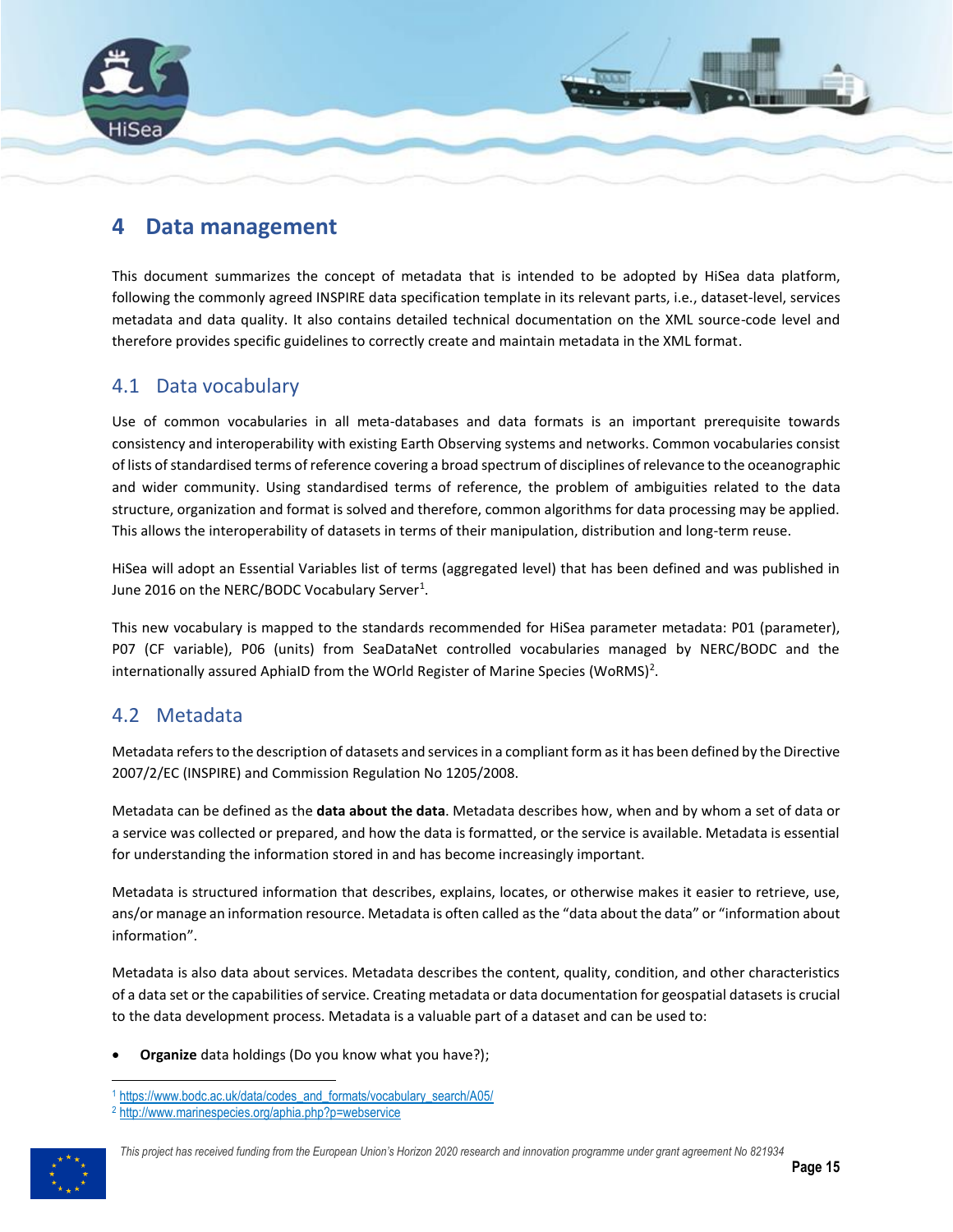

### <span id="page-14-0"></span>**4 Data management**

This document summarizes the concept of metadata that is intended to be adopted by HiSea data platform, following the commonly agreed INSPIRE data specification template in its relevant parts, i.e., dataset-level, services metadata and data quality. It also contains detailed technical documentation on the XML source-code level and therefore provides specific guidelines to correctly create and maintain metadata in the XML format.

### <span id="page-14-1"></span>4.1 Data vocabulary

Use of common vocabularies in all meta-databases and data formats is an important prerequisite towards consistency and interoperability with existing Earth Observing systems and networks. Common vocabularies consist of lists of standardised terms of reference covering a broad spectrum of disciplines of relevance to the oceanographic and wider community. Using standardised terms of reference, the problem of ambiguities related to the data structure, organization and format is solved and therefore, common algorithms for data processing may be applied. This allows the interoperability of datasets in terms of their manipulation, distribution and long-term reuse.

HiSea will adopt an Essential Variables list of terms (aggregated level) that has been defined and was published in June 2016 on the NERC/BODC Vocabulary Server<sup>1</sup>.

This new vocabulary is mapped to the standards recommended for HiSea parameter metadata: P01 (parameter), P07 (CF variable), P06 (units) from SeaDataNet controlled vocabularies managed by NERC/BODC and the internationally assured AphiaID from the WOrld Register of Marine Species (WoRMS)<sup>2</sup>.

### <span id="page-14-2"></span>4.2 Metadata

Metadata refers to the description of datasets and services in a compliant form as it has been defined by the Directive 2007/2/EC (INSPIRE) and Commission Regulation No 1205/2008.

Metadata can be defined as the **data about the data**. Metadata describes how, when and by whom a set of data or a service was collected or prepared, and how the data is formatted, or the service is available. Metadata is essential for understanding the information stored in and has become increasingly important.

Metadata is structured information that describes, explains, locates, or otherwise makes it easier to retrieve, use, ans/or manage an information resource. Metadata is often called as the "data about the data" or "information about information".

Metadata is also data about services. Metadata describes the content, quality, condition, and other characteristics of a data set or the capabilities of service. Creating metadata or data documentation for geospatial datasets is crucial to the data development process. Metadata is a valuable part of a dataset and can be used to:

• **Organize** data holdings (Do you know what you have?);

<sup>2</sup> <http://www.marinespecies.org/aphia.php?p=webservice>



 $\overline{a}$ <sup>1</sup> [https://www.bodc.ac.uk/data/codes\\_and\\_formats/vocabulary\\_search/A05/](https://www.bodc.ac.uk/data/codes_and_formats/vocabulary_search/A05/)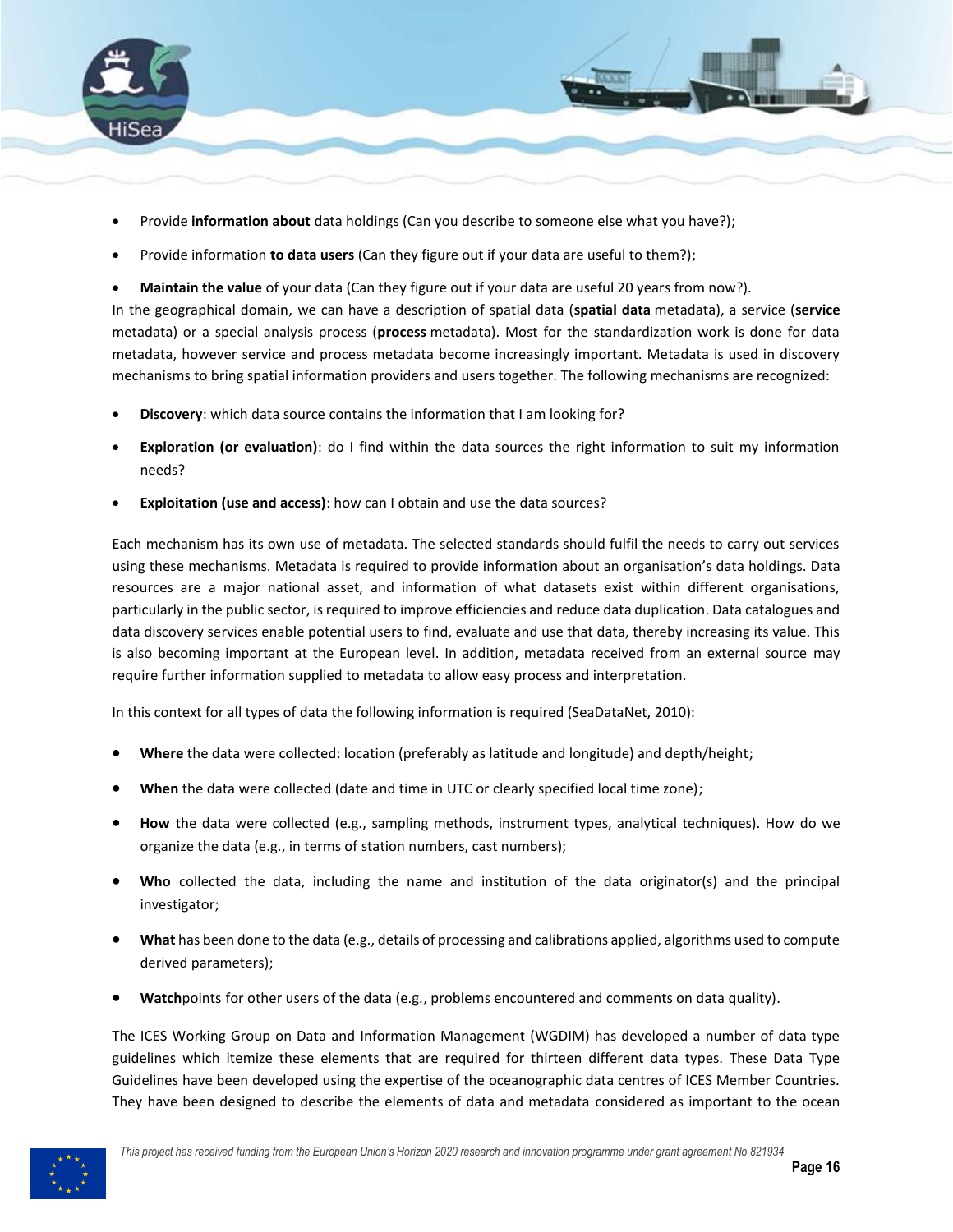

- Provide **information about** data holdings (Can you describe to someone else what you have?);
- Provide information **to data users** (Can they figure out if your data are useful to them?);
- **Maintain the value** of your data (Can they figure out if your data are useful 20 years from now?).

In the geographical domain, we can have a description of spatial data (**spatial data** metadata), a service (**service** metadata) or a special analysis process (**process** metadata). Most for the standardization work is done for data metadata, however service and process metadata become increasingly important. Metadata is used in discovery mechanisms to bring spatial information providers and users together. The following mechanisms are recognized:

- **Discovery**: which data source contains the information that I am looking for?
- **Exploration (or evaluation)**: do I find within the data sources the right information to suit my information needs?
- **Exploitation (use and access)**: how can I obtain and use the data sources?

Each mechanism has its own use of metadata. The selected standards should fulfil the needs to carry out services using these mechanisms. Metadata is required to provide information about an organisation's data holdings. Data resources are a major national asset, and information of what datasets exist within different organisations, particularly in the public sector, is required to improve efficiencies and reduce data duplication. Data catalogues and data discovery services enable potential users to find, evaluate and use that data, thereby increasing its value. This is also becoming important at the European level. In addition, metadata received from an external source may require further information supplied to metadata to allow easy process and interpretation.

In this context for all types of data the following information is required (SeaDataNet, 2010):

- **Where** the data were collected: location (preferably as latitude and longitude) and depth/height;
- **When** the data were collected (date and time in UTC or clearly specified local time zone);
- **How** the data were collected (e.g., sampling methods, instrument types, analytical techniques). How do we organize the data (e.g., in terms of station numbers, cast numbers);
- **Who** collected the data, including the name and institution of the data originator(s) and the principal investigator;
- **What** has been done to the data (e.g., details of processing and calibrations applied, algorithms used to compute derived parameters);
- **Watch**points for other users of the data (e.g., problems encountered and comments on data quality).

The ICES Working Group on Data and Information Management (WGDIM) has developed a number of data type guidelines which itemize these elements that are required for thirteen different data types. These Data Type Guidelines have been developed using the expertise of the oceanographic data centres of ICES Member Countries. They have been designed to describe the elements of data and metadata considered as important to the ocean

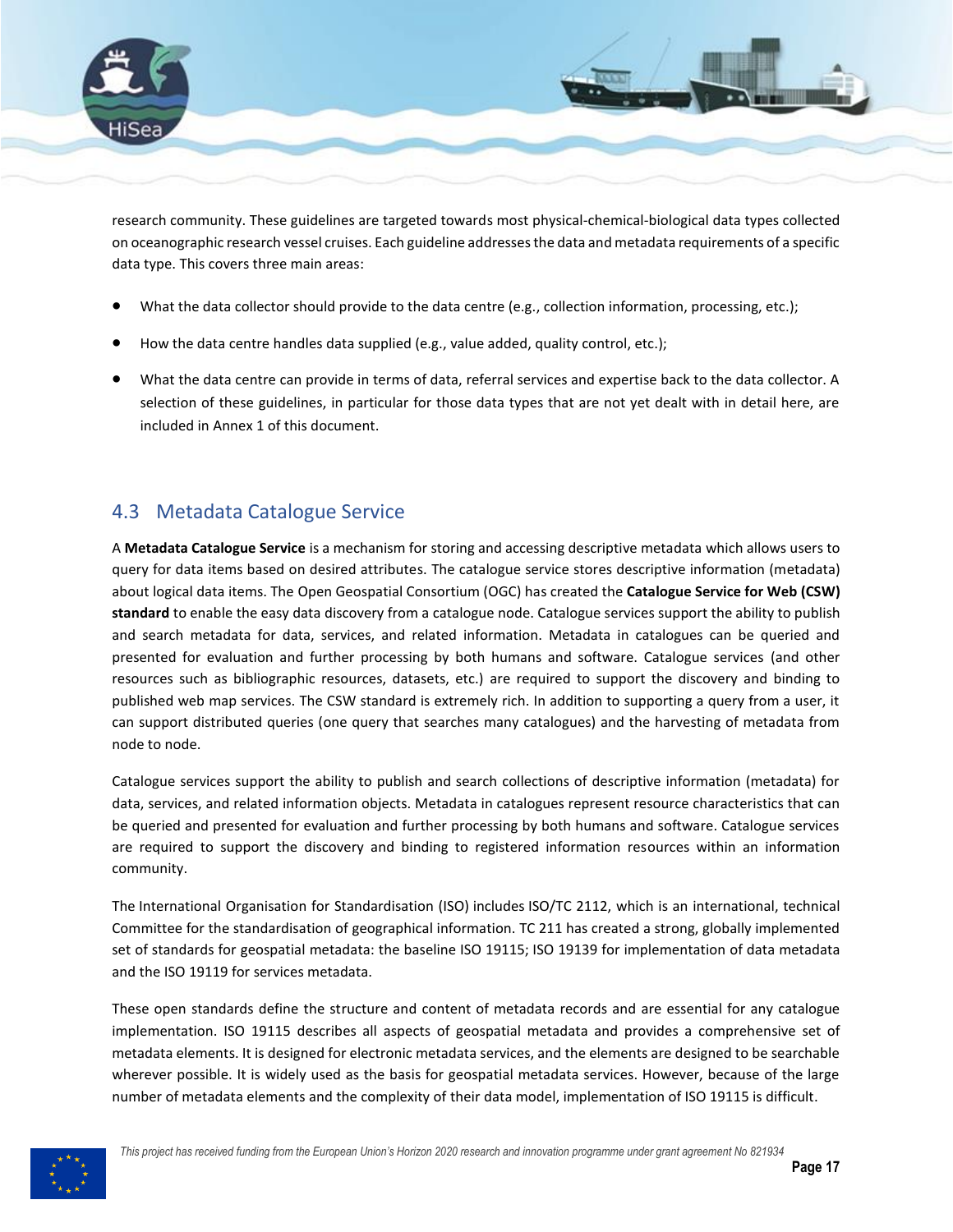

research community. These guidelines are targeted towards most physical-chemical-biological data types collected on oceanographic research vessel cruises. Each guideline addresses the data and metadata requirements of a specific data type. This covers three main areas:

- What the data collector should provide to the data centre (e.g., collection information, processing, etc.);
- How the data centre handles data supplied (e.g., value added, quality control, etc.);
- What the data centre can provide in terms of data, referral services and expertise back to the data collector. A selection of these guidelines, in particular for those data types that are not yet dealt with in detail here, are included in Annex 1 of this document.

### <span id="page-16-0"></span>4.3 Metadata Catalogue Service

A **Metadata Catalogue Service** is a mechanism for storing and accessing descriptive metadata which allows users to query for data items based on desired attributes. The catalogue service stores descriptive information (metadata) about logical data items. The [Open Geospatial Consortium \(OGC\)](http://www.opengeospatial.org/) has created the **Catalogue Service for Web (CSW) standard** to enable the easy data discovery from a catalogue node. Catalogue services support the ability to publish and search metadata for data, services, and related information. Metadata in catalogues can be queried and presented for evaluation and further processing by both humans and software. Catalogue services (and other resources such as bibliographic resources, datasets, etc.) are required to support the discovery and binding to published web map services. The CSW standard is extremely rich. In addition to supporting a query from a user, it can support distributed queries (one query that searches many catalogues) and the harvesting of metadata from node to node.

Catalogue services support the ability to publish and search collections of descriptive information (metadata) for data, services, and related information objects. Metadata in catalogues represent resource characteristics that can be queried and presented for evaluation and further processing by both humans and software. Catalogue services are required to support the discovery and binding to registered information resources within an information community.

The [International Organisation for Standardisation \(ISO\)](http://www.iso.org/) includes [ISO/TC 2112,](http://www.isotc211.org/) which is an international, technical Committee for the standardisation of geographical information. TC 211 has created a strong, globally implemented set of standards for geospatial metadata: the baseline [ISO 19115;](http://www.iso.org/iso/catalogue_detail.htm?csnumber=26020) [ISO 19139](http://www.iso.org/iso/catalogue_detail.htm?csnumber=32557) for implementation of data metadata and the [ISO 19119](http://www.iso.org/iso/catalogue_detail.htm?csnumber=39890) for services metadata.

These open standards define the structure and content of metadata records and are essential for any catalogue implementation. [ISO 19115](http://www.iso.org/iso/catalogue_detail.htm?csnumber=26020) describes all aspects of geospatial metadata and provides a comprehensive set of metadata elements. It is designed for electronic metadata services, and the elements are designed to be searchable wherever possible. It is widely used as the basis for geospatial metadata services. However, because of the large number of metadata elements and the complexity of their data model, implementation of ISO 19115 is difficult.

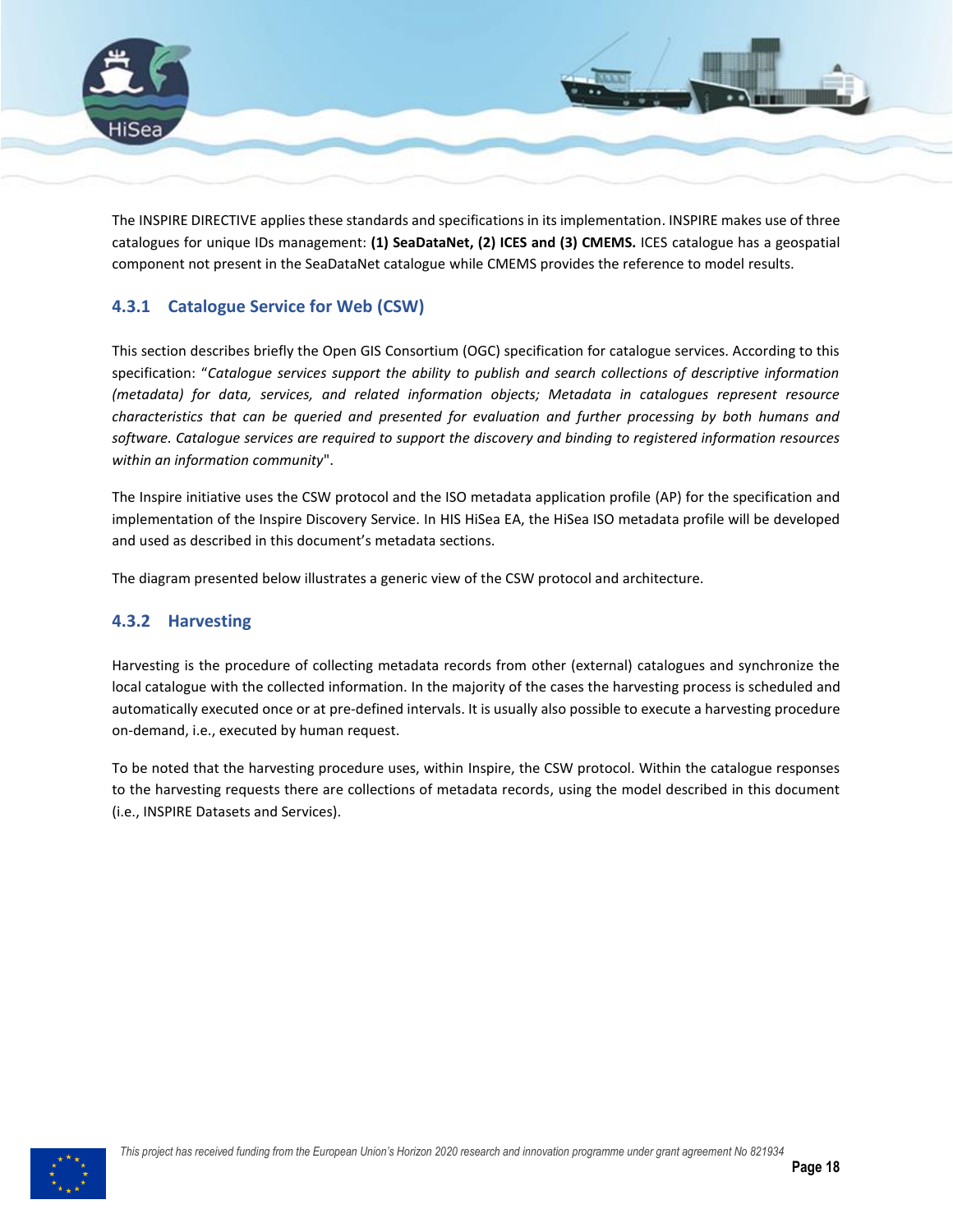

The [INSPIRE DIRECTIVE](http://inspire.jrc.ec.europa.eu/) applies these standards and specifications in its implementation. INSPIRE makes use of three catalogues for unique IDs management: **(1) SeaDataNet, (2) ICES and (3) CMEMS.** ICES catalogue has a geospatial component not present in the SeaDataNet catalogue while CMEMS provides the reference to model results.

### <span id="page-17-0"></span>**4.3.1 Catalogue Service for Web (CSW)**

This section describes briefly the Open GIS Consortium (OGC) specification for catalogue services. According to this specification: "*Catalogue services support the ability to publish and search collections of descriptive information (metadata) for data, services, and related information objects; Metadata in catalogues represent resource characteristics that can be queried and presented for evaluation and further processing by both humans and software. Catalogue services are required to support the discovery and binding to registered information resources within an information community*".

The Inspire initiative uses the CSW protocol and the ISO metadata application profile (AP) for the specification and implementation of the Inspire Discovery Service. In HIS HiSea EA, the HiSea ISO metadata profile will be developed and used as described in this document's metadata sections.

The diagram presented below illustrates a generic view of the CSW protocol and architecture.

#### <span id="page-17-1"></span>**4.3.2 Harvesting**

Harvesting is the procedure of collecting metadata records from other (external) catalogues and synchronize the local catalogue with the collected information. In the majority of the cases the harvesting process is scheduled and automatically executed once or at pre-defined intervals. It is usually also possible to execute a harvesting procedure on-demand, i.e., executed by human request.

To be noted that the harvesting procedure uses, within Inspire, the CSW protocol. Within the catalogue responses to the harvesting requests there are collections of metadata records, using the model described in this document (i.e., INSPIRE Datasets and Services).

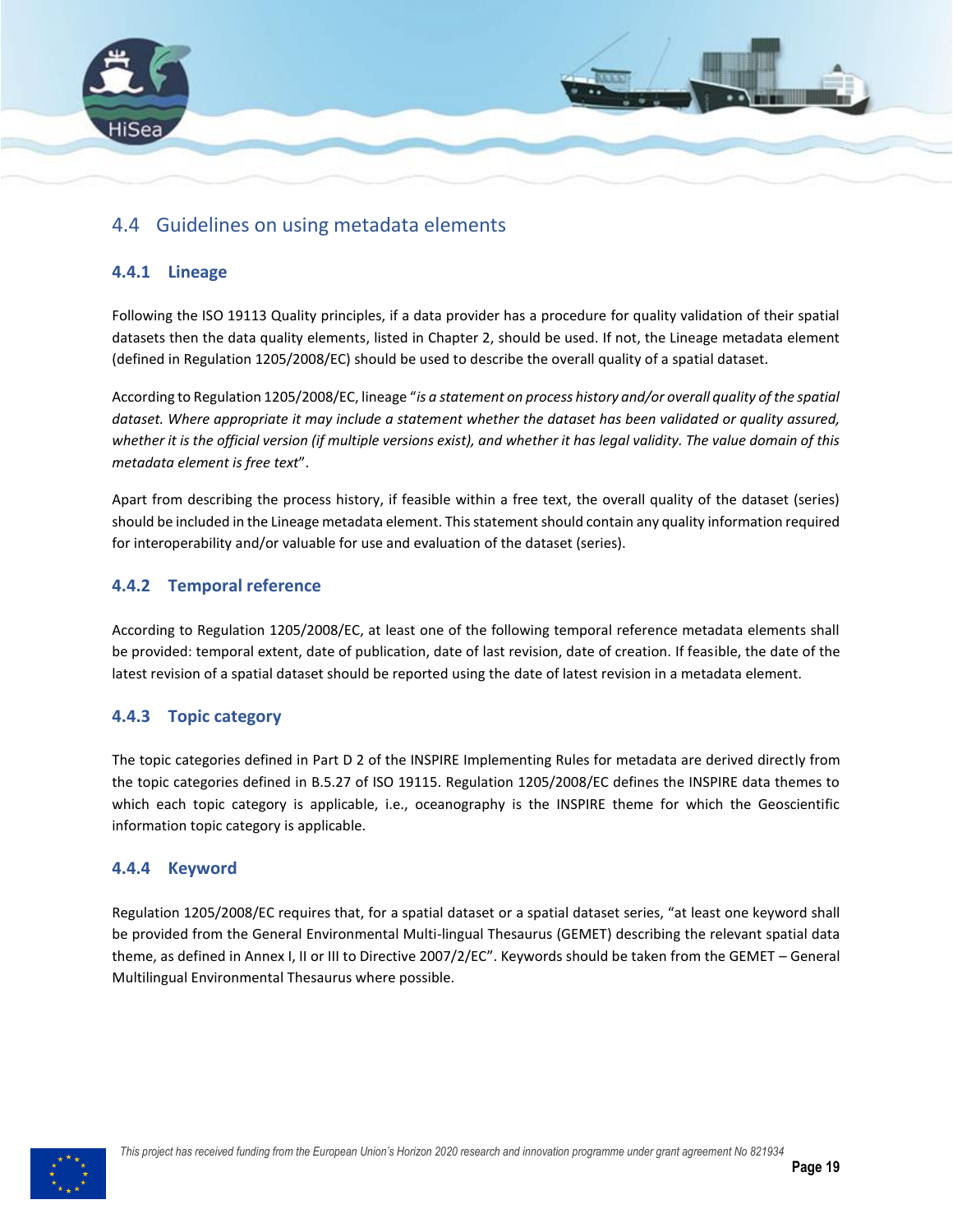

### <span id="page-18-0"></span>4.4 Guidelines on using metadata elements

#### <span id="page-18-1"></span>**4.4.1 Lineage**

Following the ISO 19113 Quality principles, if a data provider has a procedure for quality validation of their spatial datasets then the data quality elements, listed in Chapter 2, should be used. If not, the Lineage metadata element (defined in Regulation 1205/2008/EC) should be used to describe the overall quality of a spatial dataset.

According to Regulation 1205/2008/EC, lineage "*is a statement on process history and/or overall quality of the spatial dataset. Where appropriate it may include a statement whether the dataset has been validated or quality assured, whether it is the official version (if multiple versions exist), and whether it has legal validity. The value domain of this metadata element is free text*".

Apart from describing the process history, if feasible within a free text, the overall quality of the dataset (series) should be included in the Lineage metadata element. This statement should contain any quality information required for interoperability and/or valuable for use and evaluation of the dataset (series).

#### <span id="page-18-2"></span>**4.4.2 Temporal reference**

According to Regulation 1205/2008/EC, at least one of the following temporal reference metadata elements shall be provided: temporal extent, date of publication, date of last revision, date of creation. If feasible, the date of the latest revision of a spatial dataset should be reported using the date of latest revision in a metadata element.

### <span id="page-18-3"></span>**4.4.3 Topic category**

The topic categories defined in Part D 2 of the INSPIRE Implementing Rules for metadata are derived directly from the topic categories defined in B.5.27 of ISO 19115. Regulation 1205/2008/EC defines the INSPIRE data themes to which each topic category is applicable, i.e., oceanography is the INSPIRE theme for which the Geoscientific information topic category is applicable.

#### <span id="page-18-4"></span>**4.4.4 Keyword**

Regulation 1205/2008/EC requires that, for a spatial dataset or a spatial dataset series, "at least one keyword shall be provided from the General Environmental Multi-lingual Thesaurus (GEMET) describing the relevant spatial data theme, as defined in Annex I, II or III to Directive 2007/2/EC". Keywords should be taken from the GEMET – General Multilingual Environmental Thesaurus where possible.

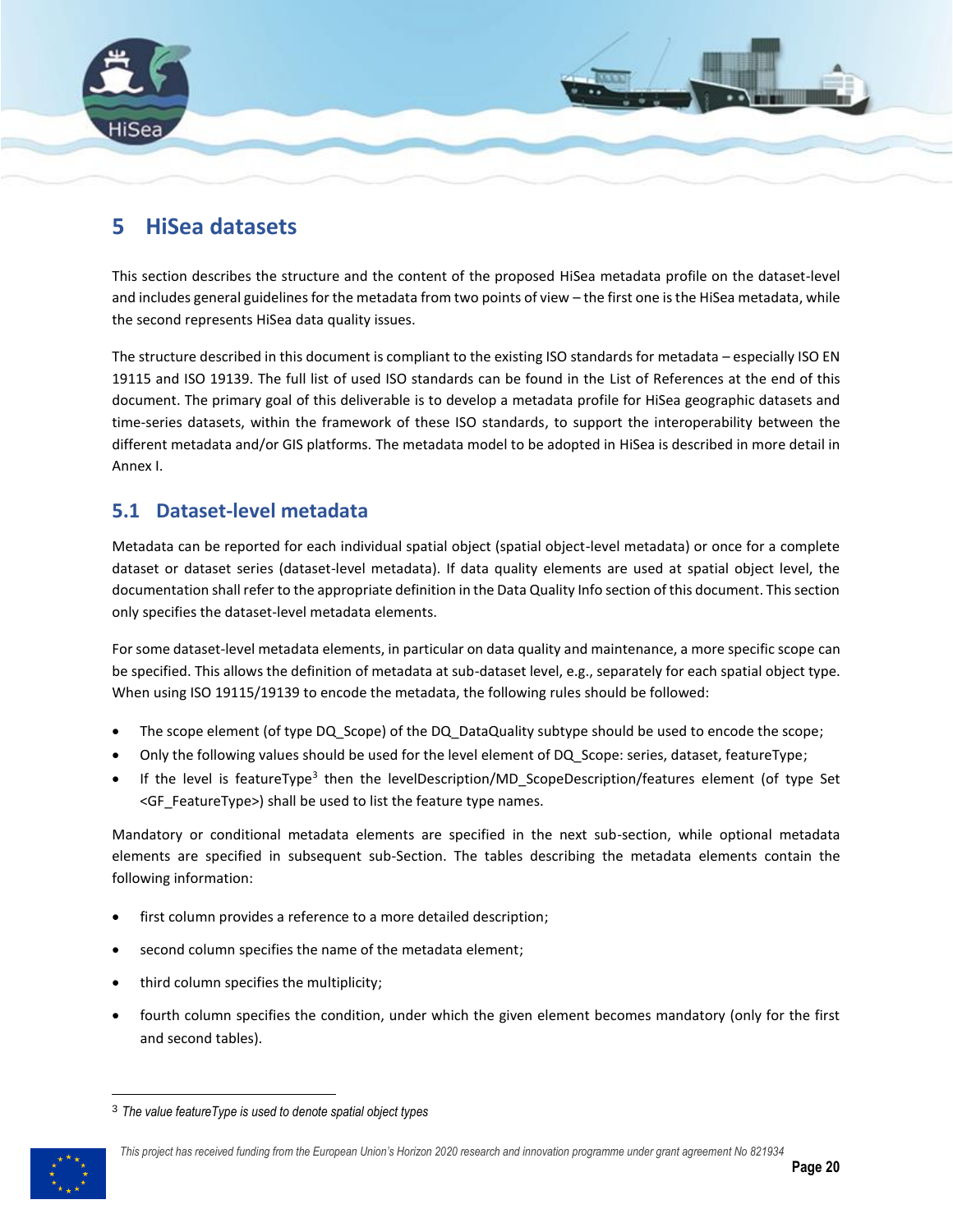

# <span id="page-19-0"></span>**5 HiSea datasets**

This section describes the structure and the content of the proposed HiSea metadata profile on the dataset-level and includes general guidelines for the metadata from two points of view – the first one is the HiSea metadata, while the second represents HiSea data quality issues.

The structure described in this document is compliant to the existing ISO standards for metadata – especially ISO EN 19115 and ISO 19139. The full list of used ISO standards can be found in the List of References at the end of this document. The primary goal of this deliverable is to develop a metadata profile for HiSea geographic datasets and time-series datasets, within the framework of these ISO standards, to support the interoperability between the different metadata and/or GIS platforms. The metadata model to be adopted in HiSea is described in more detail in Annex I.

# <span id="page-19-1"></span>**5.1 Dataset-level metadata**

Metadata can be reported for each individual spatial object (spatial object-level metadata) or once for a complete dataset or dataset series (dataset-level metadata). If data quality elements are used at spatial object level, the documentation shall refer to the appropriate definition in the Data Quality Info section of this document. This section only specifies the dataset-level metadata elements.

For some dataset-level metadata elements, in particular on data quality and maintenance, a more specific scope can be specified. This allows the definition of metadata at sub-dataset level, e.g., separately for each spatial object type. When using ISO 19115/19139 to encode the metadata, the following rules should be followed:

- The scope element (of type DQ\_Scope) of the DQ\_DataQuality subtype should be used to encode the scope;
- Only the following values should be used for the level element of DQ\_Scope: series, dataset, featureType;
- If the level is featureType<sup>3</sup> then the levelDescription/MD\_ScopeDescription/features element (of type Set <GF\_FeatureType>) shall be used to list the feature type names.

Mandatory or conditional metadata elements are specified in the next sub-section, while optional metadata elements are specified in subsequent sub-Section. The tables describing the metadata elements contain the following information:

- first column provides a reference to a more detailed description;
- second column specifies the name of the metadata element;
- third column specifies the multiplicity;
- fourth column specifies the condition, under which the given element becomes mandatory (only for the first and second tables).

<sup>3</sup> *The value featureType is used to denote spatial object types*



 $\overline{a}$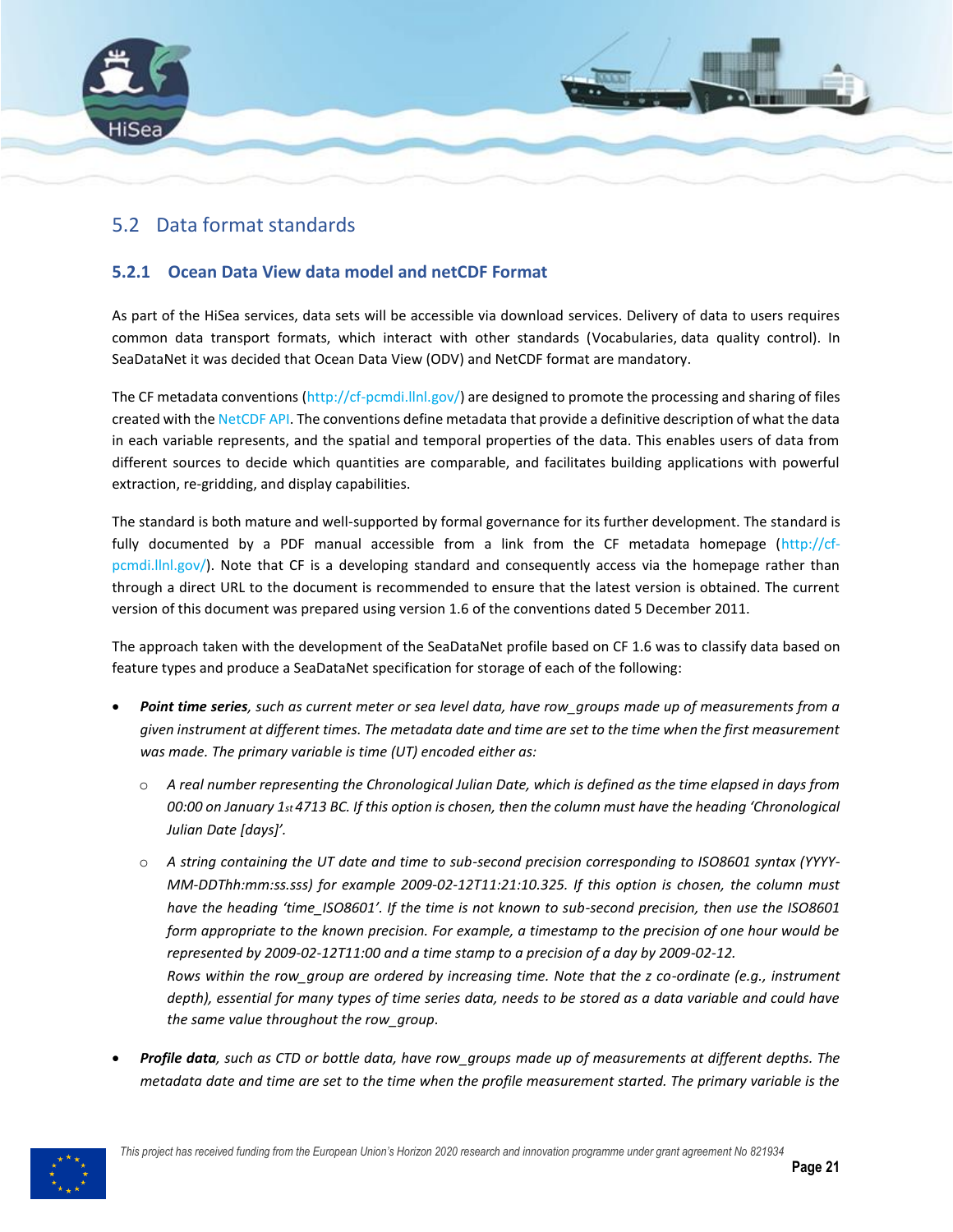

### <span id="page-20-0"></span>5.2 Data format standards

### <span id="page-20-1"></span>**5.2.1 Ocean Data View data model and netCDF Format**

As part of the HiSea services, data sets will be accessible via download services. Delivery of data to users requires common data transport formats, which interact with other standards [\(Vocabularies,](https://www.seadatanet.org/Standards/Common-Vocabularies) [data](https://www.seadatanet.org/Standards/Data-Quality-Control) quality control). In SeaDataNet it was decided that Ocean Data View (ODV) and NetCDF format are mandatory.

The CF metadata conventions (http://cf-pcmdi.llnl.gov/) are designed to promote the processing and sharing of files created with the NetCDF API. The conventions define metadata that provide a definitive description of what the data in each variable represents, and the spatial and temporal properties of the data. This enables users of data from different sources to decide which quantities are comparable, and facilitates building applications with powerful extraction, re-gridding, and display capabilities.

The standard is both mature and well-supported by formal governance for its further development. The standard is fully documented by a PDF manual accessible from a link from the CF metadata homepage (http://cfpcmdi.llnl.gov/). Note that CF is a developing standard and consequently access via the homepage rather than through a direct URL to the document is recommended to ensure that the latest version is obtained. The current version of this document was prepared using version 1.6 of the conventions dated 5 December 2011.

The approach taken with the development of the SeaDataNet profile based on CF 1.6 was to classify data based on feature types and produce a SeaDataNet specification for storage of each of the following:

- *Point time series, such as current meter or sea level data, have row\_groups made up of measurements from a given instrument at different times. The metadata date and time are set to the time when the first measurement was made. The primary variable is time (UT) encoded either as:*
	- o *A real number representing the Chronological Julian Date, which is defined as the time elapsed in days from 00:00 on January 1st 4713 BC. If this option is chosen, then the column must have the heading 'Chronological Julian Date [days]'.*
	- o *A string containing the UT date and time to sub-second precision corresponding to ISO8601 syntax (YYYY-MM-DDThh:mm:ss.sss) for example 2009-02-12T11:21:10.325. If this option is chosen, the column must have the heading 'time\_ISO8601'. If the time is not known to sub-second precision, then use the ISO8601 form appropriate to the known precision. For example, a timestamp to the precision of one hour would be represented by 2009-02-12T11:00 and a time stamp to a precision of a day by 2009-02-12. Rows within the row\_group are ordered by increasing time. Note that the z co-ordinate (e.g., instrument depth), essential for many types of time series data, needs to be stored as a data variable and could have the same value throughout the row\_group.*
- *Profile data, such as CTD or bottle data, have row\_groups made up of measurements at different depths. The metadata date and time are set to the time when the profile measurement started. The primary variable is the*

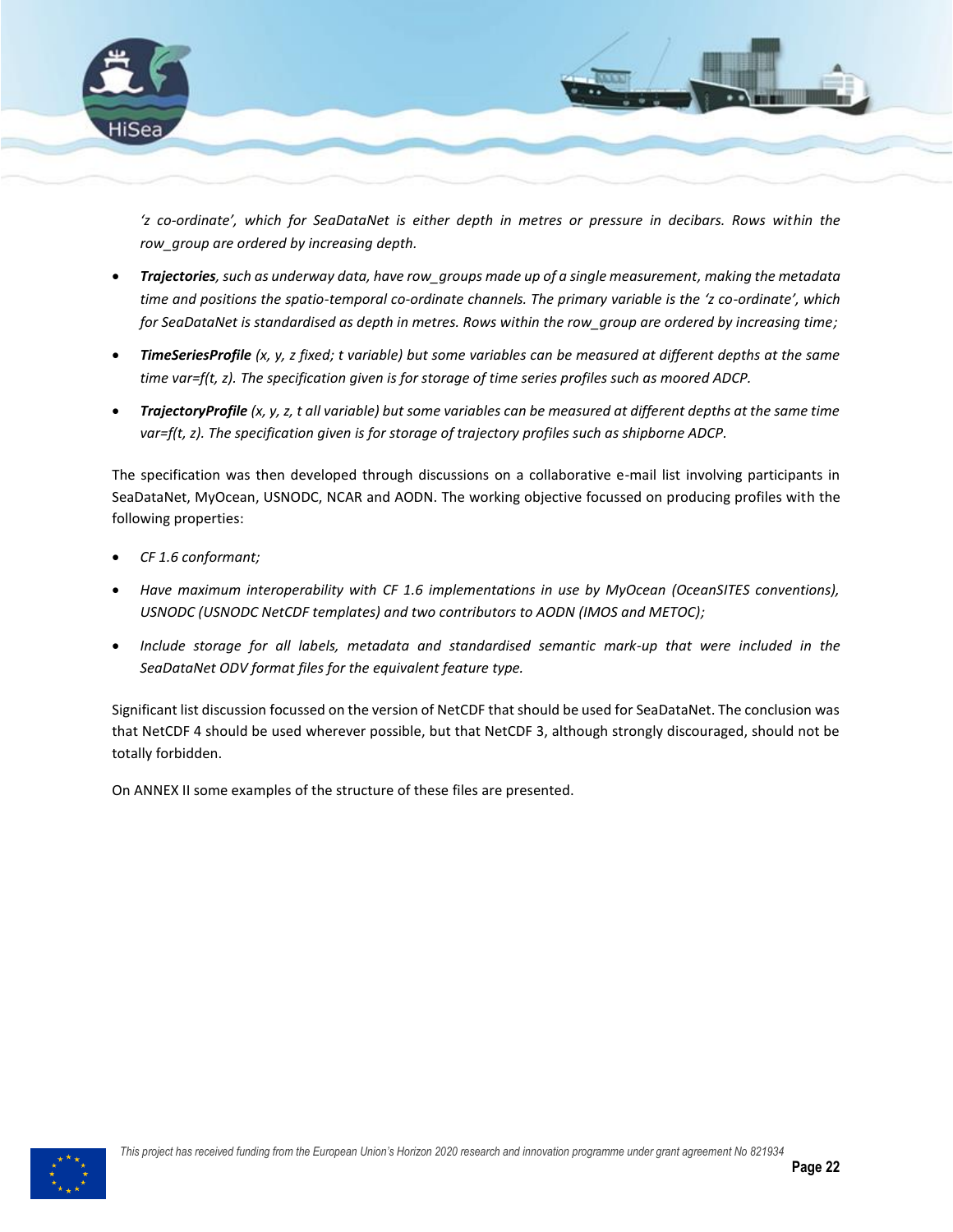

*'z co-ordinate', which for SeaDataNet is either depth in metres or pressure in decibars. Rows within the row\_group are ordered by increasing depth.*

- *Trajectories, such as underway data, have row\_groups made up of a single measurement, making the metadata time and positions the spatio-temporal co-ordinate channels. The primary variable is the 'z co-ordinate', which for SeaDataNet is standardised as depth in metres. Rows within the row\_group are ordered by increasing time;*
- *TimeSeriesProfile (x, y, z fixed; t variable) but some variables can be measured at different depths at the same time var=f(t, z). The specification given is for storage of time series profiles such as moored ADCP.*
- *TrajectoryProfile (x, y, z, t all variable) but some variables can be measured at different depths at the same time var=f(t, z). The specification given is for storage of trajectory profiles such as shipborne ADCP.*

The specification was then developed through discussions on a collaborative e-mail list involving participants in SeaDataNet, MyOcean, USNODC, NCAR and AODN. The working objective focussed on producing profiles with the following properties:

- *CF 1.6 conformant;*
- *Have maximum interoperability with CF 1.6 implementations in use by MyOcean (OceanSITES conventions), USNODC (USNODC NetCDF templates) and two contributors to AODN (IMOS and METOC);*
- *Include storage for all labels, metadata and standardised semantic mark-up that were included in the SeaDataNet ODV format files for the equivalent feature type.*

Significant list discussion focussed on the version of NetCDF that should be used for SeaDataNet. The conclusion was that NetCDF 4 should be used wherever possible, but that NetCDF 3, although strongly discouraged, should not be totally forbidden.

On ANNEX II some examples of the structure of these files are presented.

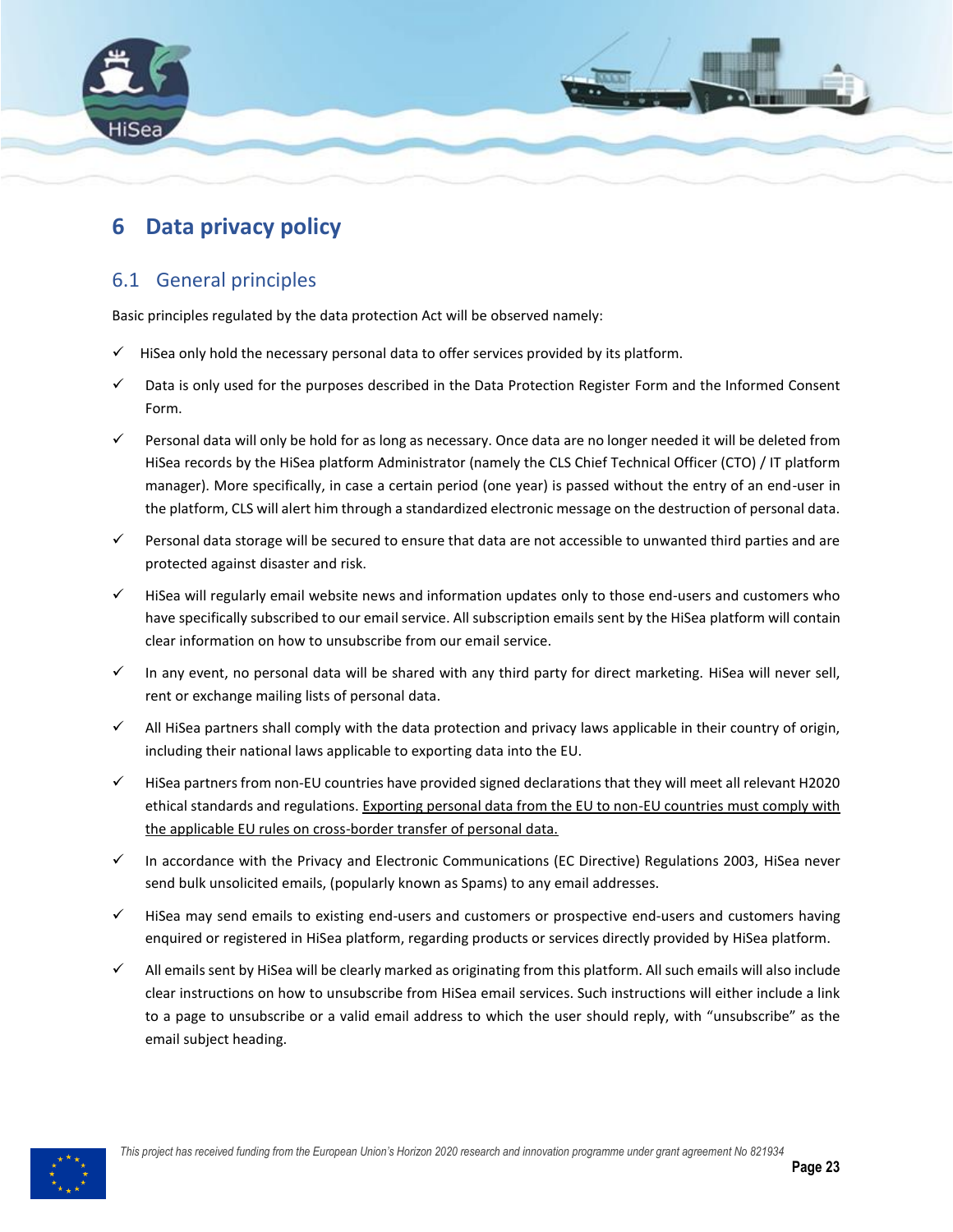

# <span id="page-22-0"></span>**6 Data privacy policy**

### <span id="page-22-1"></span>6.1 General principles

Basic principles regulated by the data protection Act will be observed namely:

- HiSea only hold the necessary personal data to offer services provided by its platform.
- Data is only used for the purposes described in the Data Protection Register Form and the Informed Consent Form.
- Personal data will only be hold for as long as necessary. Once data are no longer needed it will be deleted from HiSea records by the HiSea platform Administrator (namely the CLS Chief Technical Officer (CTO) / IT platform manager). More specifically, in case a certain period (one year) is passed without the entry of an end-user in the platform, CLS will alert him through a standardized electronic message on the destruction of personal data.
- $\checkmark$  Personal data storage will be secured to ensure that data are not accessible to unwanted third parties and are protected against disaster and risk.
- ✓ HiSea will regularly email website news and information updates only to those end-users and customers who have specifically subscribed to our email service. All subscription emails sent by the HiSea platform will contain clear information on how to unsubscribe from our email service.
- $\checkmark$  In any event, no personal data will be shared with any third party for direct marketing. HiSea will never sell, rent or exchange mailing lists of personal data.
- $\checkmark$  All HiSea partners shall comply with the data protection and privacy laws applicable in their country of origin, including their national laws applicable to exporting data into the EU.
- ✓ HiSea partners from non-EU countries have provided signed declarations that they will meet all relevant H2020 ethical standards and regulations. Exporting personal data from the EU to non-EU countries must comply with the applicable EU rules on cross-border transfer of personal data.
- In accordance with the Privacy and Electronic Communications (EC Directive) Regulations 2003, HiSea never send bulk unsolicited emails, (popularly known as Spams) to any email addresses.
- ✓ HiSea may send emails to existing end-users and customers or prospective end-users and customers having enquired or registered in HiSea platform, regarding products or services directly provided by HiSea platform.
- All emails sent by HiSea will be clearly marked as originating from this platform. All such emails will also include clear instructions on how to unsubscribe from HiSea email services. Such instructions will either include a link to a page to unsubscribe or a valid email address to which the user should reply, with "unsubscribe" as the email subject heading.

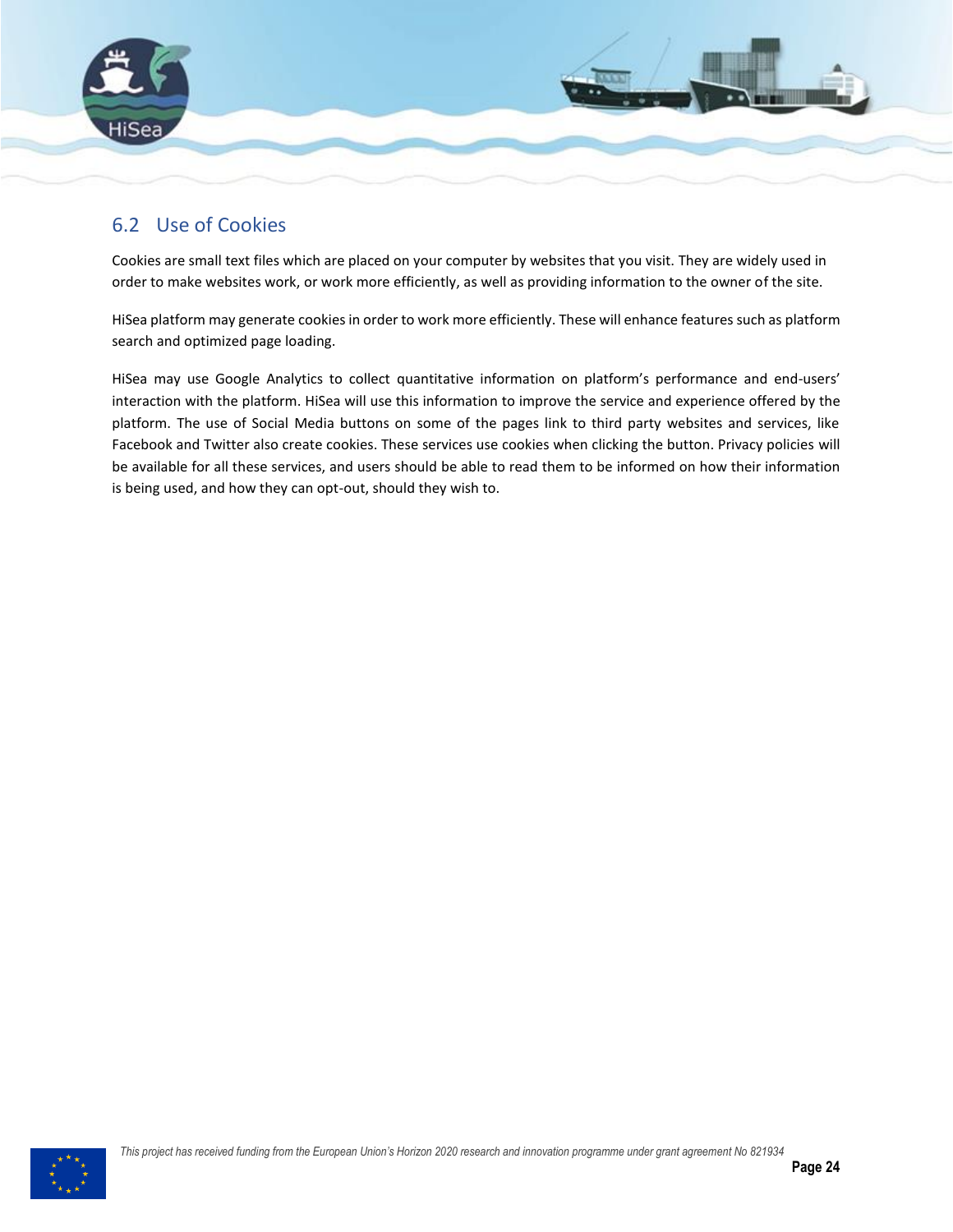

### <span id="page-23-0"></span>6.2 Use of Cookies

Cookies are small text files which are placed on your computer by websites that you visit. They are widely used in order to make websites work, or work more efficiently, as well as providing information to the owner of the site.

HiSea platform may generate cookies in order to work more efficiently. These will enhance features such as platform search and optimized page loading.

HiSea may use Google Analytics to collect quantitative information on platform's performance and end-users' interaction with the platform. HiSea will use this information to improve the service and experience offered by the platform. The use of Social Media buttons on some of the pages link to third party websites and services, like Facebook and Twitter also create cookies. These services use cookies when clicking the button. Privacy policies will be available for all these services, and users should be able to read them to be informed on how their information is being used, and how they can opt-out, should they wish to.

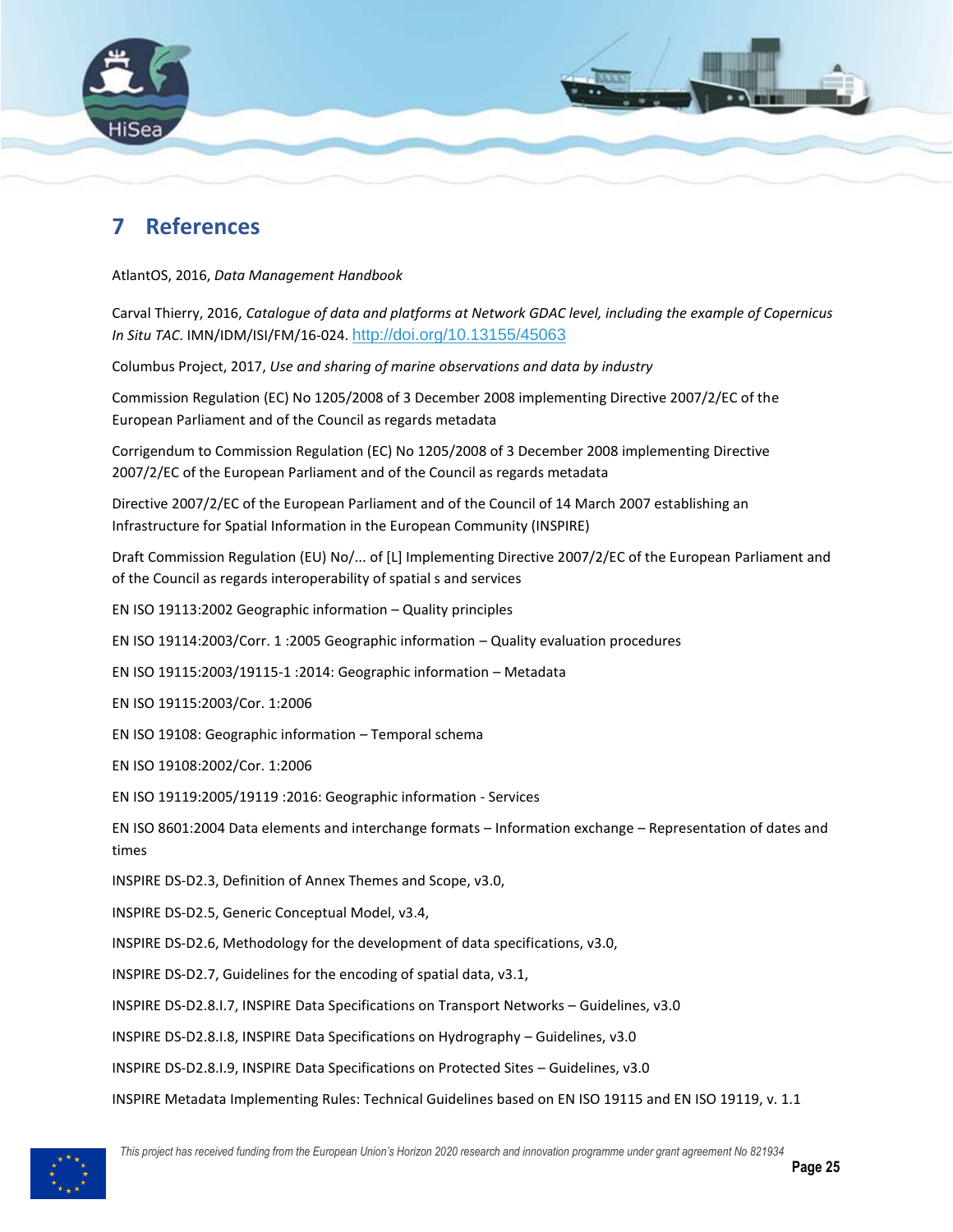

# <span id="page-24-0"></span>**7 References**

AtlantOS, 2016, *Data Management Handbook*

Carval Thierry, 2016, *Catalogue of data and platforms at Network GDAC level, including the example of Copernicus In Situ TAC*. IMN/IDM/ISI/FM/16-024. <http://doi.org/10.13155/45063>

Columbus Project, 2017, *Use and sharing of marine observations and data by industry*

Commission Regulation (EC) No 1205/2008 of 3 December 2008 implementing Directive 2007/2/EC of the European Parliament and of the Council as regards metadata

Corrigendum to Commission Regulation (EC) No 1205/2008 of 3 December 2008 implementing Directive 2007/2/EC of the European Parliament and of the Council as regards metadata

Directive 2007/2/EC of the European Parliament and of the Council of 14 March 2007 establishing an Infrastructure for Spatial Information in the European Community (INSPIRE)

Draft Commission Regulation (EU) No/... of [L] Implementing Directive 2007/2/EC of the European Parliament and of the Council as regards interoperability of spatial s and services

EN ISO 19113:2002 Geographic information – Quality principles

EN ISO 19114:2003/Corr. 1 :2005 Geographic information – Quality evaluation procedures

EN ISO 19115:2003/19115-1 :2014: Geographic information – Metadata

EN ISO 19115:2003/Cor. 1:2006

EN ISO 19108: Geographic information – Temporal schema

EN ISO 19108:2002/Cor. 1:2006

EN ISO 19119:2005/19119 :2016: Geographic information - Services

EN ISO 8601:2004 Data elements and interchange formats – Information exchange – Representation of dates and times

INSPIRE DS-D2.3, Definition of Annex Themes and Scope, v3.0,

INSPIRE DS-D2.5, Generic Conceptual Model, v3.4,

INSPIRE DS-D2.6, Methodology for the development of data specifications, v3.0,

INSPIRE DS-D2.7, Guidelines for the encoding of spatial data, v3.1,

INSPIRE DS-D2.8.I.7, INSPIRE Data Specifications on Transport Networks – Guidelines, v3.0

INSPIRE DS-D2.8.I.8, INSPIRE Data Specifications on Hydrography – Guidelines, v3.0

INSPIRE DS-D2.8.I.9, INSPIRE Data Specifications on Protected Sites – Guidelines, v3.0

INSPIRE Metadata Implementing Rules: Technical Guidelines based on EN ISO 19115 and EN ISO 19119, v. 1.1

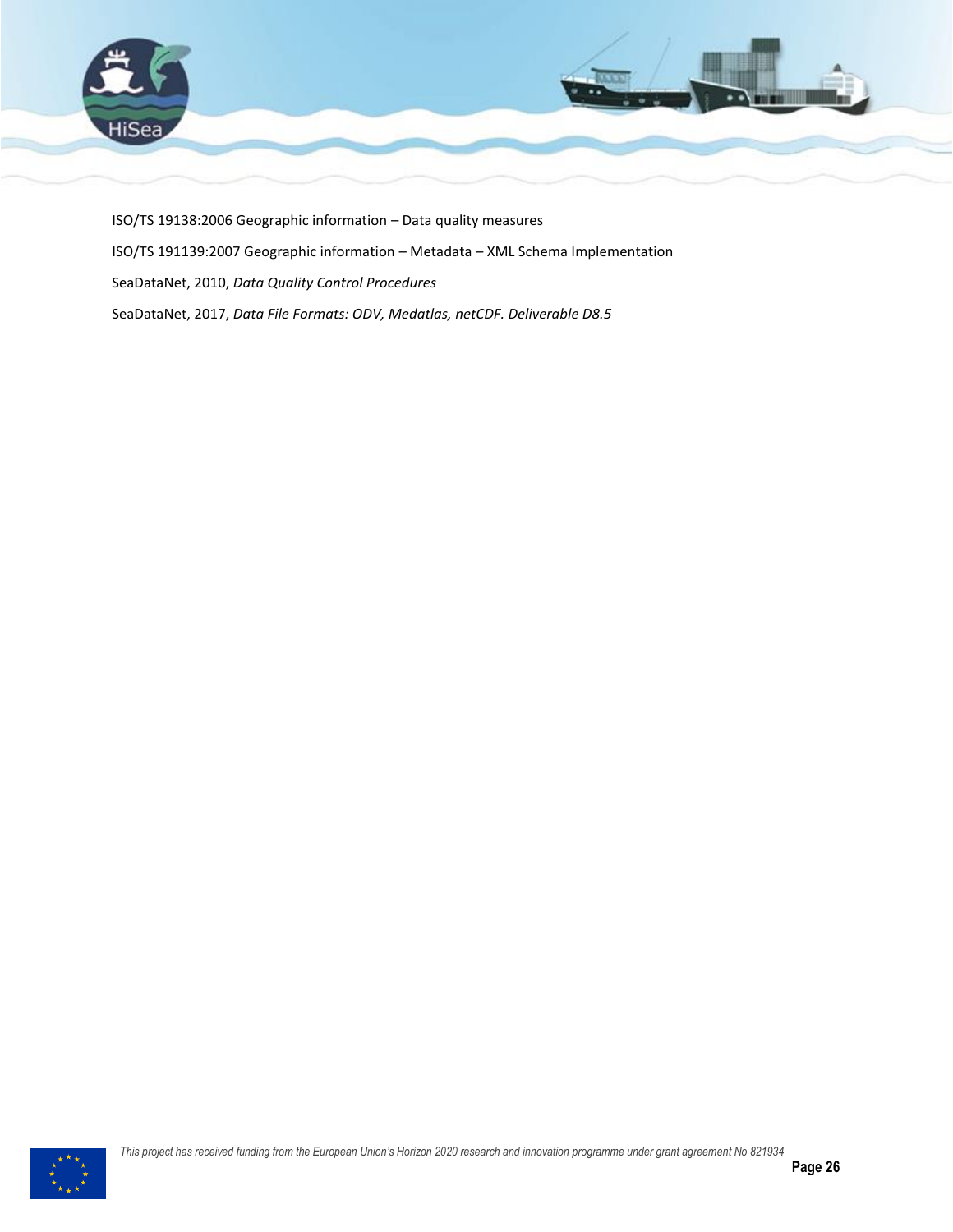

ISO/TS 19138:2006 Geographic information – Data quality measures ISO/TS 191139:2007 Geographic information – Metadata – XML Schema Implementation SeaDataNet, 2010, *Data Quality Control Procedures* SeaDataNet, 2017, *Data File Formats: ODV, Medatlas, netCDF. Deliverable D8.5*

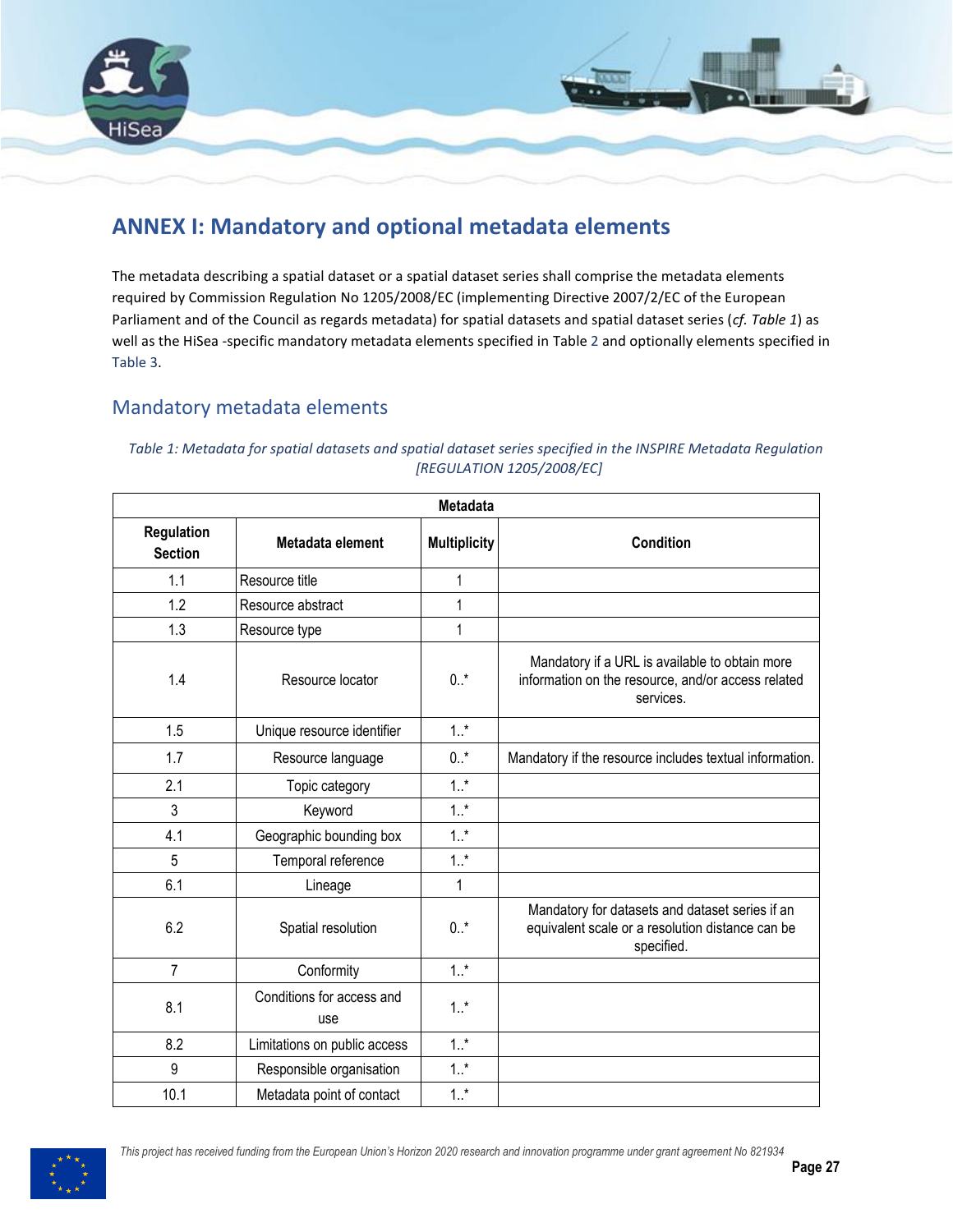

# <span id="page-26-0"></span>**ANNEX I: Mandatory and optional metadata elements**

The metadata describing a spatial dataset or a spatial dataset series shall comprise the metadata elements required by Commission Regulation No 1205/2008/EC (implementing Directive 2007/2/EC of the European Parliament and of the Council as regards metadata) for spatial datasets and spatial dataset series (*cf. [Table 1](#page-26-2)*) as well as the HiSea -specific mandatory metadata elements specified in [Table](#page-27-0) 2 and optionally elements specified in [Table 3.](#page-32-1)

### <span id="page-26-1"></span>Mandatory metadata elements

### **Metadata Regulation Section Metadata element Multiplicity Condition** 1.1 Resource title 1 1 1.2 Resource abstract T 1.3 Resource type 1 1.4 Resource locator  $\begin{bmatrix} 1 & 0 \\ 0 & 0 \end{bmatrix}$ Mandatory if a URL is available to obtain more information on the resource, and/or access related services. 1.5 | Unique resource identifier | 1.<sup>\*</sup> 1.7 Resource language | 0..\* | Mandatory if the resource includes textual information. 2.1 | Topic category | 1..\* 3 Keyword 1..\* 4.1 Geographic bounding box | 1..\* 5 | Temporal reference | 1..\* 6.1 | Lineage | 1 6.2 | Spatial resolution | 0..\* Mandatory for datasets and dataset series if an equivalent scale or a resolution distance can be specified. 7 Conformity 1..\* 8.1 Conditions for access and use  $1 *$ 8.2 | Limitations on public access | 1..\* 9 Responsible organisation | 1.<sup>\*</sup> 10.1 **Metadata point of contact** 1..\*

#### <span id="page-26-2"></span>*Table 1: Metadata for spatial datasets and spatial dataset series specified in the INSPIRE Metadata Regulation [REGULATION 1205/2008/EC]*

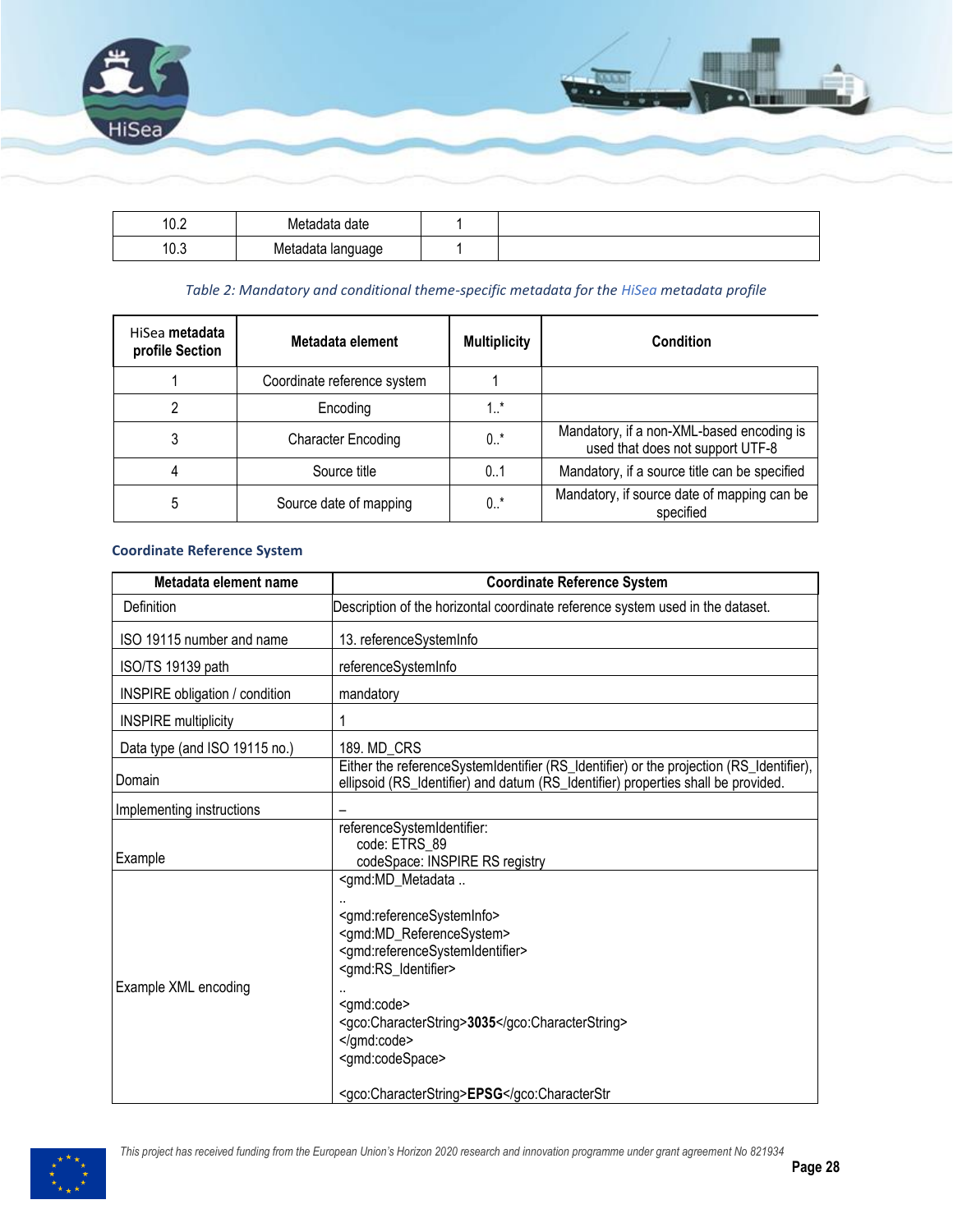

<span id="page-27-0"></span>

| 10.2 | date<br>Metadata |  |
|------|------------------|--|
| 10.3 | language<br>IVІ  |  |

#### *Table 2: Mandatory and conditional theme-specific metadata for the HiSea metadata profile*

| HiSea metadata<br>profile Section | Metadata element            | <b>Multiplicity</b> | Condition                                                                     |
|-----------------------------------|-----------------------------|---------------------|-------------------------------------------------------------------------------|
|                                   | Coordinate reference system |                     |                                                                               |
| າ                                 | Encoding                    | $1.1^*$             |                                                                               |
| 3                                 | <b>Character Encoding</b>   | 0.1                 | Mandatory, if a non-XML-based encoding is<br>used that does not support UTF-8 |
| 4                                 | Source title                | 0.1                 | Mandatory, if a source title can be specified                                 |
| 5                                 | Source date of mapping      | 0.1                 | Mandatory, if source date of mapping can be<br>specified                      |

#### **Coordinate Reference System**

| Metadata element name                 | <b>Coordinate Reference System</b>                                                                                                                                                                                                                                                                                                                                                                                                                                          |
|---------------------------------------|-----------------------------------------------------------------------------------------------------------------------------------------------------------------------------------------------------------------------------------------------------------------------------------------------------------------------------------------------------------------------------------------------------------------------------------------------------------------------------|
| Definition                            | Description of the horizontal coordinate reference system used in the dataset.                                                                                                                                                                                                                                                                                                                                                                                              |
| ISO 19115 number and name             | 13. referenceSystemInfo                                                                                                                                                                                                                                                                                                                                                                                                                                                     |
| ISO/TS 19139 path                     | referenceSystemInfo                                                                                                                                                                                                                                                                                                                                                                                                                                                         |
| <b>INSPIRE</b> obligation / condition | mandatory                                                                                                                                                                                                                                                                                                                                                                                                                                                                   |
| <b>INSPIRE</b> multiplicity           |                                                                                                                                                                                                                                                                                                                                                                                                                                                                             |
| Data type (and ISO 19115 no.)         | 189. MD CRS                                                                                                                                                                                                                                                                                                                                                                                                                                                                 |
| Domain                                | Either the referenceSystemIdentifier (RS_Identifier) or the projection (RS_Identifier),<br>ellipsoid (RS_Identifier) and datum (RS_Identifier) properties shall be provided.                                                                                                                                                                                                                                                                                                |
| Implementing instructions             |                                                                                                                                                                                                                                                                                                                                                                                                                                                                             |
| Example<br>Example XML encoding       | referenceSystemIdentifier:<br>code: ETRS 89<br>codeSpace: INSPIRE RS registry<br><gmd:md_metadata <br=""><gmd:referencesysteminfo><br/><gmd:md_referencesystem><br/><gmd:referencesystemidentifier><br/><gmd:rs_identifier><br/><gmd:code><br/><gco:characterstring>3035</gco:characterstring><br/></gmd:code><br/><gmd:codespace></gmd:codespace></gmd:rs_identifier></gmd:referencesystemidentifier></gmd:md_referencesystem></gmd:referencesysteminfo></gmd:md_metadata> |
|                                       | <gco:characterstring>EPSG</gco:characterstring>                                                                                                                                                                                                                                                                                                                                                                                                                             |

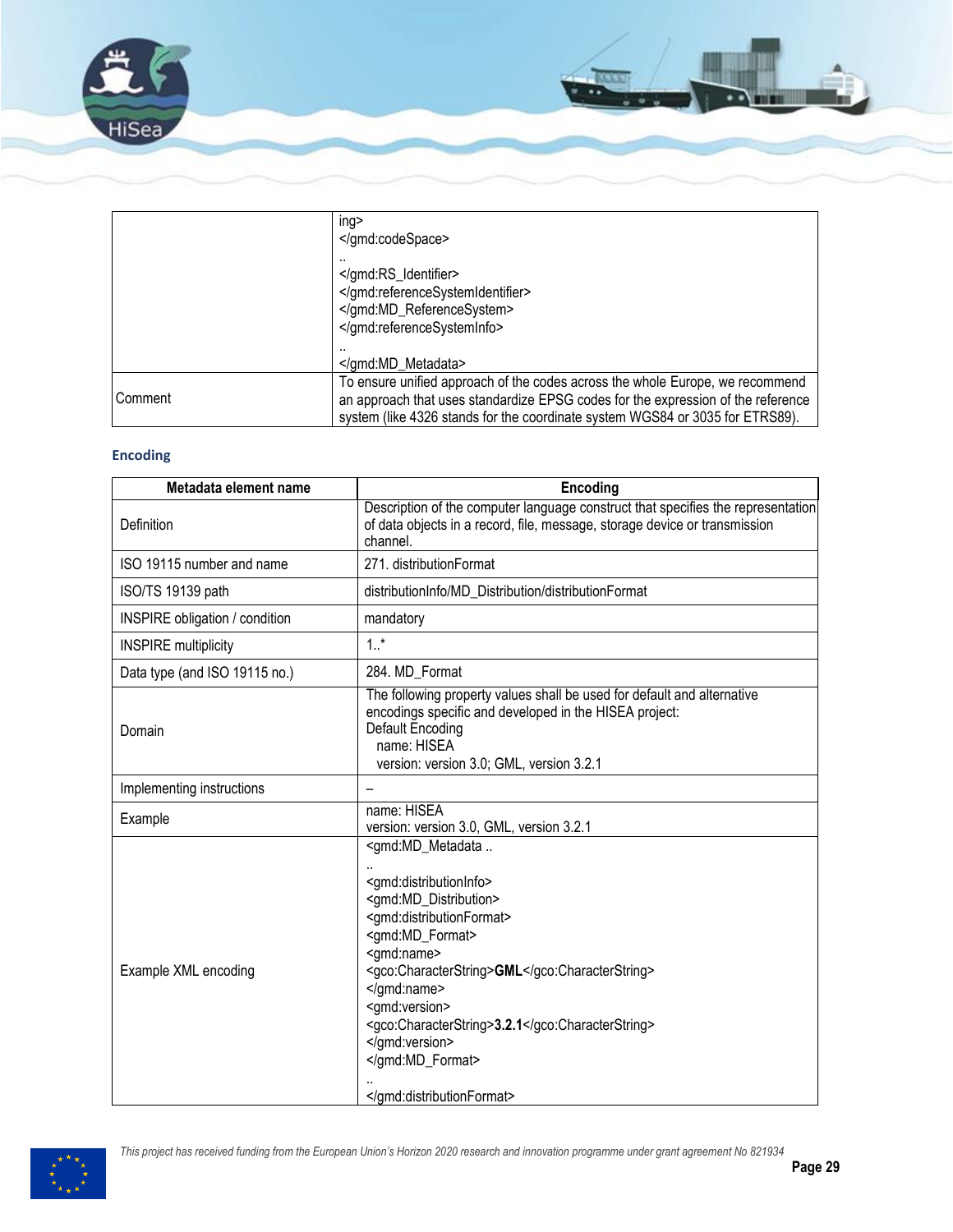

|         | ing><br>                                                                                                                                                                                                                                           |
|---------|----------------------------------------------------------------------------------------------------------------------------------------------------------------------------------------------------------------------------------------------------|
|         | <br><br><br><br>                                                                                                                                                                                                                                   |
|         | <br>                                                                                                                                                                                                                                               |
| Comment | To ensure unified approach of the codes across the whole Europe, we recommend<br>an approach that uses standardize EPSG codes for the expression of the reference<br>system (like 4326 stands for the coordinate system WGS84 or 3035 for ETRS89). |

#### **Encoding**

| Metadata element name                 | Encoding                                                                                                                                                                                                                                                                                                                                                                                                               |
|---------------------------------------|------------------------------------------------------------------------------------------------------------------------------------------------------------------------------------------------------------------------------------------------------------------------------------------------------------------------------------------------------------------------------------------------------------------------|
| Definition                            | Description of the computer language construct that specifies the representation<br>of data objects in a record, file, message, storage device or transmission<br>channel.                                                                                                                                                                                                                                             |
| ISO 19115 number and name             | 271. distributionFormat                                                                                                                                                                                                                                                                                                                                                                                                |
| ISO/TS 19139 path                     | distributionInfo/MD_Distribution/distributionFormat                                                                                                                                                                                                                                                                                                                                                                    |
| <b>INSPIRE</b> obligation / condition | mandatory                                                                                                                                                                                                                                                                                                                                                                                                              |
| <b>INSPIRE</b> multiplicity           | $1.1$ *                                                                                                                                                                                                                                                                                                                                                                                                                |
| Data type (and ISO 19115 no.)         | 284. MD_Format                                                                                                                                                                                                                                                                                                                                                                                                         |
| Domain                                | The following property values shall be used for default and alternative<br>encodings specific and developed in the HISEA project:<br>Default Encoding<br>name: HISEA<br>version: version 3.0; GML, version 3.2.1                                                                                                                                                                                                       |
| Implementing instructions             |                                                                                                                                                                                                                                                                                                                                                                                                                        |
| Example                               | name: HISEA<br>version: version 3.0, GML, version 3.2.1                                                                                                                                                                                                                                                                                                                                                                |
| Example XML encoding                  | <gmd:md_metadata<br><gmd:distributioninfo><br/><gmd:md_distribution><br/><gmd:distributionformat><br/><gmd:md_format><br/><gmd:name><br/><gco:characterstring>GML</gco:characterstring><br/></gmd:name><br/><gmd:version><br/><gco:characterstring>3.2.1</gco:characterstring><br/></gmd:version><br/><br/></gmd:md_format></gmd:distributionformat></gmd:md_distribution></gmd:distributioninfo></gmd:md_metadata<br> |

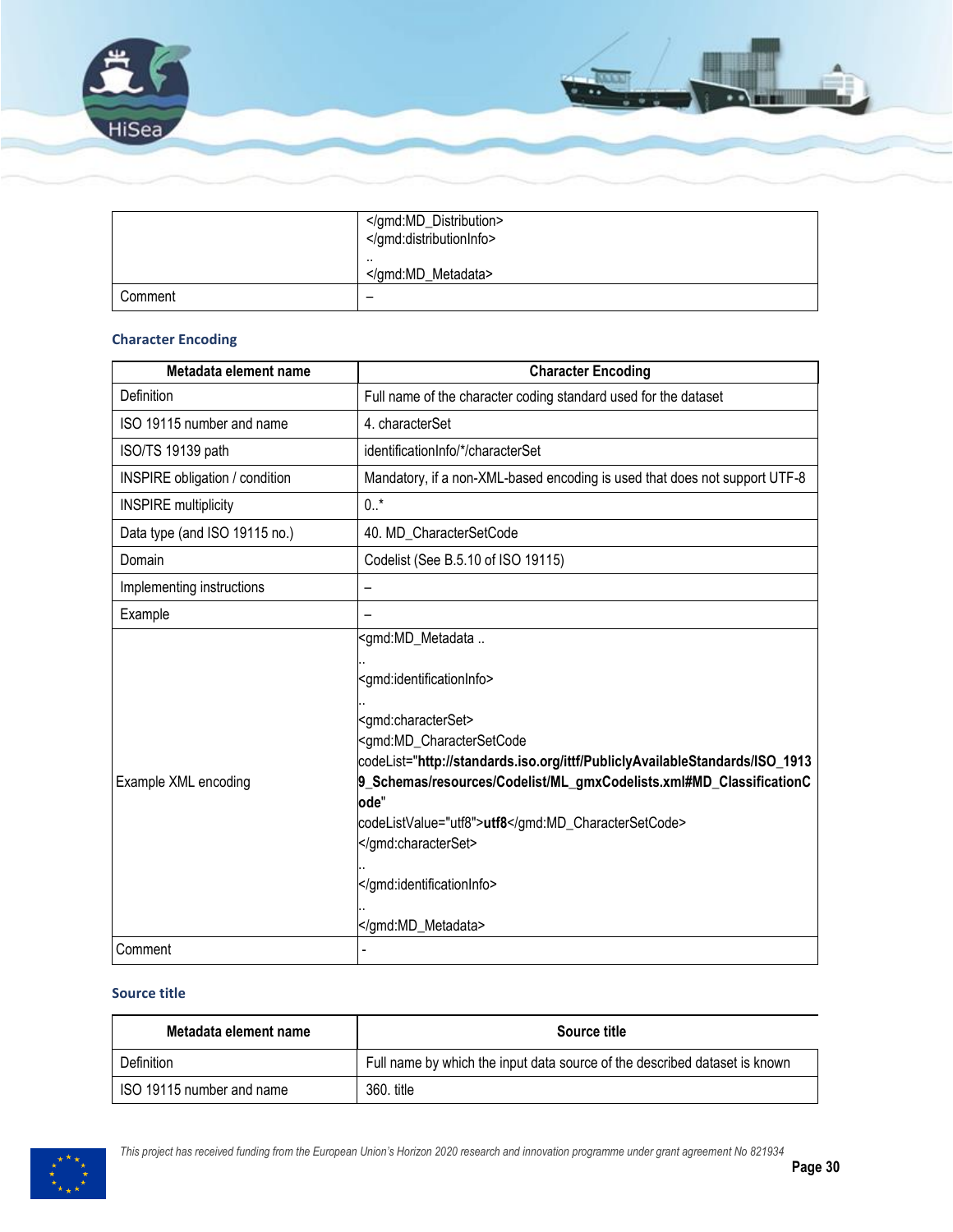

|         | <br>  |
|---------|-------|
|         | .<br> |
| Comment | -     |

#### **Character Encoding**

| Metadata element name                 | <b>Character Encoding</b>                                                                                                                                                                                                                                                                                                                                                                                      |
|---------------------------------------|----------------------------------------------------------------------------------------------------------------------------------------------------------------------------------------------------------------------------------------------------------------------------------------------------------------------------------------------------------------------------------------------------------------|
| Definition                            | Full name of the character coding standard used for the dataset                                                                                                                                                                                                                                                                                                                                                |
| ISO 19115 number and name             | 4. characterSet                                                                                                                                                                                                                                                                                                                                                                                                |
| ISO/TS 19139 path                     | identificationInfo/*/characterSet                                                                                                                                                                                                                                                                                                                                                                              |
| <b>INSPIRE</b> obligation / condition | Mandatory, if a non-XML-based encoding is used that does not support UTF-8                                                                                                                                                                                                                                                                                                                                     |
| <b>INSPIRE</b> multiplicity           | $0.$ *                                                                                                                                                                                                                                                                                                                                                                                                         |
| Data type (and ISO 19115 no.)         | 40. MD_CharacterSetCode                                                                                                                                                                                                                                                                                                                                                                                        |
| Domain                                | Codelist (See B.5.10 of ISO 19115)                                                                                                                                                                                                                                                                                                                                                                             |
| Implementing instructions             | —                                                                                                                                                                                                                                                                                                                                                                                                              |
| Example                               |                                                                                                                                                                                                                                                                                                                                                                                                                |
| Example XML encoding                  | <gmd:md_metadata<br><gmd:identificationinfo><br/><gmd:characterset><br/><gmd:md_charactersetcode<br>codeList="http://standards.iso.org/ittf/PubliclyAvailableStandards/ISO 1913<br/>9_Schemas/resources/Codelist/ML_gmxCodelists.xml#MD_ClassificationC<br/>ode"<br/>codeListValue="utf8"&gt;utf8<br/></gmd:md_charactersetcode<br></gmd:characterset><br/></gmd:identificationinfo><br/></gmd:md_metadata<br> |
| Comment                               |                                                                                                                                                                                                                                                                                                                                                                                                                |

#### **Source title**

| Metadata element name     | <b>Source title</b>                                                        |
|---------------------------|----------------------------------------------------------------------------|
| <b>Definition</b>         | Full name by which the input data source of the described dataset is known |
| ISO 19115 number and name | 360, title                                                                 |

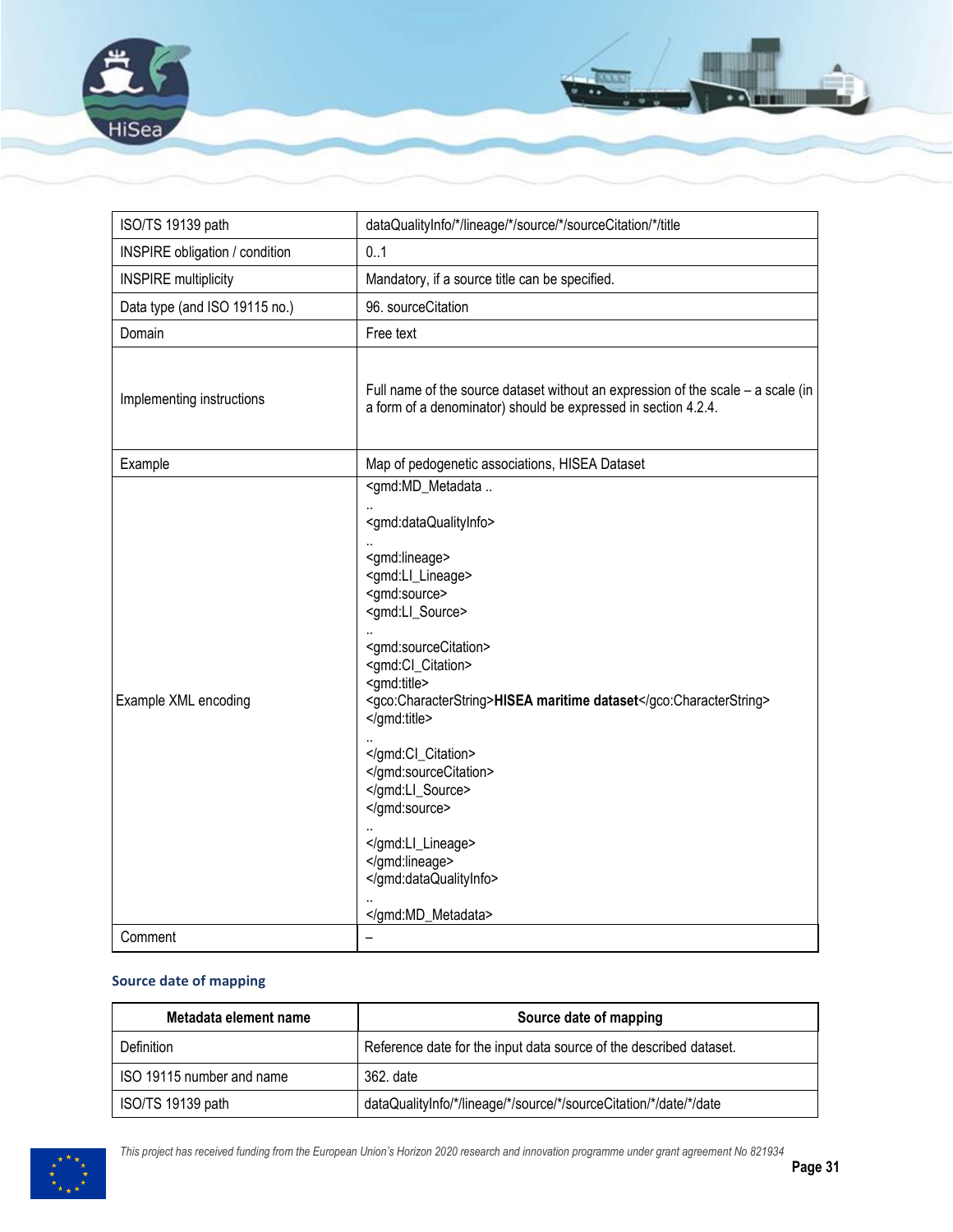

| ISO/TS 19139 path                     | dataQualityInfo/*/lineage/*/source/*/sourceCitation/*/title                                                                                                                                                                                                                                                                                                                                                                                                        |
|---------------------------------------|--------------------------------------------------------------------------------------------------------------------------------------------------------------------------------------------------------------------------------------------------------------------------------------------------------------------------------------------------------------------------------------------------------------------------------------------------------------------|
| <b>INSPIRE obligation / condition</b> | 0.1                                                                                                                                                                                                                                                                                                                                                                                                                                                                |
| <b>INSPIRE</b> multiplicity           | Mandatory, if a source title can be specified.                                                                                                                                                                                                                                                                                                                                                                                                                     |
| Data type (and ISO 19115 no.)         | 96. sourceCitation                                                                                                                                                                                                                                                                                                                                                                                                                                                 |
| Domain                                | Free text                                                                                                                                                                                                                                                                                                                                                                                                                                                          |
| Implementing instructions             | Full name of the source dataset without an expression of the scale $-$ a scale (in<br>a form of a denominator) should be expressed in section 4.2.4.                                                                                                                                                                                                                                                                                                               |
| Example                               | Map of pedogenetic associations, HISEA Dataset                                                                                                                                                                                                                                                                                                                                                                                                                     |
| Example XML encoding                  | <gmd:md_metadata <br=""><gmd:dataqualityinfo><br/><gmd:lineage><br/><gmd:ll_lineage><br/><gmd:source><br/><gmd:ll_source><br/><gmd:sourcecitation><br/><gmd:cl_citation><br/><gmd:title><br/><gco:characterstring>HISEA maritime dataset</gco:characterstring><br/></gmd:title><br/></gmd:cl_citation><br/></gmd:sourcecitation><br/><br/></gmd:ll_source></gmd:source><br/></gmd:ll_lineage><br/></gmd:lineage><br/></gmd:dataqualityinfo><br/></gmd:md_metadata> |
| Comment                               |                                                                                                                                                                                                                                                                                                                                                                                                                                                                    |

### **Source date of mapping**

| Metadata element name     | Source date of mapping                                             |
|---------------------------|--------------------------------------------------------------------|
| Definition                | Reference date for the input data source of the described dataset. |
| ISO 19115 number and name | 362. date                                                          |
| ISO/TS 19139 path         | dataQualityInfo/*/lineage/*/source/*/sourceCitation/*/date/*/date  |

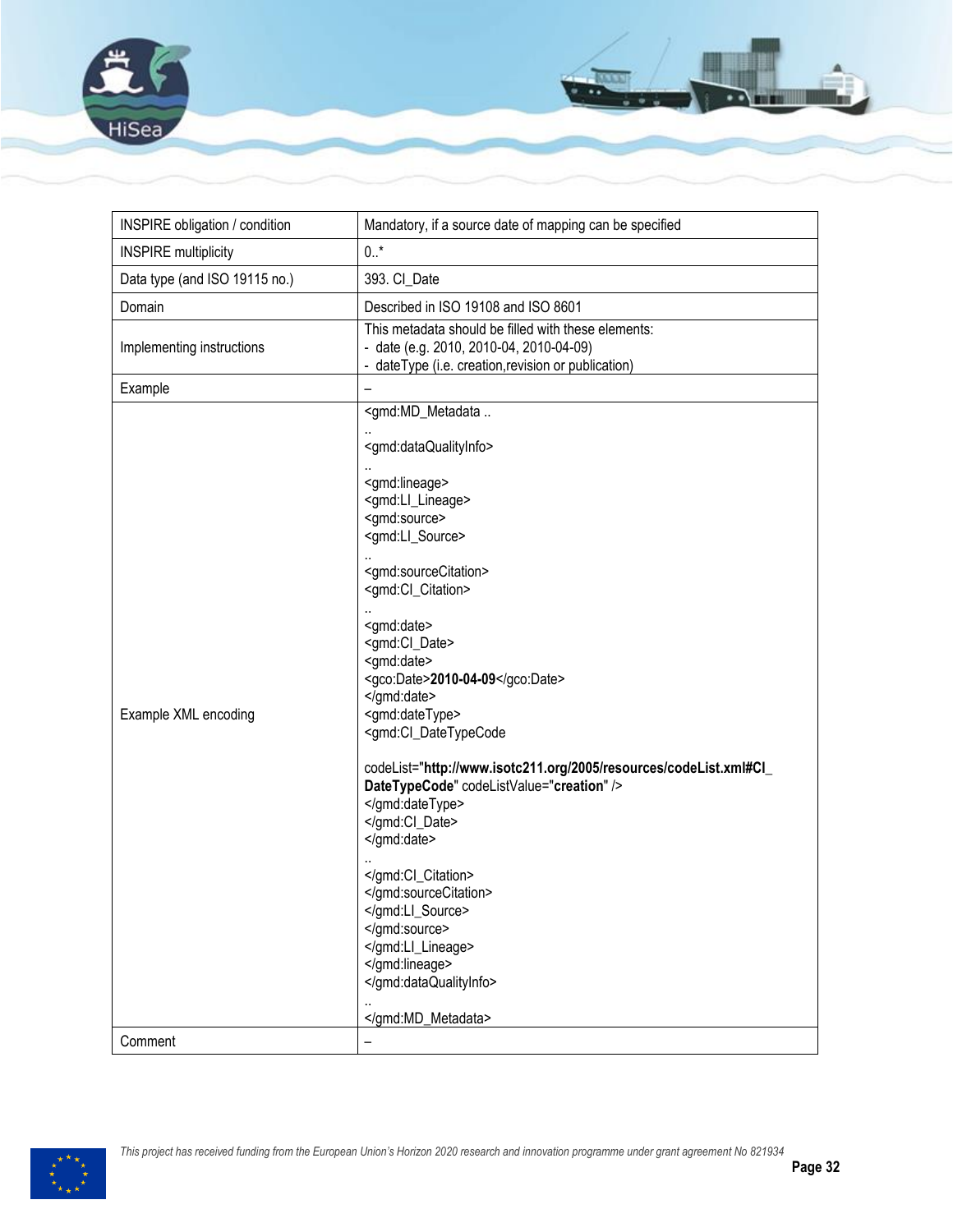

| <b>INSPIRE</b> obligation / condition | Mandatory, if a source date of mapping can be specified                                                                                                                                                                                                                                                                                                                                                                                                                                                                                                                                                                                                                                                           |
|---------------------------------------|-------------------------------------------------------------------------------------------------------------------------------------------------------------------------------------------------------------------------------------------------------------------------------------------------------------------------------------------------------------------------------------------------------------------------------------------------------------------------------------------------------------------------------------------------------------------------------------------------------------------------------------------------------------------------------------------------------------------|
| <b>INSPIRE</b> multiplicity           | $0.1*$                                                                                                                                                                                                                                                                                                                                                                                                                                                                                                                                                                                                                                                                                                            |
| Data type (and ISO 19115 no.)         | 393. CI_Date                                                                                                                                                                                                                                                                                                                                                                                                                                                                                                                                                                                                                                                                                                      |
| Domain                                | Described in ISO 19108 and ISO 8601                                                                                                                                                                                                                                                                                                                                                                                                                                                                                                                                                                                                                                                                               |
| Implementing instructions             | This metadata should be filled with these elements:<br>- date (e.g. 2010, 2010-04, 2010-04-09)<br>- dateType (i.e. creation, revision or publication)                                                                                                                                                                                                                                                                                                                                                                                                                                                                                                                                                             |
| Example                               |                                                                                                                                                                                                                                                                                                                                                                                                                                                                                                                                                                                                                                                                                                                   |
| Example XML encoding                  | <gmd:md_metadata <br=""><gmd:dataqualityinfo><br/><gmd:lineage><br/><gmd:ll_lineage><br/><gmd:source><br/><gmd:ll_source><br/><gmd:sourcecitation><br/><gmd:cl_citation><br/><gmd:date><br/><gmd:cl_date><br/><gmd:date><br/><gco:date>2010-04-09</gco:date><br/></gmd:date><br/><gmd:datetype><br/><gmd:cl_datetypecode<br>codeList="http://www.isotc211.org/2005/resources/codeList.xml#Cl_<br/>DateTypeCode" codeListValue="creation" /&gt;<br/></gmd:cl_datetypecode<br></gmd:datetype><br/></gmd:cl_date><br/></gmd:date><br/></gmd:cl_citation><br/></gmd:sourcecitation><br/><br/></gmd:ll_source></gmd:source><br/></gmd:ll_lineage><br/></gmd:lineage><br/></gmd:dataqualityinfo><br/></gmd:md_metadata> |
| Comment                               | -                                                                                                                                                                                                                                                                                                                                                                                                                                                                                                                                                                                                                                                                                                                 |

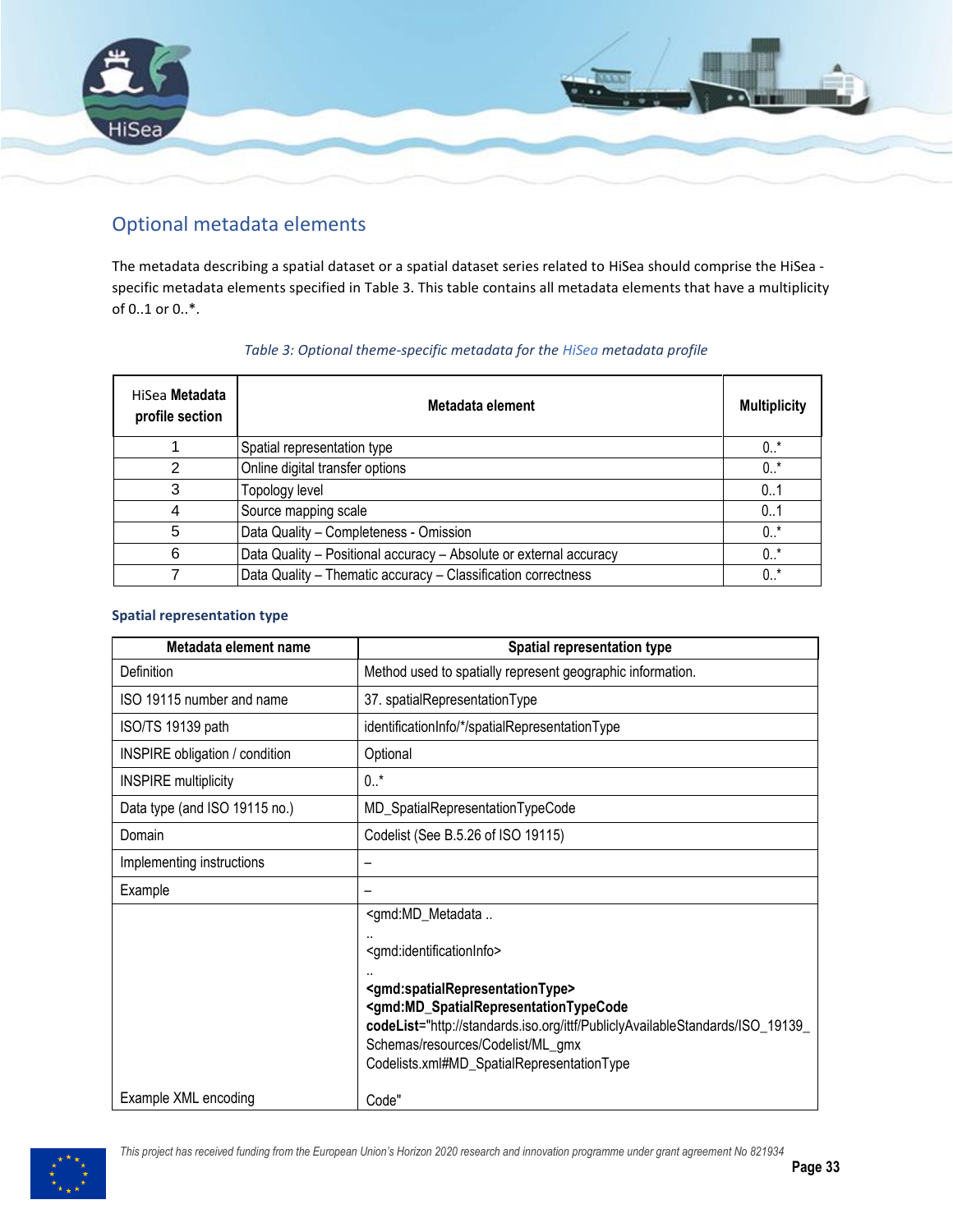

# <span id="page-32-0"></span>Optional metadata elements

The metadata describing a spatial dataset or a spatial dataset series related to HiSea should comprise the HiSea specific metadata elements specified in [Table 3.](#page-32-1) This table contains all metadata elements that have a multiplicity of 0..1 or 0..\*.

| Table 3: Optional theme-specific metadata for the HiSea metadata profile |  |
|--------------------------------------------------------------------------|--|
|--------------------------------------------------------------------------|--|

<span id="page-32-1"></span>

| HiSea Metadata<br>profile section | Metadata element                                                   | <b>Multiplicity</b> |
|-----------------------------------|--------------------------------------------------------------------|---------------------|
|                                   | Spatial representation type                                        | $0.$ *              |
| 2                                 | Online digital transfer options                                    | $0.$ *              |
| 3                                 | Topology level                                                     | 0.1                 |
| 4                                 | Source mapping scale                                               | 0.1                 |
| 5                                 | Data Quality - Completeness - Omission                             | $0.$ *              |
| 6                                 | Data Quality - Positional accuracy - Absolute or external accuracy | $0.1*$              |
|                                   | Data Quality - Thematic accuracy - Classification correctness      | $0.$ *              |

#### **Spatial representation type**

| Metadata element name                 | <b>Spatial representation type</b>                                                                                                                               |
|---------------------------------------|------------------------------------------------------------------------------------------------------------------------------------------------------------------|
| Definition                            | Method used to spatially represent geographic information.                                                                                                       |
| ISO 19115 number and name             | 37. spatialRepresentationType                                                                                                                                    |
| ISO/TS 19139 path                     | identificationInfo/*/spatialRepresentationType                                                                                                                   |
| <b>INSPIRE</b> obligation / condition | Optional                                                                                                                                                         |
| <b>INSPIRE</b> multiplicity           | $0.$ *                                                                                                                                                           |
| Data type (and ISO 19115 no.)         | MD_SpatialRepresentationTypeCode                                                                                                                                 |
| Domain                                | Codelist (See B.5.26 of ISO 19115)                                                                                                                               |
| Implementing instructions             |                                                                                                                                                                  |
| Example                               | -                                                                                                                                                                |
|                                       | <gmd:md_metadata< td=""></gmd:md_metadata<>                                                                                                                      |
|                                       | <gmd:identificationinfo></gmd:identificationinfo>                                                                                                                |
|                                       |                                                                                                                                                                  |
|                                       | <gmd:spatialrepresentationtype></gmd:spatialrepresentationtype>                                                                                                  |
|                                       | <gmd:md_spatialrepresentationtypecode<br>codeList="http://standards.iso.org/ittf/PubliclyAvailableStandards/ISO_19139_</gmd:md_spatialrepresentationtypecode<br> |
|                                       | Schemas/resources/Codelist/ML_gmx                                                                                                                                |
|                                       | Codelists.xml#MD_SpatialRepresentationType                                                                                                                       |
| Example XML encoding                  | Code"                                                                                                                                                            |

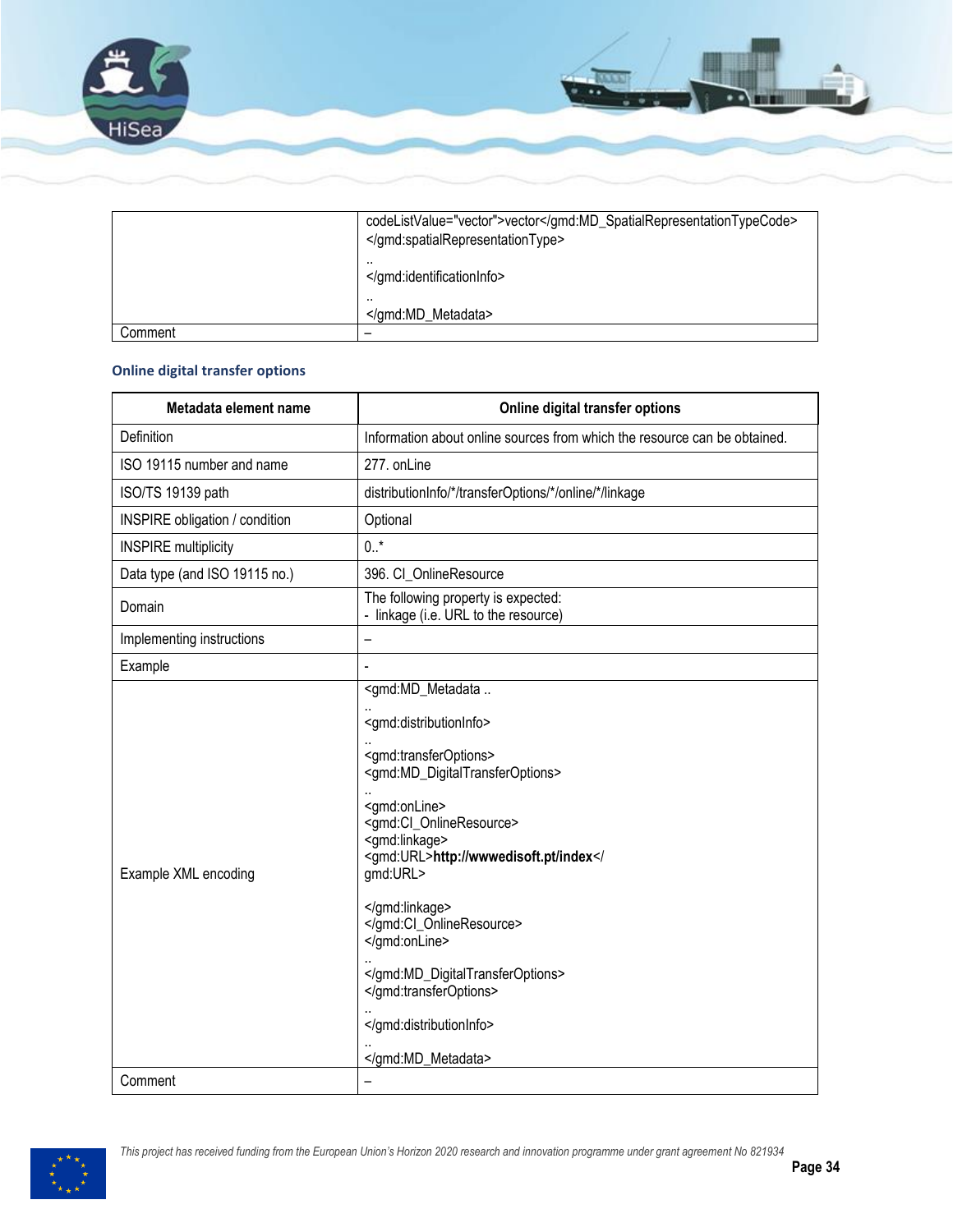

|         | codeListValue="vector">vector<br> |
|---------|-----------------------------------|
|         | <br>                              |
|         | <br>                              |
| Comment |                                   |

#### **Online digital transfer options**

| Metadata element name                 | Online digital transfer options                                                                                                                                                                                                                                                                                                                                                                                                         |
|---------------------------------------|-----------------------------------------------------------------------------------------------------------------------------------------------------------------------------------------------------------------------------------------------------------------------------------------------------------------------------------------------------------------------------------------------------------------------------------------|
| Definition                            | Information about online sources from which the resource can be obtained.                                                                                                                                                                                                                                                                                                                                                               |
| ISO 19115 number and name             | 277. onLine                                                                                                                                                                                                                                                                                                                                                                                                                             |
| ISO/TS 19139 path                     | distributionInfo/*/transferOptions/*/online/*/linkage                                                                                                                                                                                                                                                                                                                                                                                   |
| <b>INSPIRE</b> obligation / condition | Optional                                                                                                                                                                                                                                                                                                                                                                                                                                |
| <b>INSPIRE</b> multiplicity           | $0.$ *                                                                                                                                                                                                                                                                                                                                                                                                                                  |
| Data type (and ISO 19115 no.)         | 396. CI OnlineResource                                                                                                                                                                                                                                                                                                                                                                                                                  |
| Domain                                | The following property is expected:<br>- linkage (i.e. URL to the resource)                                                                                                                                                                                                                                                                                                                                                             |
| Implementing instructions             | $\overline{\phantom{0}}$                                                                                                                                                                                                                                                                                                                                                                                                                |
| Example                               |                                                                                                                                                                                                                                                                                                                                                                                                                                         |
| Example XML encoding                  | <gmd:md_metadata <br=""><gmd:distributioninfo><br/><gmd:transferoptions><br/><gmd:md_digitaltransferoptions><br/><gmd:online><br/><gmd:cl_onlineresource><br/><gmd:linkage><br/><gmd:url>http://wwwedisoft.pt/index<!--<br-->gmd:URL&gt;<br/></gmd:url></gmd:linkage><br/></gmd:cl_onlineresource><br/></gmd:online><br/></gmd:md_digitaltransferoptions><br/></gmd:transferoptions><br/></gmd:distributioninfo><br/></gmd:md_metadata> |
| Comment                               | -                                                                                                                                                                                                                                                                                                                                                                                                                                       |

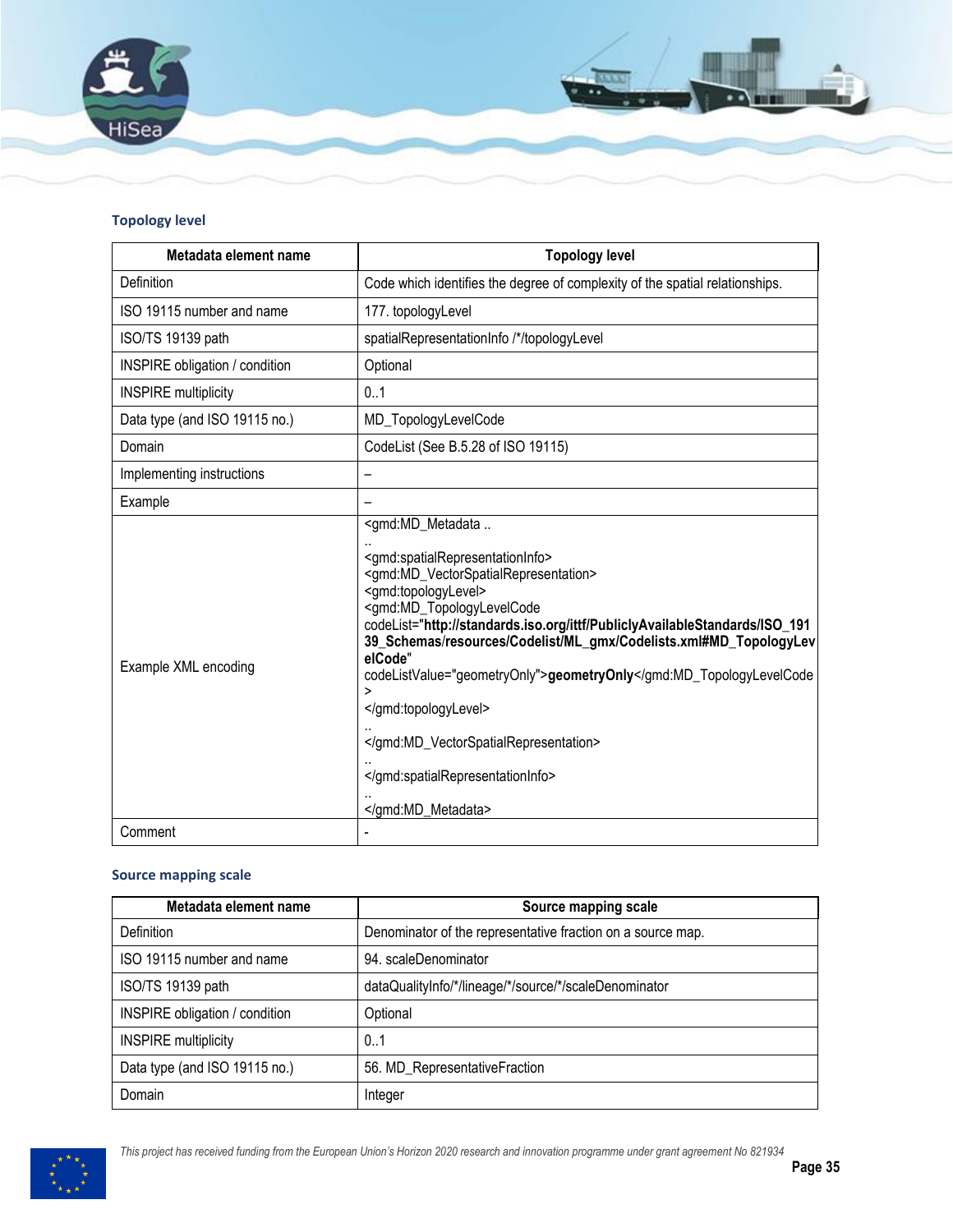

### **Topology level**

| Metadata element name                 | <b>Topology level</b>                                                                                                                                                                                                                                                                                                                                                                                                                                                                                                                           |
|---------------------------------------|-------------------------------------------------------------------------------------------------------------------------------------------------------------------------------------------------------------------------------------------------------------------------------------------------------------------------------------------------------------------------------------------------------------------------------------------------------------------------------------------------------------------------------------------------|
| Definition                            | Code which identifies the degree of complexity of the spatial relationships.                                                                                                                                                                                                                                                                                                                                                                                                                                                                    |
| ISO 19115 number and name             | 177. topologyLevel                                                                                                                                                                                                                                                                                                                                                                                                                                                                                                                              |
| ISO/TS 19139 path                     | spatialRepresentationInfo /*/topologyLevel                                                                                                                                                                                                                                                                                                                                                                                                                                                                                                      |
| <b>INSPIRE</b> obligation / condition | Optional                                                                                                                                                                                                                                                                                                                                                                                                                                                                                                                                        |
| <b>INSPIRE</b> multiplicity           | 0.1                                                                                                                                                                                                                                                                                                                                                                                                                                                                                                                                             |
| Data type (and ISO 19115 no.)         | MD_TopologyLevelCode                                                                                                                                                                                                                                                                                                                                                                                                                                                                                                                            |
| Domain                                | CodeList (See B.5.28 of ISO 19115)                                                                                                                                                                                                                                                                                                                                                                                                                                                                                                              |
| Implementing instructions             |                                                                                                                                                                                                                                                                                                                                                                                                                                                                                                                                                 |
| Example                               |                                                                                                                                                                                                                                                                                                                                                                                                                                                                                                                                                 |
| Example XML encoding                  | <gmd:md <br="" metadata=""><gmd:spatialrepresentationinfo><br/><gmd:md_vectorspatialrepresentation><br/><gmd:topologylevel><br/><gmd:md_topologylevelcode<br>codeList="http://standards.iso.org/ittf/PubliclyAvailableStandards/ISO_191<br/>39_Schemas/resources/Codelist/ML_gmx/Codelists.xml#MD_TopologyLev<br/>elCode"<br/>codeListValue="geometryOnly"&gt;geometryOnly</gmd:md_topologylevelcode<br><math>\geq</math><br/></gmd:topologylevel><br/></gmd:md_vectorspatialrepresentation><br/></gmd:spatialrepresentationinfo><br/></gmd:md> |
| Comment                               |                                                                                                                                                                                                                                                                                                                                                                                                                                                                                                                                                 |

### **Source mapping scale**

| Metadata element name                 | Source mapping scale                                        |
|---------------------------------------|-------------------------------------------------------------|
| <b>Definition</b>                     | Denominator of the representative fraction on a source map. |
| ISO 19115 number and name             | 94. scaleDenominator                                        |
| ISO/TS 19139 path                     | dataQualityInfo/*/lineage/*/source/*/scaleDenominator       |
| <b>INSPIRE</b> obligation / condition | Optional                                                    |
| <b>INSPIRE</b> multiplicity           | 0.1                                                         |
| Data type (and ISO 19115 no.)         | 56. MD_RepresentativeFraction                               |
| Domain                                | Integer                                                     |

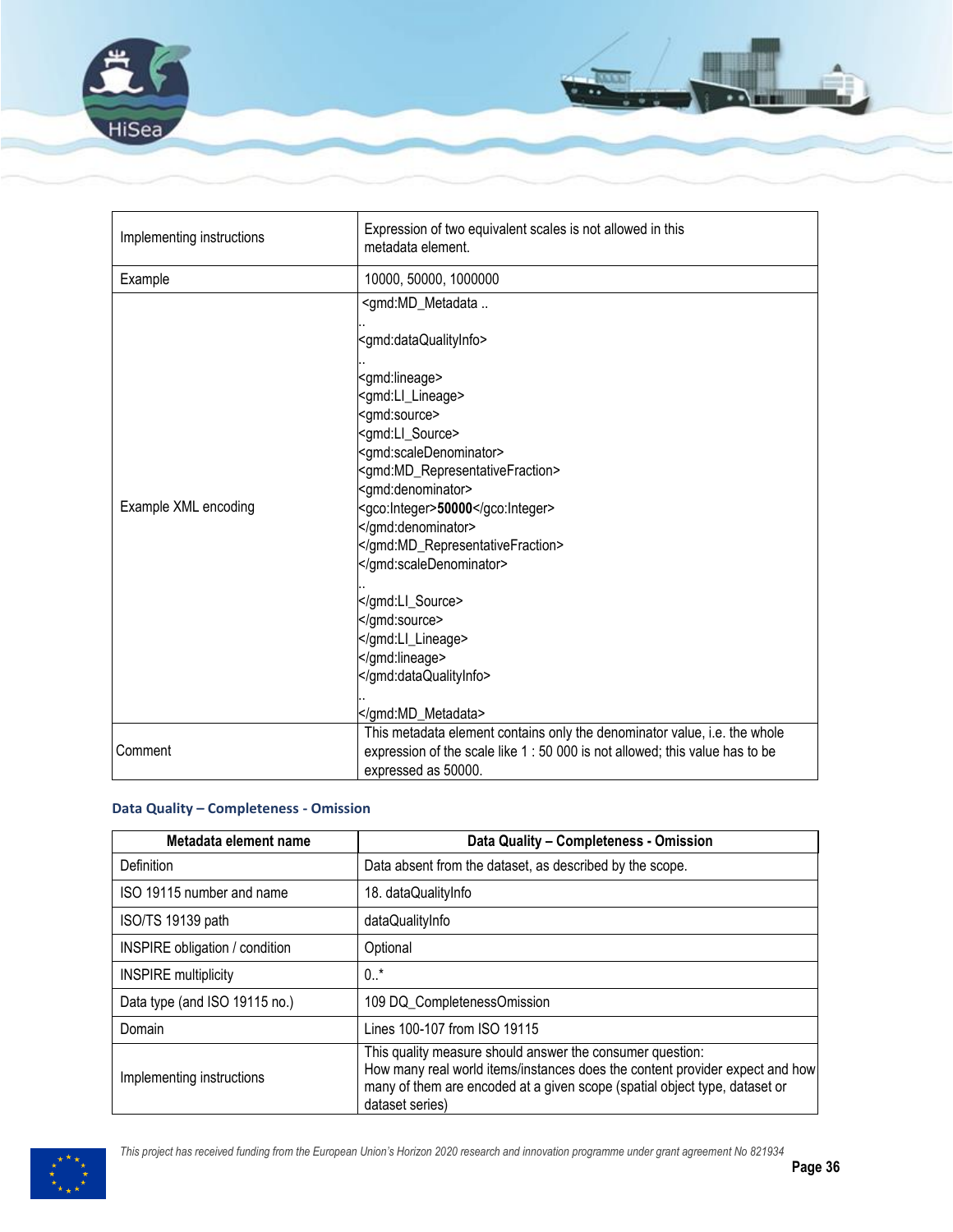

| Implementing instructions | Expression of two equivalent scales is not allowed in this<br>metadata element.                                                                                                                                                                                                                                                                                                                                                                                           |  |  |
|---------------------------|---------------------------------------------------------------------------------------------------------------------------------------------------------------------------------------------------------------------------------------------------------------------------------------------------------------------------------------------------------------------------------------------------------------------------------------------------------------------------|--|--|
| Example                   | 10000, 50000, 1000000                                                                                                                                                                                                                                                                                                                                                                                                                                                     |  |  |
| Example XML encoding      | <gmd:md_metadata <br=""><gmd:dataqualityinfo><br/><gmd:lineage><br/><gmd:ll_lineage><br/><gmd:source><br/><gmd:li source=""><br/><gmd:scaledenominator><br/><gmd:md_representativefraction><br/><gmd:denominator><br/><gco:integer>50000</gco:integer><br/></gmd:denominator><br/></gmd:md_representativefraction><br/></gmd:scaledenominator><br/><br/></gmd:li></gmd:source><br/></gmd:ll_lineage><br/></gmd:lineage><br/></gmd:dataqualityinfo><br/></gmd:md_metadata> |  |  |
| Comment                   | This metadata element contains only the denominator value, i.e. the whole<br>expression of the scale like 1 : 50 000 is not allowed; this value has to be<br>expressed as 50000.                                                                                                                                                                                                                                                                                          |  |  |

### **Data Quality – Completeness - Omission**

| Metadata element name          | Data Quality - Completeness - Omission                                                                                                                                                                                                     |
|--------------------------------|--------------------------------------------------------------------------------------------------------------------------------------------------------------------------------------------------------------------------------------------|
| Definition                     | Data absent from the dataset, as described by the scope.                                                                                                                                                                                   |
| ISO 19115 number and name      | 18. dataQualityInfo                                                                                                                                                                                                                        |
| ISO/TS 19139 path              | dataQualityInfo                                                                                                                                                                                                                            |
| INSPIRE obligation / condition | Optional                                                                                                                                                                                                                                   |
| <b>INSPIRE</b> multiplicity    | $0.$ *                                                                                                                                                                                                                                     |
| Data type (and ISO 19115 no.)  | 109 DQ CompletenessOmission                                                                                                                                                                                                                |
| Domain                         | Lines 100-107 from ISO 19115                                                                                                                                                                                                               |
| Implementing instructions      | This quality measure should answer the consumer question:<br>How many real world items/instances does the content provider expect and how<br>many of them are encoded at a given scope (spatial object type, dataset or<br>dataset series) |

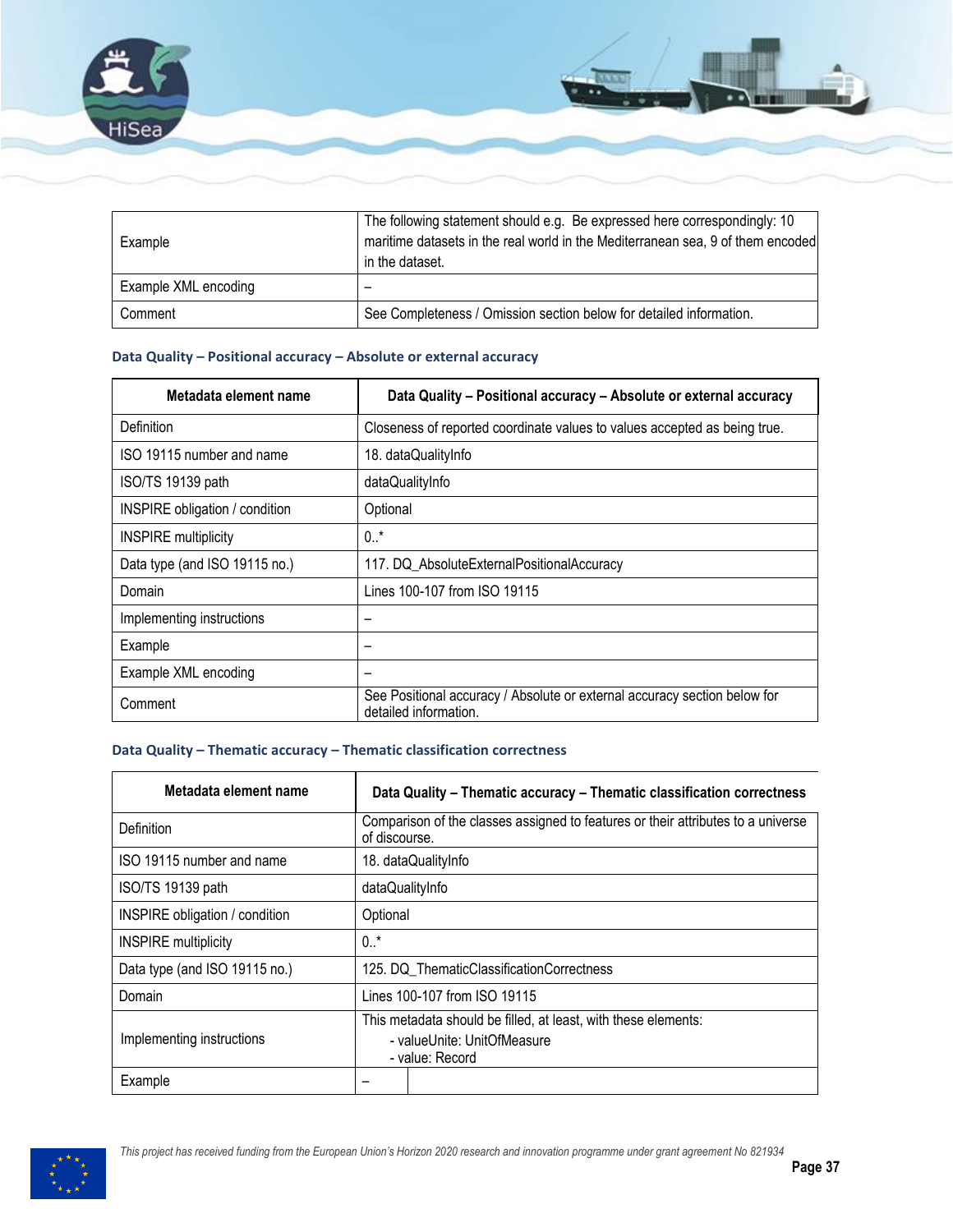

| Example              | The following statement should e.g. Be expressed here correspondingly: 10<br>maritime datasets in the real world in the Mediterranean sea, 9 of them encoded<br>in the dataset. |
|----------------------|---------------------------------------------------------------------------------------------------------------------------------------------------------------------------------|
| Example XML encoding |                                                                                                                                                                                 |
| Comment              | See Completeness / Omission section below for detailed information.                                                                                                             |

#### **Data Quality – Positional accuracy – Absolute or external accuracy**

| Metadata element name          | Data Quality - Positional accuracy - Absolute or external accuracy                                 |
|--------------------------------|----------------------------------------------------------------------------------------------------|
| <b>Definition</b>              | Closeness of reported coordinate values to values accepted as being true.                          |
| ISO 19115 number and name      | 18. dataQualityInfo                                                                                |
| ISO/TS 19139 path              | dataQualityInfo                                                                                    |
| INSPIRE obligation / condition | Optional                                                                                           |
| <b>INSPIRE</b> multiplicity    | $0.$ *                                                                                             |
| Data type (and ISO 19115 no.)  | 117. DQ AbsoluteExternalPositionalAccuracy                                                         |
| Domain                         | Lines 100-107 from ISO 19115                                                                       |
| Implementing instructions      |                                                                                                    |
| Example                        |                                                                                                    |
| Example XML encoding           |                                                                                                    |
| Comment                        | See Positional accuracy / Absolute or external accuracy section below for<br>detailed information. |

#### **Data Quality – Thematic accuracy – Thematic classification correctness**

| Metadata element name                 |                                           | Data Quality - Thematic accuracy - Thematic classification correctness                                           |
|---------------------------------------|-------------------------------------------|------------------------------------------------------------------------------------------------------------------|
| Definition                            | of discourse.                             | Comparison of the classes assigned to features or their attributes to a universe                                 |
| ISO 19115 number and name             | 18. dataQualityInfo                       |                                                                                                                  |
| ISO/TS 19139 path                     | dataQualityInfo                           |                                                                                                                  |
| <b>INSPIRE</b> obligation / condition | Optional                                  |                                                                                                                  |
| <b>INSPIRE</b> multiplicity           | 0.1                                       |                                                                                                                  |
| Data type (and ISO 19115 no.)         | 125. DQ ThematicClassificationCorrectness |                                                                                                                  |
| Domain                                |                                           | Lines 100-107 from ISO 19115                                                                                     |
| Implementing instructions             |                                           | This metadata should be filled, at least, with these elements:<br>- valueUnite: UnitOfMeasure<br>- value: Record |
| Example                               |                                           |                                                                                                                  |

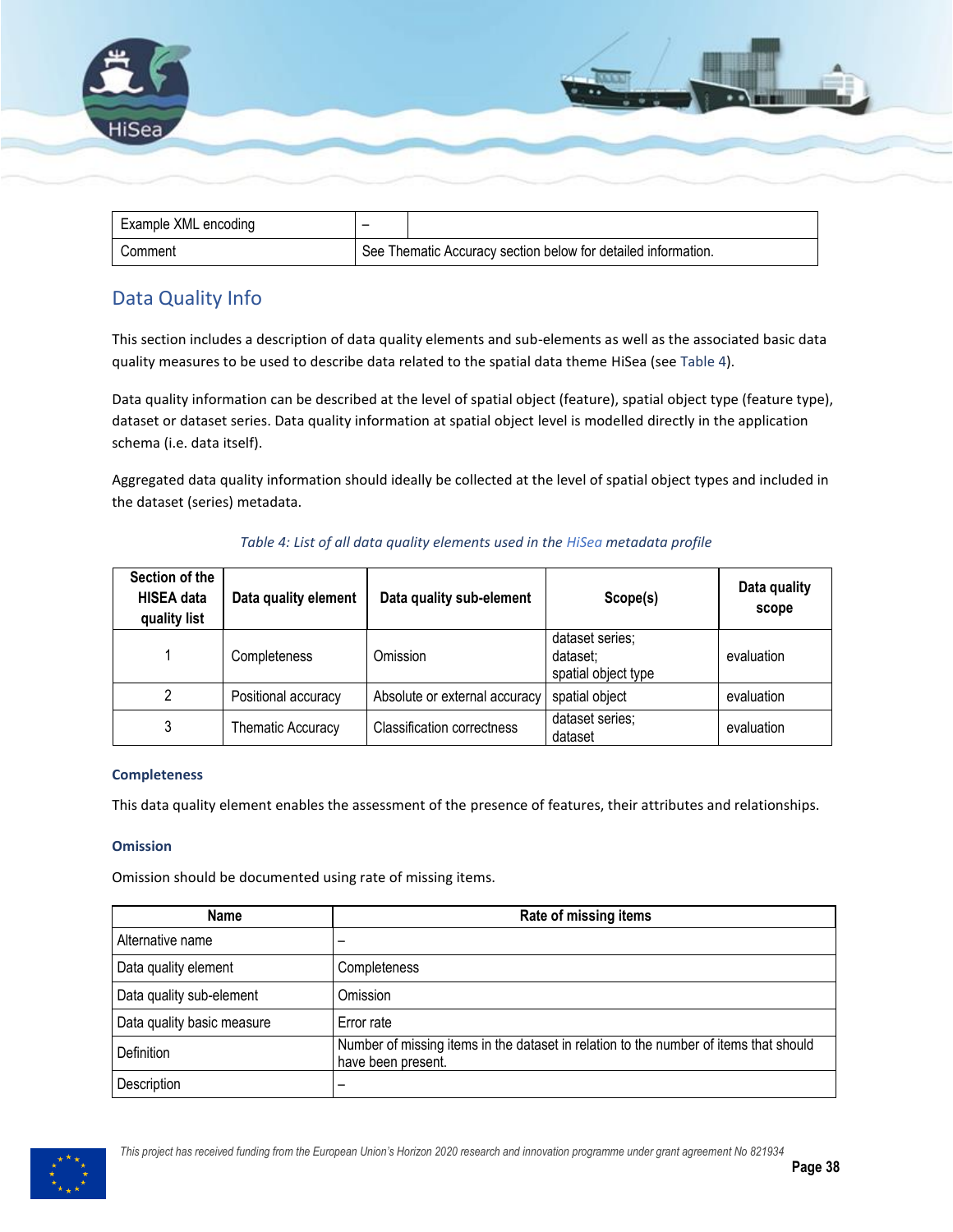

| Example XML encoding | - |                                                               |
|----------------------|---|---------------------------------------------------------------|
| Comment              |   | See Thematic Accuracy section below for detailed information. |

# <span id="page-37-0"></span>Data Quality Info

This section includes a description of data quality elements and sub-elements as well as the associated basic data quality measures to be used to describe data related to the spatial data theme HiSea (see [Table 4\)](#page-37-1).

Data quality information can be described at the level of spatial object (feature), spatial object type (feature type), dataset or dataset series. Data quality information at spatial object level is modelled directly in the application schema (i.e. data itself).

Aggregated data quality information should ideally be collected at the level of spatial object types and included in the dataset (series) metadata.

#### *Table 4: List of all data quality elements used in the HiSea metadata profile*

<span id="page-37-1"></span>

| Section of the<br><b>HISEA data</b><br>quality list | Data quality element | Data quality sub-element          | Scope(s)                                           | Data quality<br>scope |
|-----------------------------------------------------|----------------------|-----------------------------------|----------------------------------------------------|-----------------------|
|                                                     | Completeness         | <b>Omission</b>                   | dataset series;<br>dataset;<br>spatial object type | evaluation            |
|                                                     | Positional accuracy  | Absolute or external accuracy     | spatial object                                     | evaluation            |
| 3                                                   | Thematic Accuracy    | <b>Classification correctness</b> | dataset series;<br>dataset                         | evaluation            |

#### **Completeness**

This data quality element enables the assessment of the presence of features, their attributes and relationships.

#### **Omission**

Omission should be documented using rate of missing items.

| <b>Name</b>                | Rate of missing items                                                                                       |
|----------------------------|-------------------------------------------------------------------------------------------------------------|
| Alternative name           |                                                                                                             |
| Data quality element       | Completeness                                                                                                |
| Data quality sub-element   | Omission                                                                                                    |
| Data quality basic measure | Error rate                                                                                                  |
| Definition                 | Number of missing items in the dataset in relation to the number of items that should<br>have been present. |
| Description                |                                                                                                             |

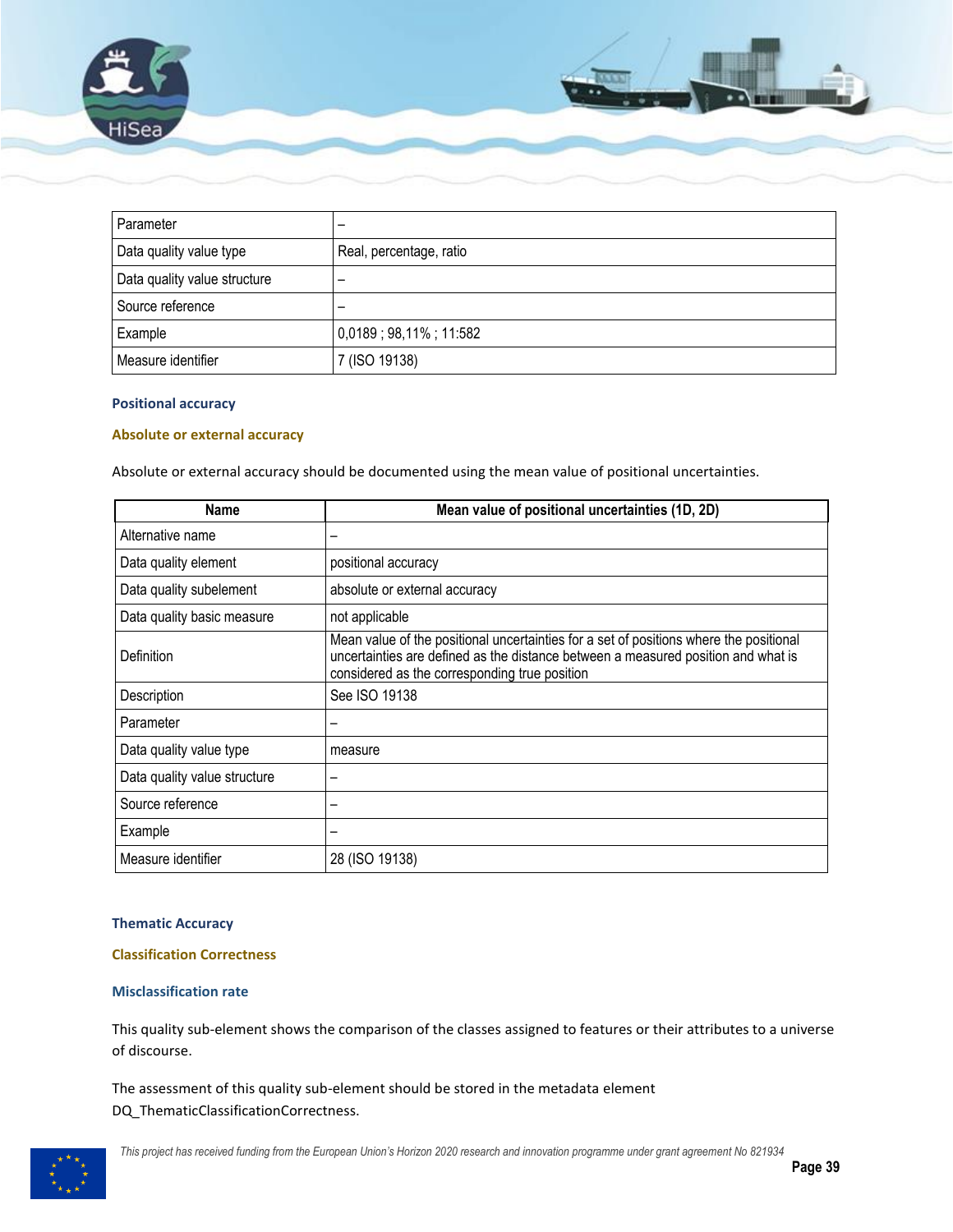

| Parameter                    | -                         |
|------------------------------|---------------------------|
| Data quality value type      | Real, percentage, ratio   |
| Data quality value structure | -                         |
| Source reference             | -                         |
| Example                      | $0,0189; 98,11\%; 11:582$ |
| Measure identifier           | 7 (ISO 19138)             |

#### **Positional accuracy**

#### **Absolute or external accuracy**

Absolute or external accuracy should be documented using the mean value of positional uncertainties.

| <b>Name</b>                  | Mean value of positional uncertainties (1D, 2D)                                                                                                                                                                              |
|------------------------------|------------------------------------------------------------------------------------------------------------------------------------------------------------------------------------------------------------------------------|
| Alternative name             | -                                                                                                                                                                                                                            |
| Data quality element         | positional accuracy                                                                                                                                                                                                          |
| Data quality subelement      | absolute or external accuracy                                                                                                                                                                                                |
| Data quality basic measure   | not applicable                                                                                                                                                                                                               |
| <b>Definition</b>            | Mean value of the positional uncertainties for a set of positions where the positional<br>uncertainties are defined as the distance between a measured position and what is<br>considered as the corresponding true position |
| Description                  | See ISO 19138                                                                                                                                                                                                                |
| Parameter                    |                                                                                                                                                                                                                              |
| Data quality value type      | measure                                                                                                                                                                                                                      |
| Data quality value structure |                                                                                                                                                                                                                              |
| Source reference             |                                                                                                                                                                                                                              |
| Example                      |                                                                                                                                                                                                                              |
| Measure identifier           | 28 (ISO 19138)                                                                                                                                                                                                               |

#### **Thematic Accuracy**

#### **Classification Correctness**

#### **Misclassification rate**

This quality sub-element shows the comparison of the classes assigned to features or their attributes to a universe of discourse.

The assessment of this quality sub-element should be stored in the metadata element DQ\_ThematicClassificationCorrectness.

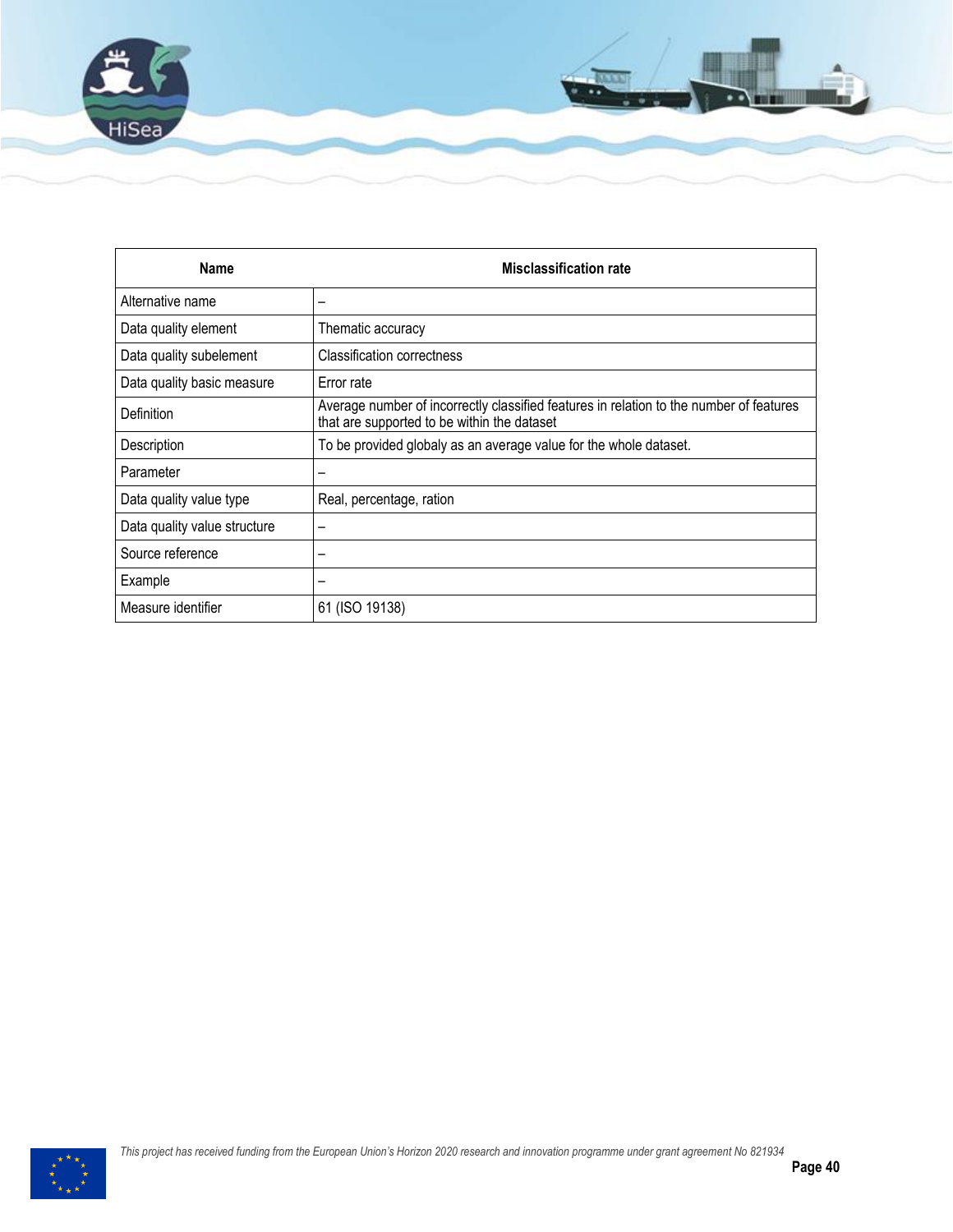

| Name                         | <b>Misclassification rate</b>                                                                                                          |
|------------------------------|----------------------------------------------------------------------------------------------------------------------------------------|
| Alternative name             | -                                                                                                                                      |
| Data quality element         | Thematic accuracy                                                                                                                      |
| Data quality subelement      | <b>Classification correctness</b>                                                                                                      |
| Data quality basic measure   | Error rate                                                                                                                             |
| Definition                   | Average number of incorrectly classified features in relation to the number of features<br>that are supported to be within the dataset |
| Description                  | To be provided globaly as an average value for the whole dataset.                                                                      |
| Parameter                    | -                                                                                                                                      |
| Data quality value type      | Real, percentage, ration                                                                                                               |
| Data quality value structure |                                                                                                                                        |
| Source reference             | -                                                                                                                                      |
| Example                      | -                                                                                                                                      |
| Measure identifier           | 61 (ISO 19138)                                                                                                                         |

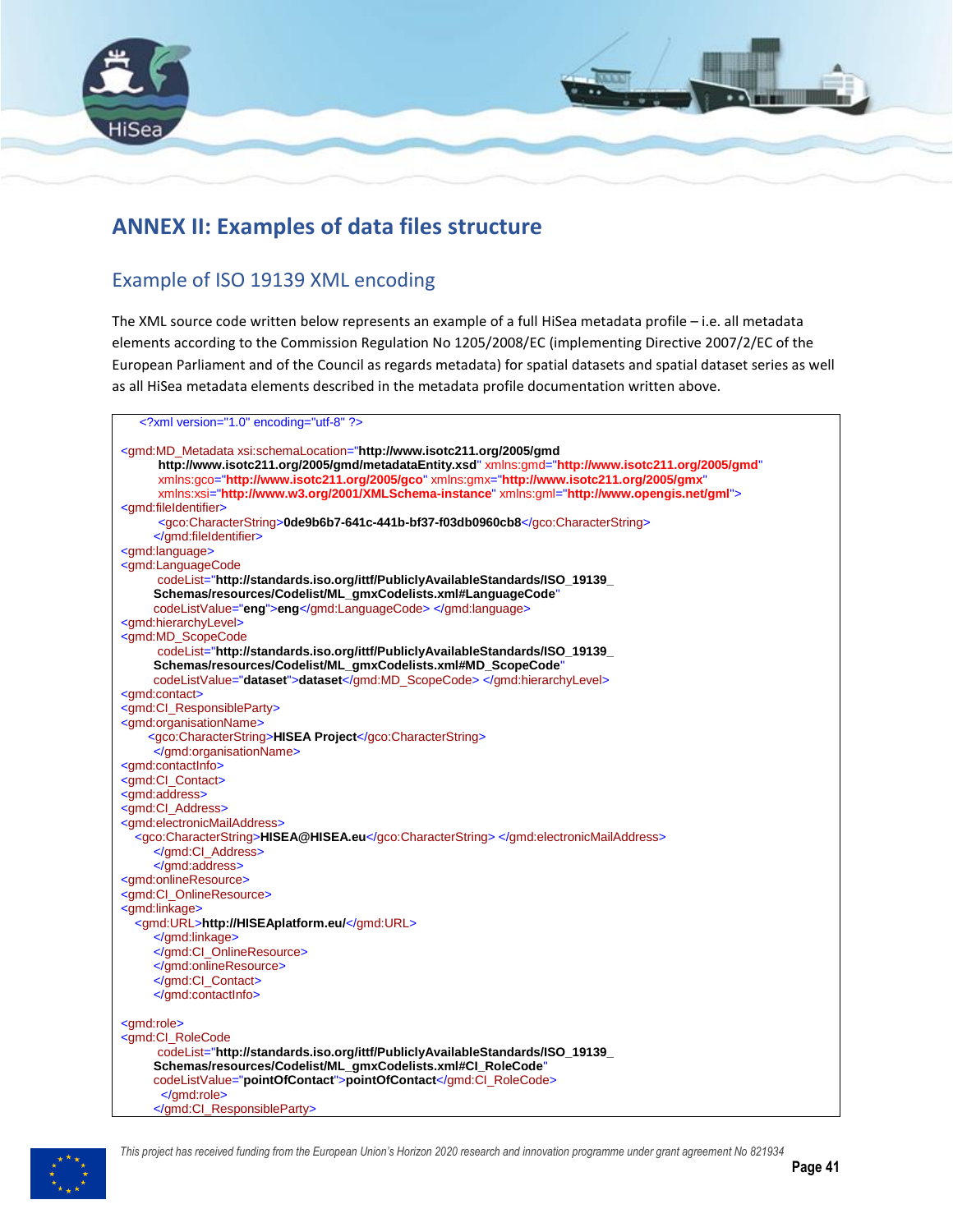

# <span id="page-40-0"></span>**ANNEX II: Examples of data files structure**

# <span id="page-40-1"></span>Example of ISO 19139 XML encoding

The XML source code written below represents an example of a full HiSea metadata profile – i.e. all metadata elements according to the Commission Regulation No 1205/2008/EC (implementing Directive 2007/2/EC of the European Parliament and of the Council as regards metadata) for spatial datasets and spatial dataset series as well as all HiSea metadata elements described in the metadata profile documentation written above.

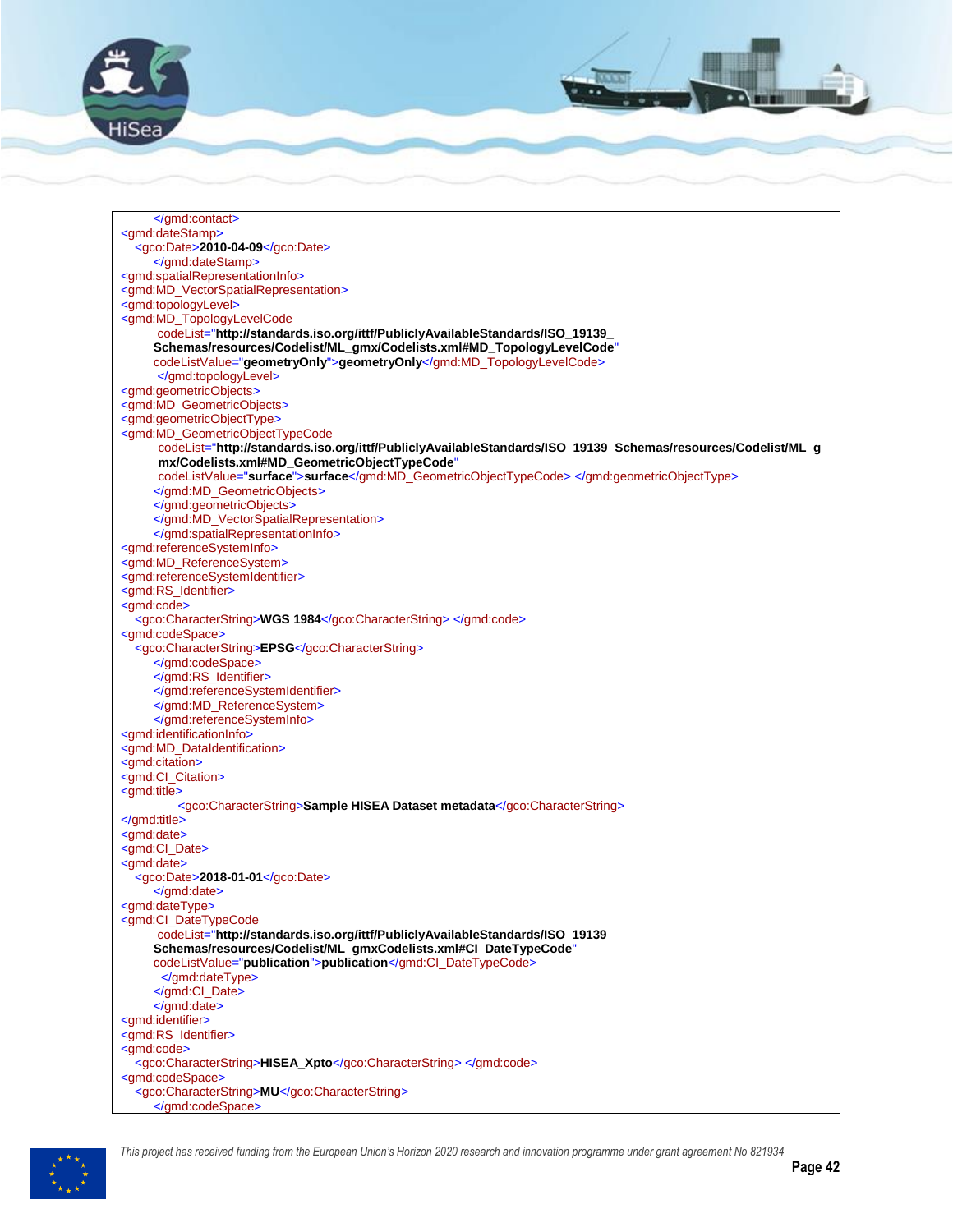

| $\alpha$ /gmd:contact>                                                                                       |
|--------------------------------------------------------------------------------------------------------------|
| <gmd:datestamp></gmd:datestamp>                                                                              |
| <gco:date>2010-04-09</gco:date>                                                                              |
|                                                                                                              |
| <gmd:spatialrepresentationinfo></gmd:spatialrepresentationinfo>                                              |
| <gmd:md_vectorspatialrepresentation></gmd:md_vectorspatialrepresentation>                                    |
| <gmd:topologylevel></gmd:topologylevel>                                                                      |
| <gmd:md_topologylevelcode< td=""></gmd:md_topologylevelcode<>                                                |
| codeList="http://standards.iso.org/ittf/PubliclyAvailableStandards/ISO_19139_                                |
| Schemas/resources/Codelist/ML_gmx/Codelists.xml#MD_TopologyLevelCode"                                        |
| codeListValue="geometryOnly">geometryOnly                                                                    |
|                                                                                                              |
| <gmd:geometricobjects></gmd:geometricobjects>                                                                |
| <gmd:md_geometricobjects></gmd:md_geometricobjects>                                                          |
| <gmd:geometricobjecttype></gmd:geometricobjecttype>                                                          |
| <gmd:md_geometricobjecttypecode< td=""></gmd:md_geometricobjecttypecode<>                                    |
| codeList="http://standards.iso.org/ittf/PubliclyAvailableStandards/ISO_19139_Schemas/resources/Codelist/ML_g |
| mx/Codelists.xml#MD_GeometricObjectTypeCode"                                                                 |
| codeListValue="surface">surface                                                                              |
|                                                                                                              |
|                                                                                                              |
|                                                                                                              |
|                                                                                                              |
| <gmd:referencesysteminfo></gmd:referencesysteminfo>                                                          |
| <gmd:md_referencesystem></gmd:md_referencesystem>                                                            |
| <gmd:referencesystemidentifier></gmd:referencesystemidentifier>                                              |
| <gmd:rs identifier=""></gmd:rs>                                                                              |
| <gmd:code></gmd:code>                                                                                        |
| <gco:characterstring>WGS 1984</gco:characterstring>                                                          |
| <gmd:codespace></gmd:codespace>                                                                              |
| <gco:characterstring>EPSG</gco:characterstring>                                                              |
|                                                                                                              |
|                                                                                                              |
|                                                                                                              |
|                                                                                                              |
|                                                                                                              |
| <gmd:identificationinfo></gmd:identificationinfo>                                                            |
| <gmd:md_dataidentification></gmd:md_dataidentification>                                                      |
| <gmd:citation></gmd:citation>                                                                                |
| <gmd:cl_citation></gmd:cl_citation>                                                                          |
| <gmd:title></gmd:title>                                                                                      |
| <gco:characterstring>Sample HISEA Dataset metadata</gco:characterstring>                                     |
| $\le$ /gmd:title>                                                                                            |
| <gmd:date></gmd:date>                                                                                        |
| <gmd:cl date=""></gmd:cl>                                                                                    |
| <gmd:date></gmd:date>                                                                                        |
| <gco:date>2018-01-01</gco:date>                                                                              |
|                                                                                                              |
| $\le$ /gmd:date>                                                                                             |
| <gmd:datetype><br/><gmd:cl_datetypecode< td=""></gmd:cl_datetypecode<></gmd:datetype>                        |
| codeList="http://standards.iso.org/ittf/PubliclyAvailableStandards/ISO_19139_                                |
| Schemas/resources/Codelist/ML_gmxCodelists.xml#Cl_DateTypeCode"                                              |
| codeListValue="publication">publication                                                                      |
|                                                                                                              |
|                                                                                                              |
| $\le$ /gmd:date>                                                                                             |
| <gmd:identifier></gmd:identifier>                                                                            |
| <gmd:rs identifier=""></gmd:rs>                                                                              |
| <gmd:code></gmd:code>                                                                                        |
| <gco:characterstring>HISEA_Xpto</gco:characterstring>                                                        |
| <gmd:codespace></gmd:codespace>                                                                              |
| <gco:characterstring>MU</gco:characterstring>                                                                |
|                                                                                                              |
|                                                                                                              |

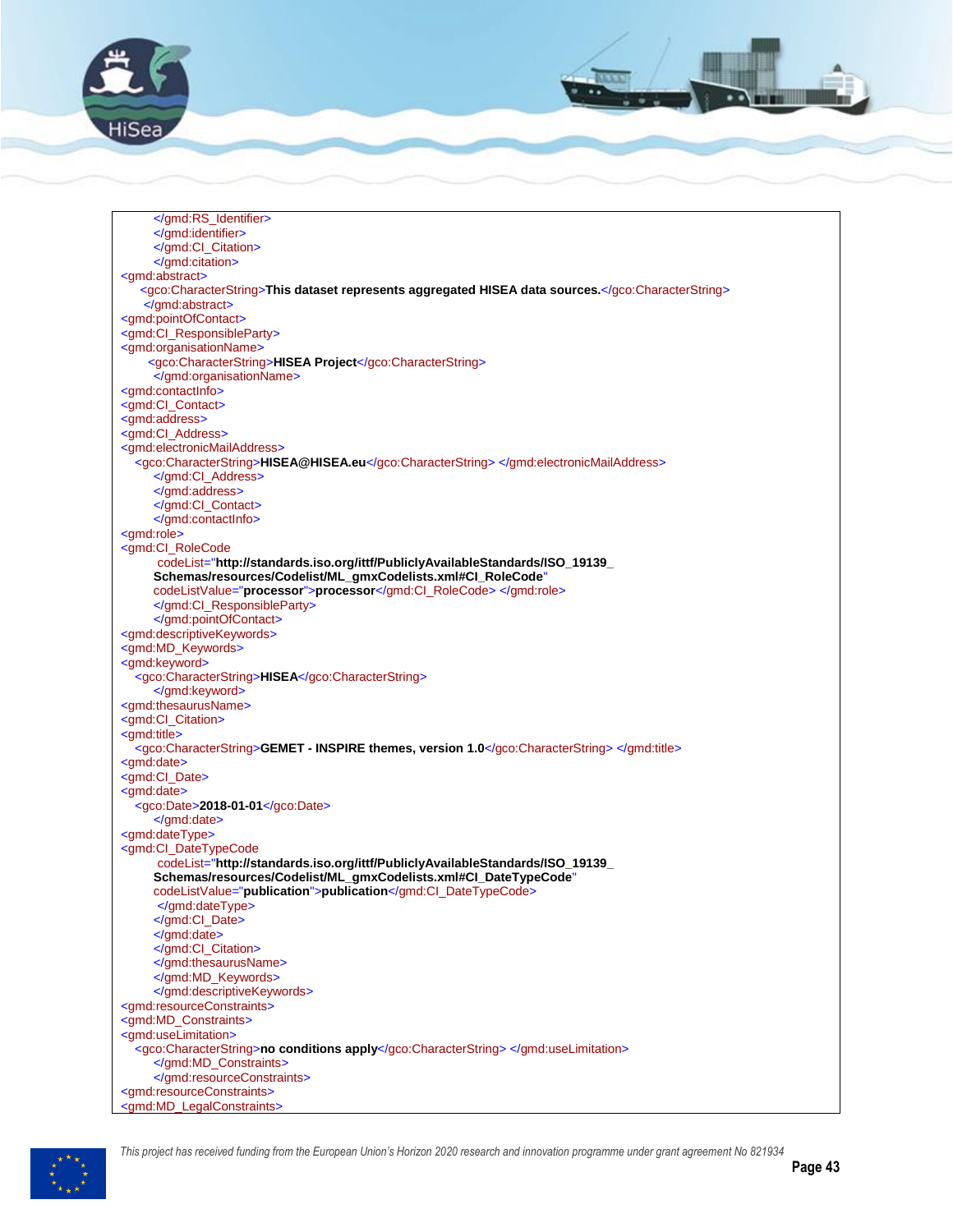



</gmd:RS\_Identifier> </gmd:identifier> </gmd:CI\_Citation> </gmd:citation> <gmd:abstract> <gco:CharacterString>**This dataset represents aggregated HISEA data sources.**</gco:CharacterString> </gmd:abstract> <gmd:pointOfContact> <gmd:CI\_ResponsibleParty> <gmd:organisationName> <gco:CharacterString>**HISEA Project**</gco:CharacterString> </gmd:organisationName> <gmd:contactInfo> <gmd:CI\_Contact> <gmd:address> <gmd:CI\_Address> <gmd:electronicMailAddress> <gco:CharacterString>**HISEA@HISEA.eu**</gco:CharacterString> </gmd:electronicMailAddress> </gmd:CI\_Address> </gmd:address> </gmd:CI\_Contact> </gmd:contactInfo> <gmd:role> <gmd:CI\_RoleCode codeList="**http://standards.iso.org/ittf/PubliclyAvailableStandards/ISO\_19139\_ Schemas/resources/Codelist/ML\_gmxCodelists.xml#CI\_RoleCode**" codeListValue="**processor**">**processor**</gmd:CI\_RoleCode> </gmd:role> </gmd:CI\_ResponsibleParty> </gmd:pointOfContact> <gmd:descriptiveKeywords> <gmd:MD\_Keywords> <gmd:keyword> <gco:CharacterString>**HISEA**</gco:CharacterString> </gmd:keyword> <gmd:thesaurusName> <gmd:CI\_Citation> <gmd:title> <gco:CharacterString>**GEMET - INSPIRE themes, version 1.0**</gco:CharacterString> </gmd:title> <gmd:date> <gmd:CI\_Date> <gmd:date> <gco:Date>**2018-01-01**</gco:Date> </gmd:date> <gmd:dateType> <gmd:CI\_DateTypeCode codeList="**http://standards.iso.org/ittf/PubliclyAvailableStandards/ISO\_19139\_ Schemas/resources/Codelist/ML\_gmxCodelists.xml#CI\_DateTypeCode**" codeListValue="**publication**">**publication**</gmd:CI\_DateTypeCode> </gmd:dateType> </gmd:CI\_Date> </gmd:date> </gmd:CI\_Citation> </gmd:thesaurusName> </gmd:MD\_Keywords> </gmd:descriptiveKeywords> <gmd:resourceConstraints> <gmd:MD\_Constraints> <gmd:useLimitation> <gco:CharacterString>**no conditions apply**</gco:CharacterString> </gmd:useLimitation> </gmd:MD\_Constraints> </gmd:resourceConstraints> <gmd:resourceConstraints> <gmd:MD\_LegalConstraints>

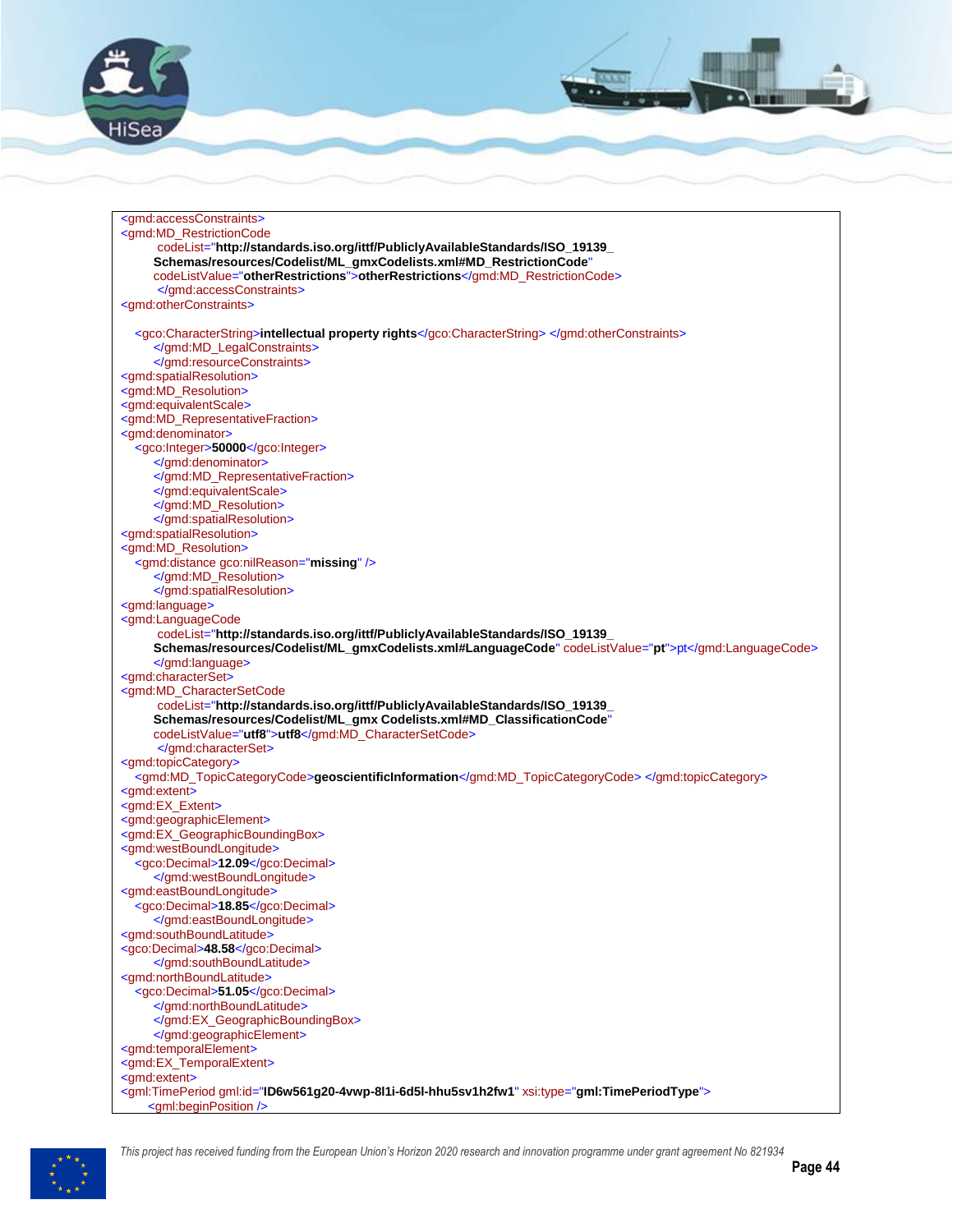



<gmd:accessConstraints> <gmd:MD\_RestrictionCode codeList="**http://standards.iso.org/ittf/PubliclyAvailableStandards/ISO\_19139\_ Schemas/resources/Codelist/ML\_gmxCodelists.xml#MD\_RestrictionCode**" codeListValue="**otherRestrictions**">**otherRestrictions**</gmd:MD\_RestrictionCode> </gmd:accessConstraints> <gmd:otherConstraints> <gco:CharacterString>**intellectual property rights**</gco:CharacterString> </gmd:otherConstraints> </gmd:MD\_LegalConstraints> </gmd:resourceConstraints> <gmd:spatialResolution> <gmd:MD\_Resolution> <gmd:equivalentScale> <gmd:MD\_RepresentativeFraction> <gmd:denominator> <gco:Integer>**50000**</gco:Integer> </gmd:denominator> </gmd:MD\_RepresentativeFraction> </gmd:equivalentScale> </gmd:MD\_Resolution> </gmd:spatialResolution> <gmd:spatialResolution> <gmd:MD\_Resolution> <gmd:distance gco:nilReason="**missing**" /> </gmd:MD\_Resolution> </gmd:spatialResolution> <gmd:language> <gmd:LanguageCode codeList="**http://standards.iso.org/ittf/PubliclyAvailableStandards/ISO\_19139\_ Schemas/resources/Codelist/ML\_gmxCodelists.xml#LanguageCode**" codeListValue="**pt**">pt</gmd:LanguageCode> </gmd:language> <gmd:characterSet> <gmd:MD\_CharacterSetCode codeList="**http://standards.iso.org/ittf/PubliclyAvailableStandards/ISO\_19139\_ Schemas/resources/Codelist/ML\_gmx Codelists.xml#MD\_ClassificationCode**" codeListValue="**utf8**">**utf8**</gmd:MD\_CharacterSetCode> </gmd:characterSet> <gmd:topicCategory> <gmd:MD\_TopicCategoryCode>**geoscientificInformation**</gmd:MD\_TopicCategoryCode> </gmd:topicCategory> <gmd:extent> <gmd:EX\_Extent> <gmd:geographicElement> <gmd:EX\_GeographicBoundingBox> <gmd:westBoundLongitude> <gco:Decimal>**12.09**</gco:Decimal> </gmd:westBoundLongitude> <gmd:eastBoundLongitude> <gco:Decimal>**18.85**</gco:Decimal> </gmd:eastBoundLongitude> <gmd:southBoundLatitude> <gco:Decimal>**48.58**</gco:Decimal> </gmd:southBoundLatitude> <gmd:northBoundLatitude> <gco:Decimal>**51.05**</gco:Decimal> </gmd:northBoundLatitude> </gmd:EX\_GeographicBoundingBox> </gmd:geographicElement> <gmd:temporalElement> <gmd:EX\_TemporalExtent> <gmd:extent> <gml:TimePeriod gml:id="**ID6w561g20-4vwp-8l1i-6d5l-hhu5sv1h2fw1**" xsi:type="**gml:TimePeriodType**"> <gml:beginPosition />

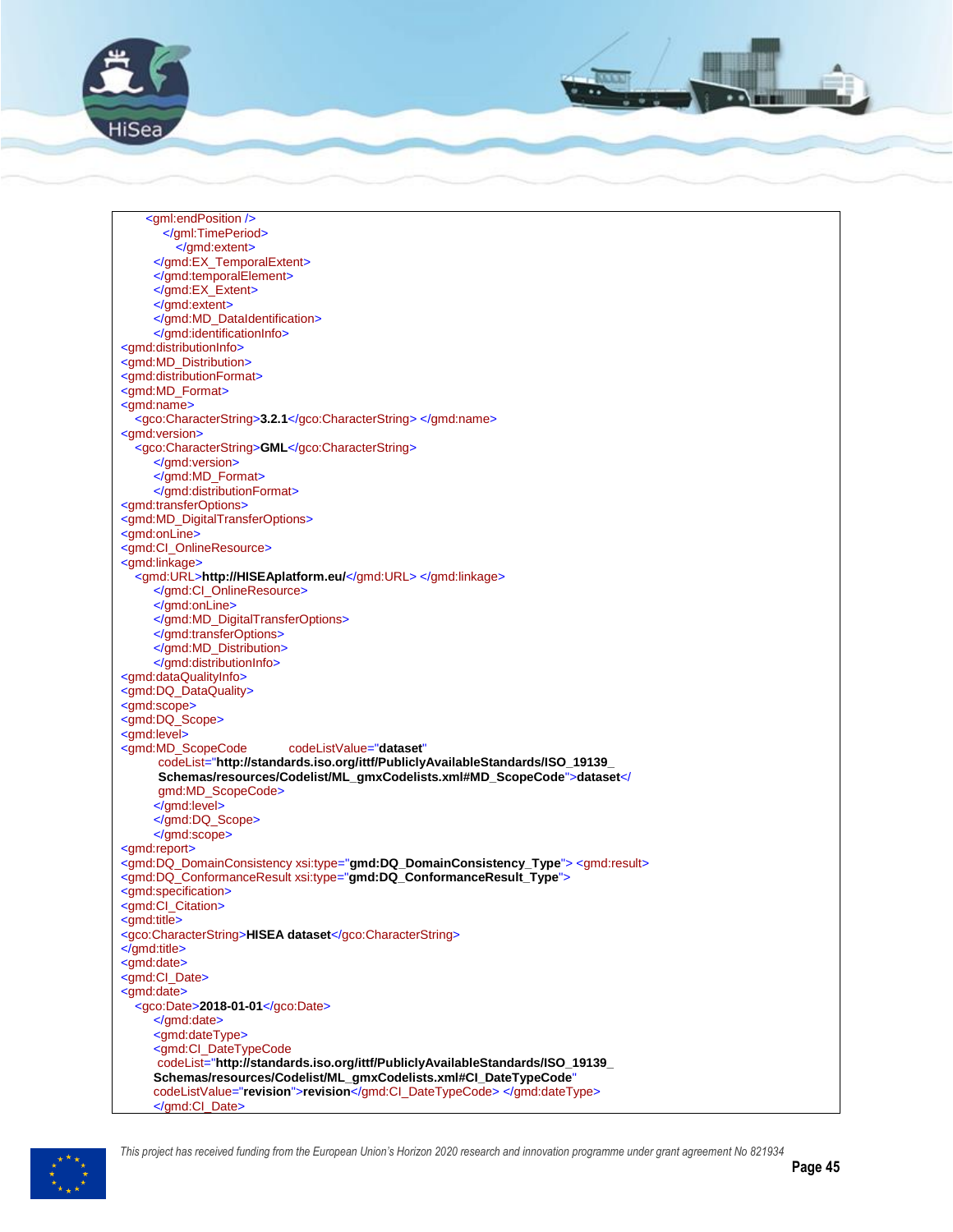



<gml:endPosition /> </gml:TimePeriod> </gmd:extent> </gmd:EX\_TemporalExtent> </gmd:temporalElement> </gmd:EX\_Extent> </gmd:extent> </gmd:MD\_DataIdentification> </gmd:identificationInfo> <gmd:distributionInfo> <gmd:MD\_Distribution> <gmd:distributionFormat> <gmd:MD\_Format> <gmd:name> <gco:CharacterString>**3.2.1**</gco:CharacterString> </gmd:name> <gmd:version> <gco:CharacterString>**GML**</gco:CharacterString> </gmd:version> </gmd:MD\_Format> </gmd:distributionFormat> <gmd:transferOptions> <gmd:MD\_DigitalTransferOptions> <gmd:onLine> <gmd:CI\_OnlineResource> <gmd:linkage> <gmd:URL>**http://HISEAplatform.eu/**</gmd:URL> </gmd:linkage> </gmd:CI\_OnlineResource> </gmd:onLine> </gmd:MD\_DigitalTransferOptions> </gmd:transferOptions> </gmd:MD\_Distribution> </gmd:distributionInfo> <gmd:dataQualityInfo> <gmd:DQ\_DataQuality> <gmd:scope> <gmd:DQ\_Scope> <gmd:level><br><gmd:MD ScopeCode  $codeListValue="dataset"$ codeList="**http://standards.iso.org/ittf/PubliclyAvailableStandards/ISO\_19139\_ Schemas/resources/Codelist/ML\_gmxCodelists.xml#MD\_ScopeCode**">**dataset**</ gmd:MD\_ScopeCode> </gmd:level> </gmd:DQ\_Scope> </gmd:scope> <gmd:report> <gmd:DQ\_DomainConsistency xsi:type="**gmd:DQ\_DomainConsistency\_Type**"> <gmd:result> <gmd:DQ\_ConformanceResult xsi:type="**gmd:DQ\_ConformanceResult\_Type**"> <gmd:specification> <gmd:CI\_Citation> <gmd:title> <gco:CharacterString>**HISEA dataset**</gco:CharacterString> </gmd:title> <gmd:date> <gmd:CI\_Date> <gmd:date> <gco:Date>**2018-01-01**</gco:Date> </gmd:date> <gmd:dateType> <gmd:CI\_DateTypeCode codeList="**http://standards.iso.org/ittf/PubliclyAvailableStandards/ISO\_19139\_ Schemas/resources/Codelist/ML\_gmxCodelists.xml#CI\_DateTypeCode**" codeListValue="**revision**">**revision**</gmd:CI\_DateTypeCode> </gmd:dateType> </gmd:CI\_Date>

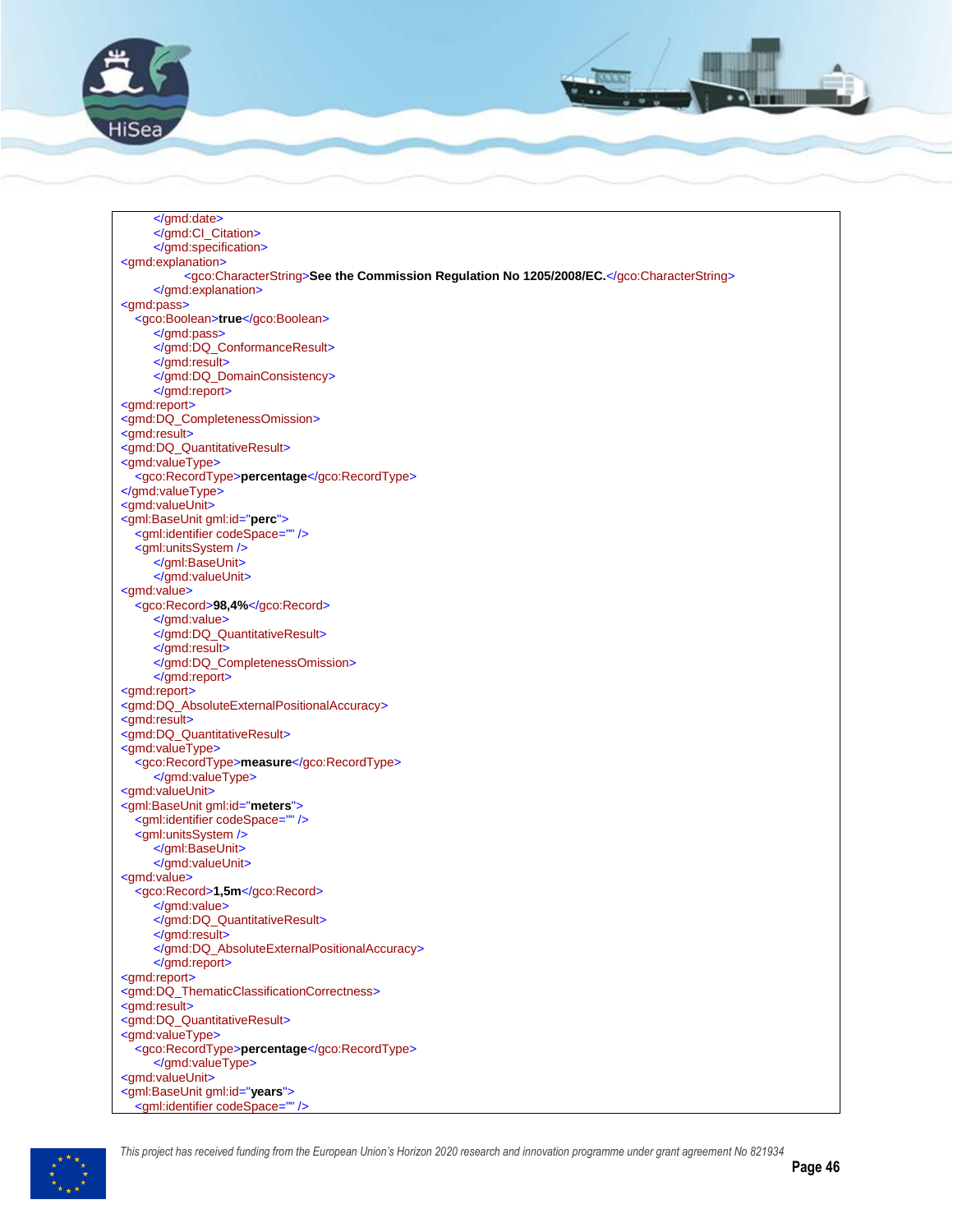



</gmd:date> </gmd:CI\_Citation> </gmd:specification> <gmd:explanation> <gco:CharacterString>**See the Commission Regulation No 1205/2008/EC.**</gco:CharacterString> </gmd:explanation> <gmd:pass> <gco:Boolean>**true**</gco:Boolean> </gmd:pass> </gmd:DQ\_ConformanceResult> </gmd:result> </gmd:DQ\_DomainConsistency> </gmd:report> <gmd:report> <gmd:DQ\_CompletenessOmission> <gmd:result> <gmd:DQ\_QuantitativeResult> <gmd:valueType> <gco:RecordType>**percentage**</gco:RecordType> </gmd:valueType> <gmd:valueUnit> <gml:BaseUnit gml:id="**perc**"> <gml:identifier codeSpace="" /> <gml:unitsSystem /> </gml:BaseUnit> </gmd:valueUnit> <gmd:value> <gco:Record>**98,4%**</gco:Record> </gmd:value> </gmd:DQ\_QuantitativeResult> </gmd:result> </gmd:DQ\_CompletenessOmission> </gmd:report> <gmd:report> <gmd:DQ\_AbsoluteExternalPositionalAccuracy> <gmd:result> <gmd:DQ\_QuantitativeResult> <gmd:valueType> <gco:RecordType>**measure**</gco:RecordType> </gmd:valueType> <gmd:valueUnit> <gml:BaseUnit gml:id="**meters**"> <gml:identifier codeSpace="" /> <gml:unitsSystem /> </gml:BaseUnit> </gmd:valueUnit> <gmd:value> <gco:Record>**1,5m**</gco:Record> </gmd:value> </gmd:DQ\_QuantitativeResult> </gmd:result> </gmd:DQ\_AbsoluteExternalPositionalAccuracy> </gmd:report> <gmd:report> <gmd:DQ\_ThematicClassificationCorrectness> <gmd:result> <gmd:DQ\_QuantitativeResult> <gmd:valueType> <gco:RecordType>**percentage**</gco:RecordType> </gmd:valueType> <gmd:valueUnit> <gml:BaseUnit gml:id="**years**"> <gml:identifier codeSpace="" />

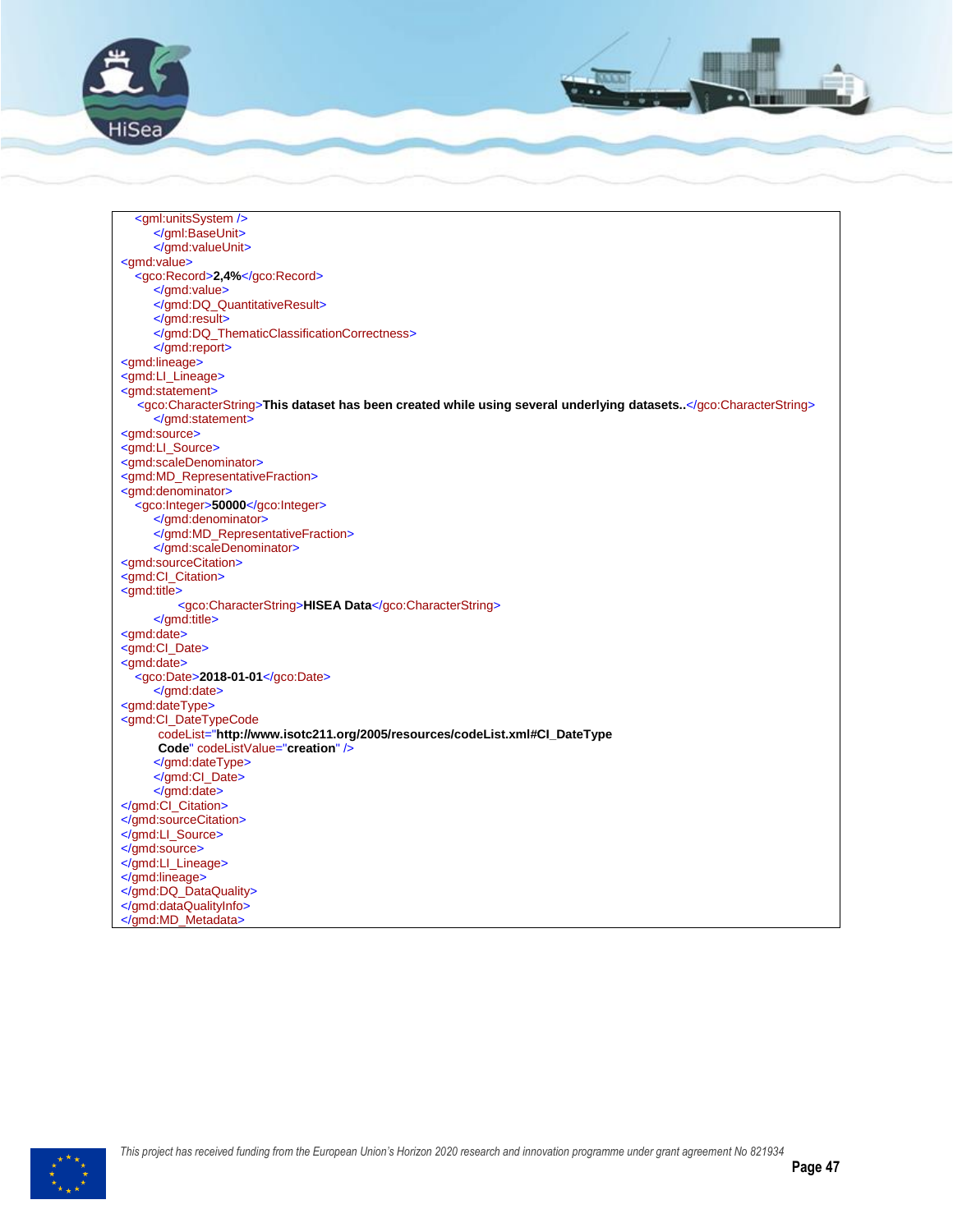



<gml:unitsSystem /> </gml:BaseUnit> </gmd:valueUnit> <gmd:value> <gco:Record>**2,4%**</gco:Record> </gmd:value> </gmd:DQ\_QuantitativeResult> </gmd:result> </gmd:DQ\_ThematicClassificationCorrectness> </gmd:report> <gmd:lineage> <gmd:LI\_Lineage> <gmd:statement> <gco:CharacterString>**This dataset has been created while using several underlying datasets..**</gco:CharacterString> </gmd:statement> <gmd:source> <gmd:LI\_Source> <gmd:scaleDenominator> <gmd:MD\_RepresentativeFraction> <gmd:denominator> <gco:Integer>**50000**</gco:Integer> </gmd:denominator> </gmd:MD\_RepresentativeFraction> </gmd:scaleDenominator> <gmd:sourceCitation> <gmd:CI\_Citation> <gmd:title> <gco:CharacterString>**HISEA Data**</gco:CharacterString> </gmd:title> <gmd:date> <gmd:CI\_Date> <gmd:date> <gco:Date>**2018-01-01**</gco:Date> </gmd:date> <gmd:dateType> <gmd:CI\_DateTypeCode codeList="**http://www.isotc211.org/2005/resources/codeList.xml#CI\_DateType Code**" codeListValue="**creation**" /> </gmd:dateType> </gmd:CI\_Date> </gmd:date> </gmd:CI\_Citation> </gmd:sourceCitation> </gmd:LI\_Source> </gmd:source> </gmd:LI\_Lineage> </gmd:lineage> </gmd:DQ\_DataQuality> </gmd:dataQualityInfo> </gmd:MD\_Metadata>

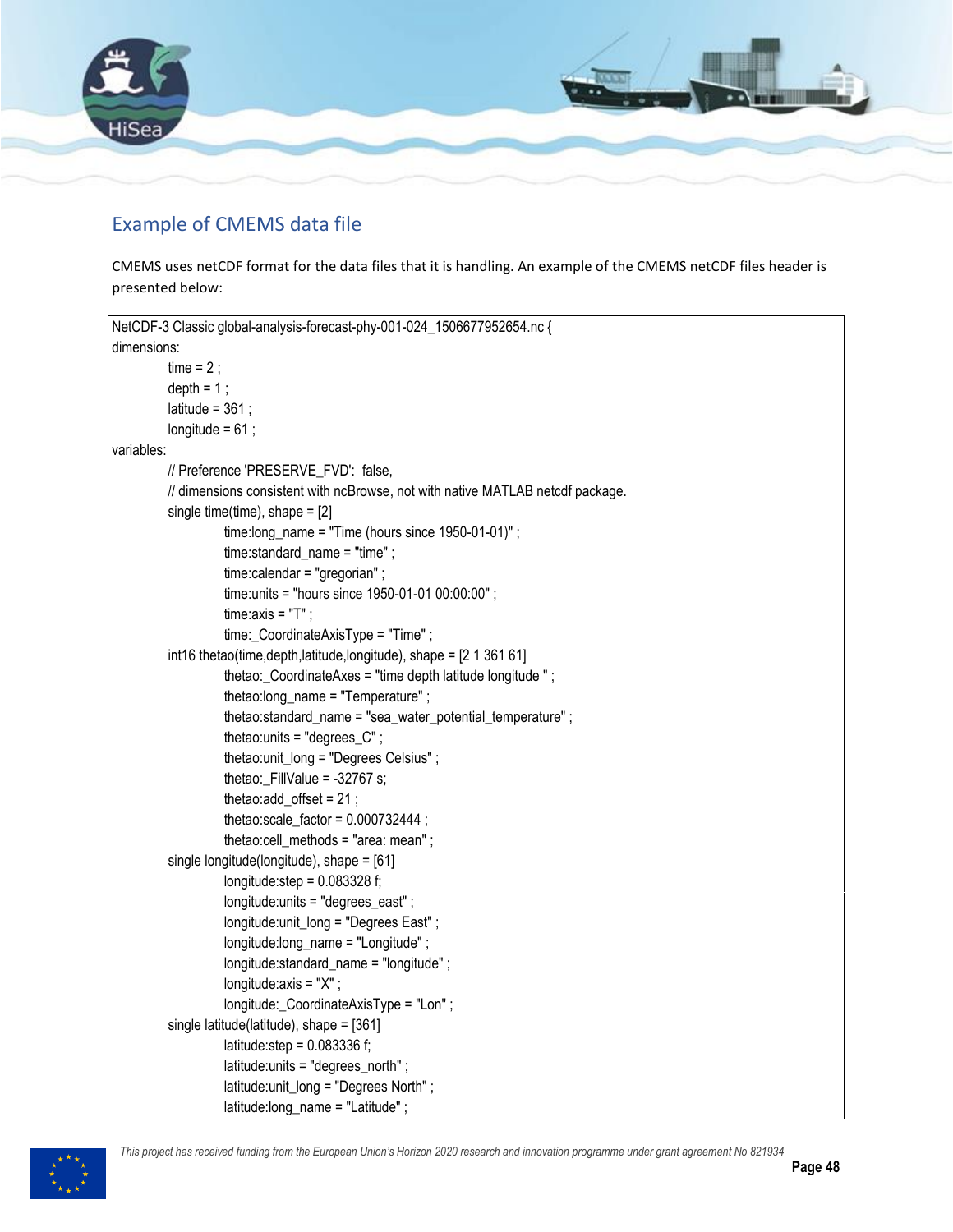

# <span id="page-47-0"></span>Example of CMEMS data file

CMEMS uses netCDF format for the data files that it is handling. An example of the CMEMS netCDF files header is presented below:

```
NetCDF-3 Classic global-analysis-forecast-phy-001-024 1506677952654.nc {
dimensions:
         time = 2 ;
         depth = 1;
         latitude = 361 ;
         longitude = 61 ;
variables:
         // Preference 'PRESERVE_FVD': false,
         // dimensions consistent with ncBrowse, not with native MATLAB netcdf package.
         single time(time), shape = [2]
                   time:long_name = "Time (hours since 1950-01-01)" ;
                   time:standard_name = "time" ;
                   time:calendar = "gregorian" ;
                   time:units = "hours since 1950-01-01 00:00:00" ;
                   time: axis = "T";
                   time:_CoordinateAxisType = "Time" ;
         int16 thetao(time,depth,latitude,longitude), shape = [2 1 361 61]
                   thetao:_CoordinateAxes = "time depth latitude longitude " ;
                   thetao:long_name = "Temperature" ;
                   thetao:standard_name = "sea_water_potential_temperature" ;
                   thetao:units = "degrees_C" ;
                   thetao:unit_long = "Degrees Celsius" ;
                   thetao:_FillValue = -32767 s;
                   thetao:add_offset = 21 ;
                   thetao:scale factor = 0.000732444 ;
                   thetao:cell_methods = "area: mean" ;
         single longitude(longitude), shape = [61]
                   longitude:step = 0.083328 f;
                   longitude:units = "degrees_east" ;
                   longitude:unit_long = "Degrees East" ;
                   longitude:long_name = "Longitude" ;
                   longitude:standard_name = "longitude" ;
                   longitude:axis = "X" ;
                   longitude:_CoordinateAxisType = "Lon" ;
         single latitude(latitude), shape = [361]
                   latitude:step = 0.083336 f;
                   latitude:units = "degrees_north" ;
                   latitude:unit_long = "Degrees North" ;
                   latitude:long_name = "Latitude" ;
```
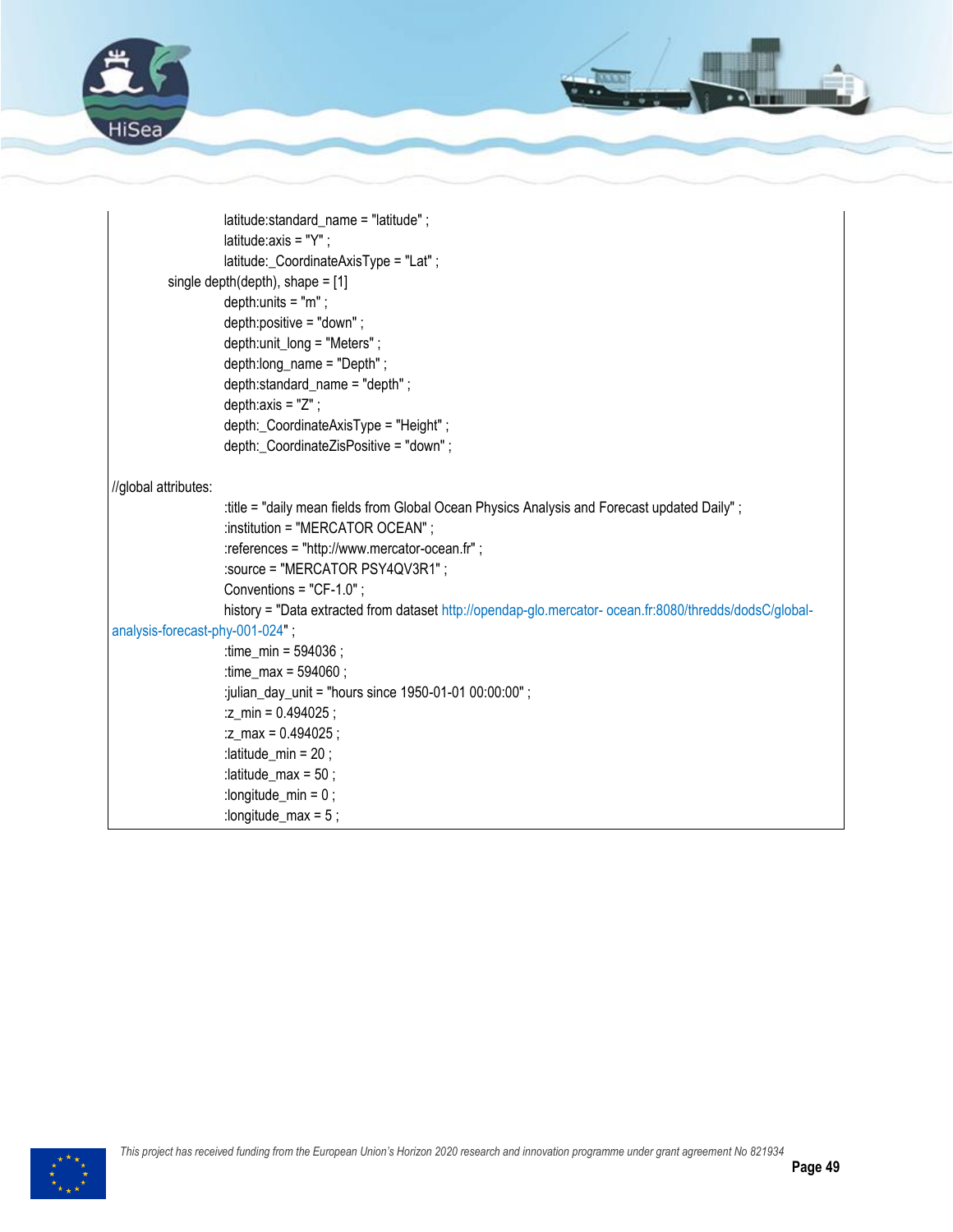



|                                 | latitude:standard_name = "latitude";                                                                    |  |
|---------------------------------|---------------------------------------------------------------------------------------------------------|--|
|                                 | $lattice: axis = "Y"$ ;                                                                                 |  |
|                                 | latitude: CoordinateAxisType = "Lat";                                                                   |  |
|                                 | single depth(depth), shape $= [1]$                                                                      |  |
|                                 | $depth: units = "m"$ ;                                                                                  |  |
|                                 | depth:positive = "down";                                                                                |  |
|                                 | depth:unit_long = "Meters";                                                                             |  |
|                                 | depth:long name = "Depth";                                                                              |  |
|                                 | depth:standard_name = "depth";                                                                          |  |
|                                 | $depth: axis = "Z"$ ;                                                                                   |  |
|                                 | depth:_CoordinateAxisType = "Height";                                                                   |  |
|                                 | depth:_CoordinateZisPositive = "down";                                                                  |  |
| //global attributes:            |                                                                                                         |  |
|                                 | : title = "daily mean fields from Global Ocean Physics Analysis and Forecast updated Daily";            |  |
|                                 | :institution = "MERCATOR OCEAN";                                                                        |  |
|                                 | : references = "http://www.mercator-ocean.fr" ;                                                         |  |
|                                 | :source = "MERCATOR PSY4QV3R1";                                                                         |  |
|                                 | Conventions = $"CF-1.0"$ ;                                                                              |  |
|                                 | history = "Data extracted from dataset http://opendap-glo.mercator- ocean.fr:8080/thredds/dodsC/global- |  |
| analysis-forecast-phy-001-024"; |                                                                                                         |  |
|                                 | :time_min = $594036$ ;                                                                                  |  |
|                                 | :time $max = 594060$ ;                                                                                  |  |
|                                 | :julian_day_unit = "hours since 1950-01-01 00:00:00";                                                   |  |
|                                 | $:z_{min} = 0.494025$ ;                                                                                 |  |
|                                 | $:z_{max} = 0.494025$ ;                                                                                 |  |
|                                 | : latitude_min = $20$ ;                                                                                 |  |
|                                 | : latitude_max = $50$ ;                                                                                 |  |
|                                 | : longitude_min = $0$ ;                                                                                 |  |
|                                 | : longitude_max = $5$ :                                                                                 |  |

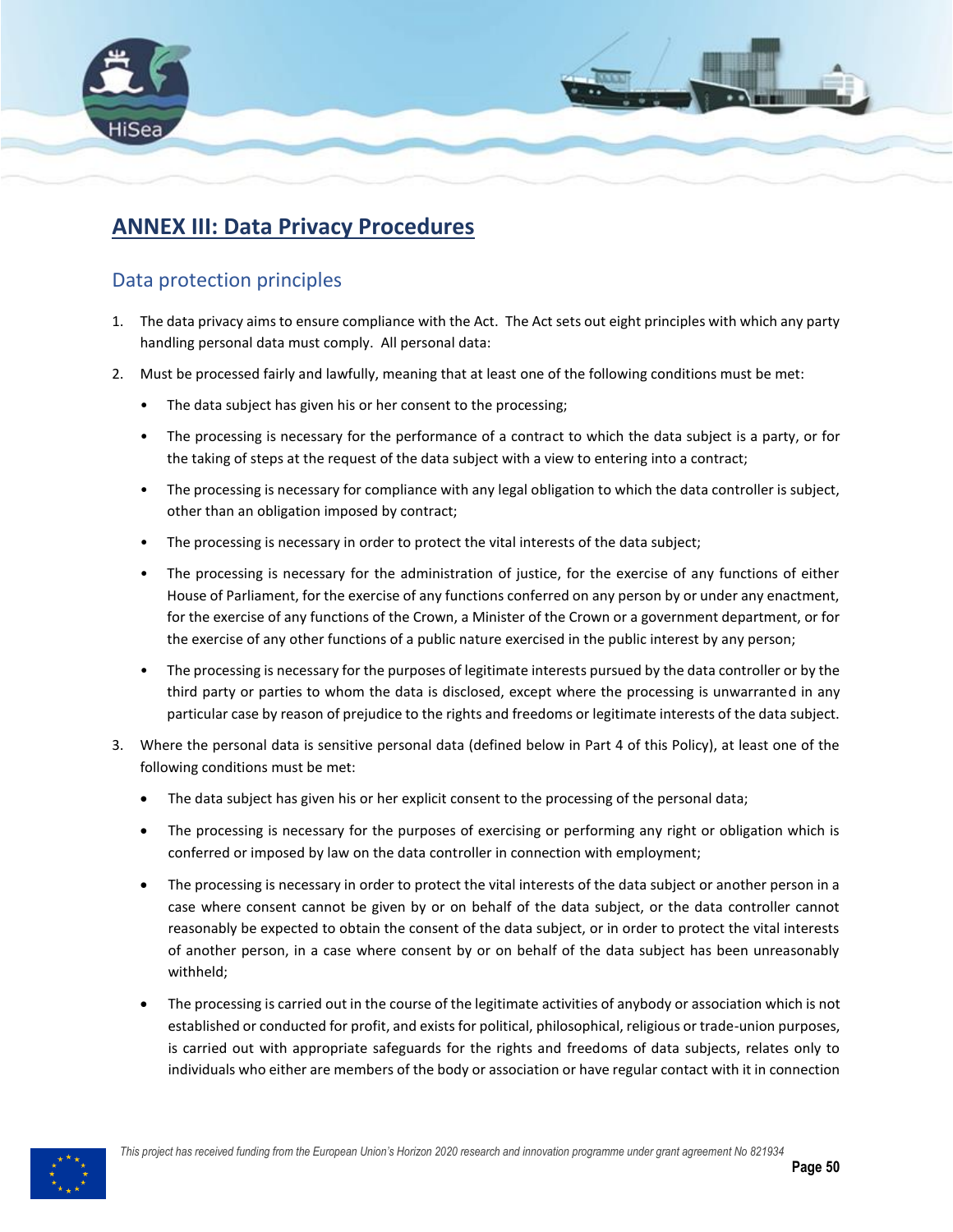

# <span id="page-49-0"></span>**ANNEX III: Data Privacy Procedures**

# <span id="page-49-1"></span>Data protection principles

- 1. The data privacy aims to ensure compliance with the Act. The Act sets out eight principles with which any party handling personal data must comply. All personal data:
- 2. Must be processed fairly and lawfully, meaning that at least one of the following conditions must be met:
	- The data subject has given his or her consent to the processing;
	- The processing is necessary for the performance of a contract to which the data subject is a party, or for the taking of steps at the request of the data subject with a view to entering into a contract;
	- The processing is necessary for compliance with any legal obligation to which the data controller is subject, other than an obligation imposed by contract;
	- The processing is necessary in order to protect the vital interests of the data subject;
	- The processing is necessary for the administration of justice, for the exercise of any functions of either House of Parliament, for the exercise of any functions conferred on any person by or under any enactment, for the exercise of any functions of the Crown, a Minister of the Crown or a government department, or for the exercise of any other functions of a public nature exercised in the public interest by any person;
	- The processing is necessary for the purposes of legitimate interests pursued by the data controller or by the third party or parties to whom the data is disclosed, except where the processing is unwarranted in any particular case by reason of prejudice to the rights and freedoms or legitimate interests of the data subject.
- 3. Where the personal data is sensitive personal data (defined below in Part 4 of this Policy), at least one of the following conditions must be met:
	- The data subject has given his or her explicit consent to the processing of the personal data;
	- The processing is necessary for the purposes of exercising or performing any right or obligation which is conferred or imposed by law on the data controller in connection with employment;
	- The processing is necessary in order to protect the vital interests of the data subject or another person in a case where consent cannot be given by or on behalf of the data subject, or the data controller cannot reasonably be expected to obtain the consent of the data subject, or in order to protect the vital interests of another person, in a case where consent by or on behalf of the data subject has been unreasonably withheld;
	- The processing is carried out in the course of the legitimate activities of anybody or association which is not established or conducted for profit, and exists for political, philosophical, religious or trade-union purposes, is carried out with appropriate safeguards for the rights and freedoms of data subjects, relates only to individuals who either are members of the body or association or have regular contact with it in connection

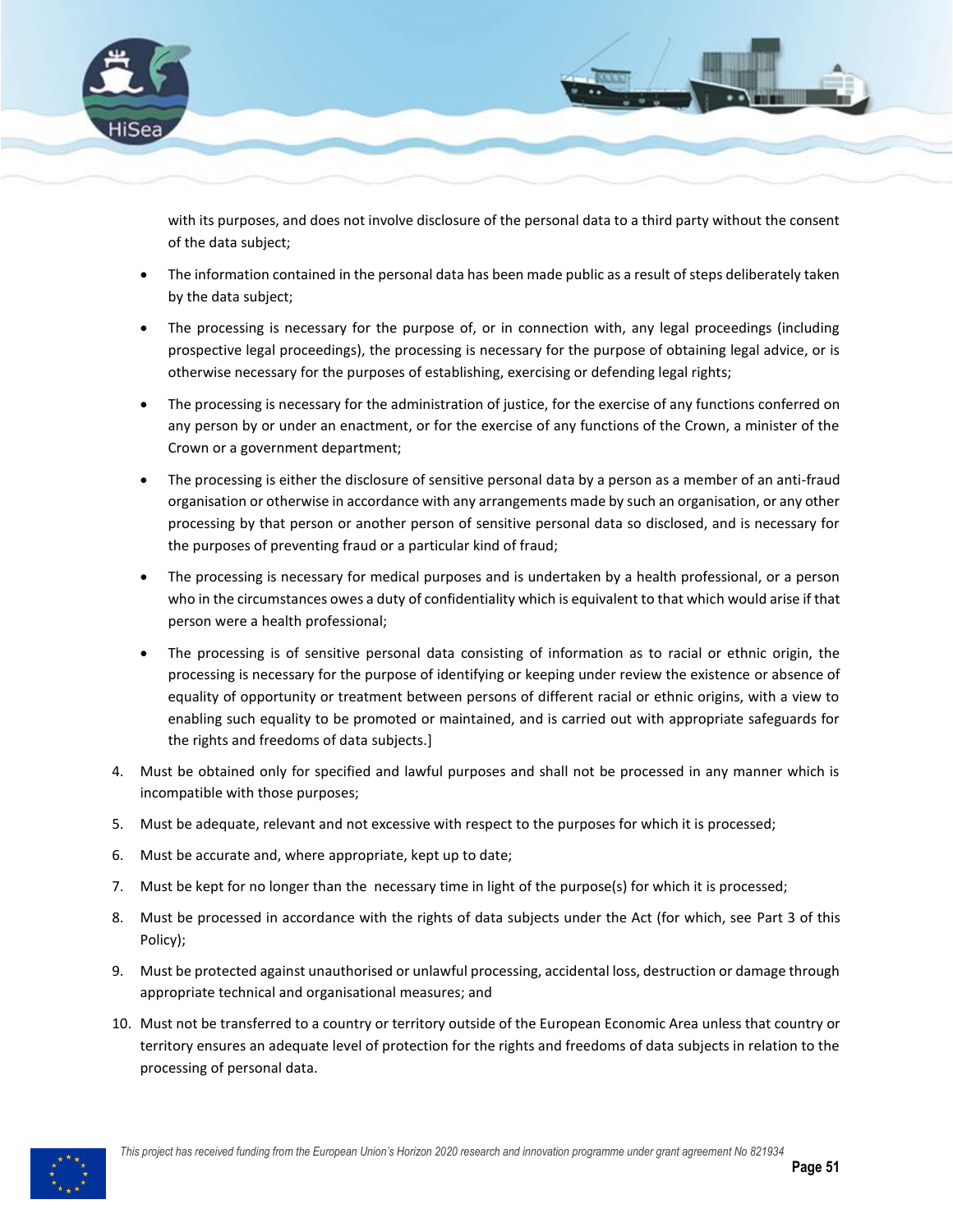

with its purposes, and does not involve disclosure of the personal data to a third party without the consent of the data subject;

- The information contained in the personal data has been made public as a result of steps deliberately taken by the data subject;
- The processing is necessary for the purpose of, or in connection with, any legal proceedings (including prospective legal proceedings), the processing is necessary for the purpose of obtaining legal advice, or is otherwise necessary for the purposes of establishing, exercising or defending legal rights;
- The processing is necessary for the administration of justice, for the exercise of any functions conferred on any person by or under an enactment, or for the exercise of any functions of the Crown, a minister of the Crown or a government department;
- The processing is either the disclosure of sensitive personal data by a person as a member of an anti-fraud organisation or otherwise in accordance with any arrangements made by such an organisation, or any other processing by that person or another person of sensitive personal data so disclosed, and is necessary for the purposes of preventing fraud or a particular kind of fraud;
- The processing is necessary for medical purposes and is undertaken by a health professional, or a person who in the circumstances owes a duty of confidentiality which is equivalent to that which would arise if that person were a health professional;
- The processing is of sensitive personal data consisting of information as to racial or ethnic origin, the processing is necessary for the purpose of identifying or keeping under review the existence or absence of equality of opportunity or treatment between persons of different racial or ethnic origins, with a view to enabling such equality to be promoted or maintained, and is carried out with appropriate safeguards for the rights and freedoms of data subjects.]
- 4. Must be obtained only for specified and lawful purposes and shall not be processed in any manner which is incompatible with those purposes;
- 5. Must be adequate, relevant and not excessive with respect to the purposes for which it is processed;
- 6. Must be accurate and, where appropriate, kept up to date;
- 7. Must be kept for no longer than the necessary time in light of the purpose(s) for which it is processed;
- 8. Must be processed in accordance with the rights of data subjects under the Act (for which, see Part 3 of this Policy);
- 9. Must be protected against unauthorised or unlawful processing, accidental loss, destruction or damage through appropriate technical and organisational measures; and
- 10. Must not be transferred to a country or territory outside of the European Economic Area unless that country or territory ensures an adequate level of protection for the rights and freedoms of data subjects in relation to the processing of personal data.

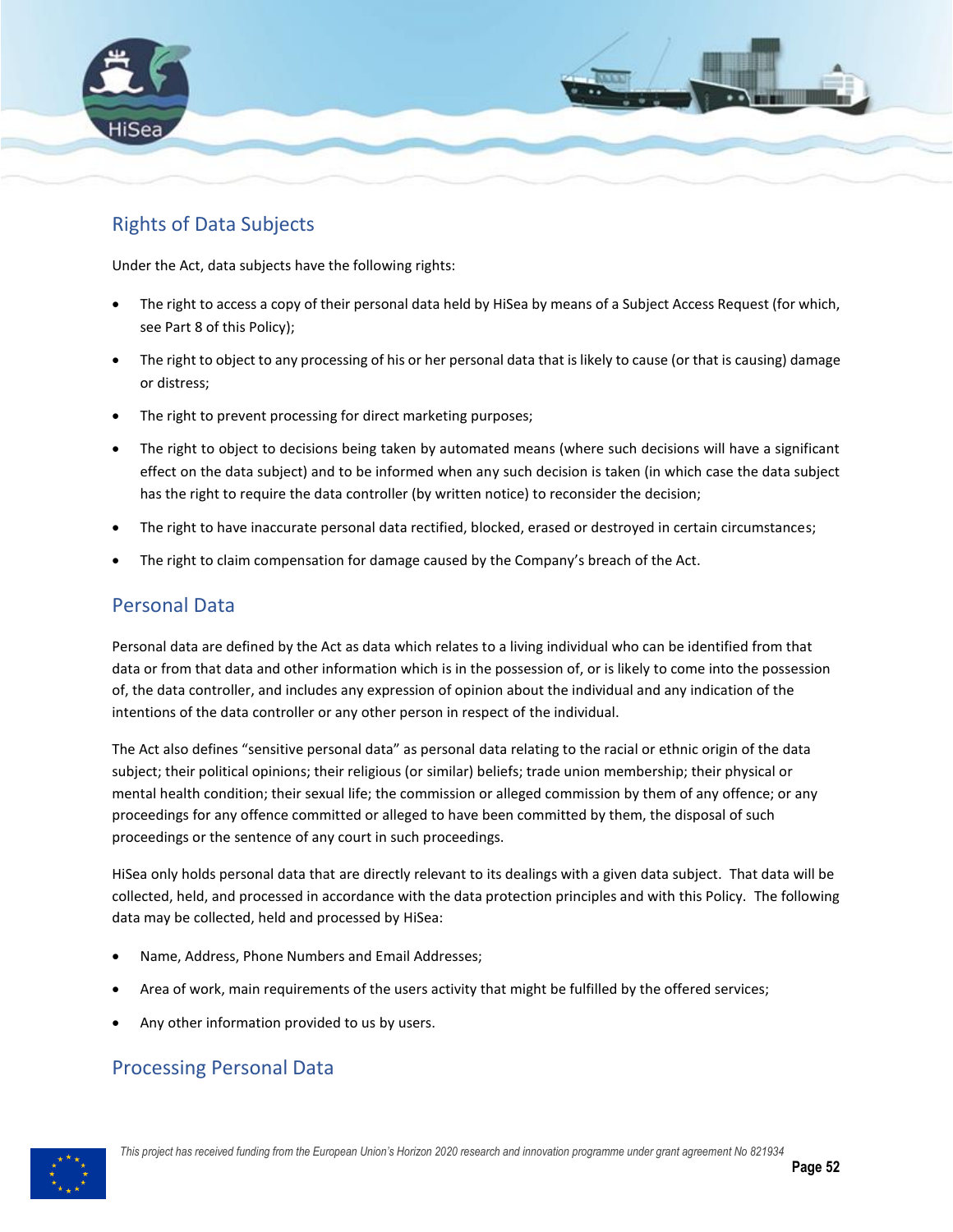

# <span id="page-51-0"></span>Rights of Data Subjects

Under the Act, data subjects have the following rights:

- The right to access a copy of their personal data held by HiSea by means of a Subject Access Request (for which, see Part 8 of this Policy);
- The right to object to any processing of his or her personal data that is likely to cause (or that is causing) damage or distress;
- The right to prevent processing for direct marketing purposes;
- The right to object to decisions being taken by automated means (where such decisions will have a significant effect on the data subject) and to be informed when any such decision is taken (in which case the data subject has the right to require the data controller (by written notice) to reconsider the decision;
- The right to have inaccurate personal data rectified, blocked, erased or destroyed in certain circumstances;
- The right to claim compensation for damage caused by the Company's breach of the Act.

### <span id="page-51-1"></span>Personal Data

Personal data are defined by the Act as data which relates to a living individual who can be identified from that data or from that data and other information which is in the possession of, or is likely to come into the possession of, the data controller, and includes any expression of opinion about the individual and any indication of the intentions of the data controller or any other person in respect of the individual.

The Act also defines "sensitive personal data" as personal data relating to the racial or ethnic origin of the data subject; their political opinions; their religious (or similar) beliefs; trade union membership; their physical or mental health condition; their sexual life; the commission or alleged commission by them of any offence; or any proceedings for any offence committed or alleged to have been committed by them, the disposal of such proceedings or the sentence of any court in such proceedings.

HiSea only holds personal data that are directly relevant to its dealings with a given data subject. That data will be collected, held, and processed in accordance with the data protection principles and with this Policy. The following data may be collected, held and processed by HiSea:

- Name, Address, Phone Numbers and Email Addresses;
- Area of work, main requirements of the users activity that might be fulfilled by the offered services;
- Any other information provided to us by users.

### <span id="page-51-2"></span>Processing Personal Data

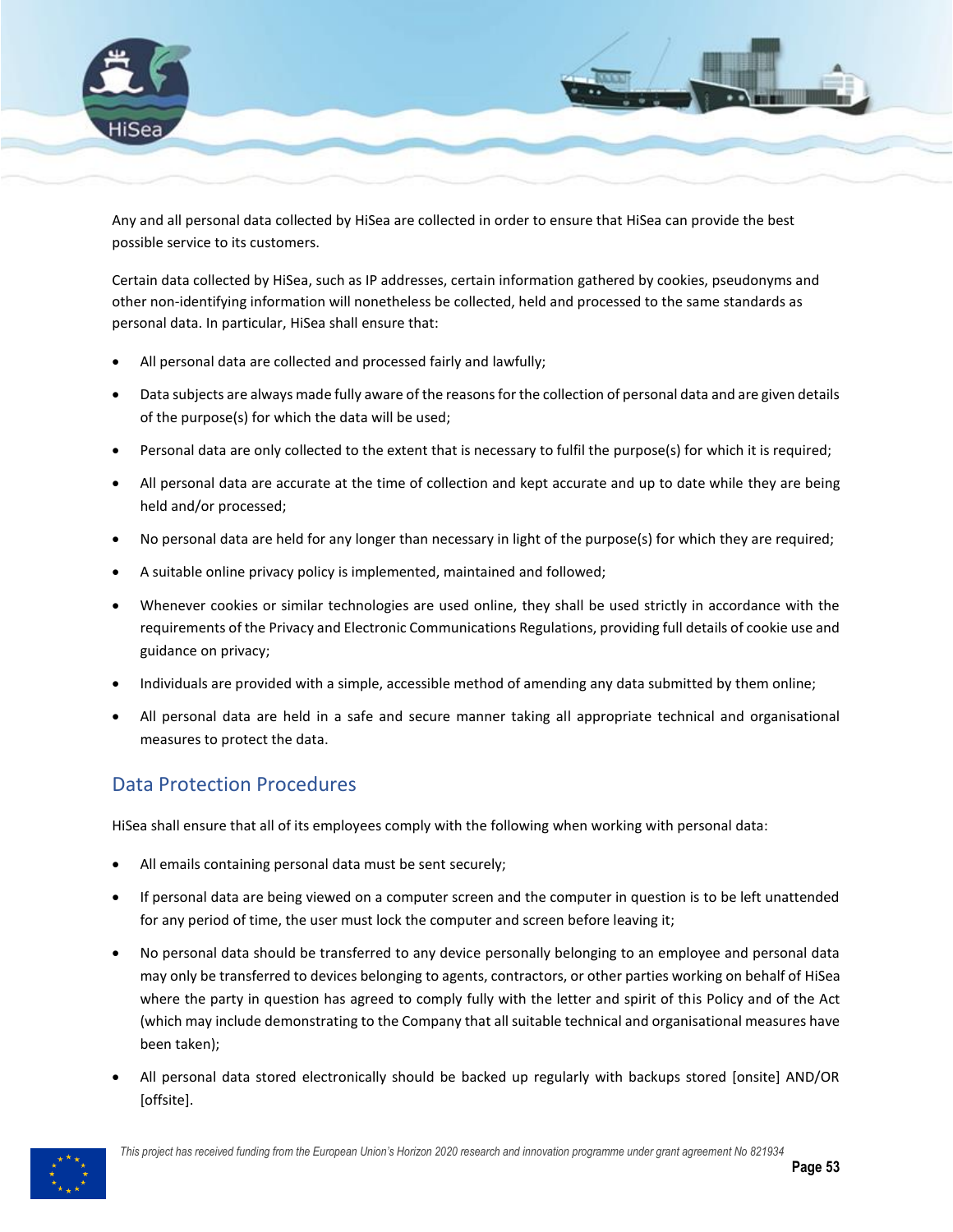

Any and all personal data collected by HiSea are collected in order to ensure that HiSea can provide the best possible service to its customers.

Certain data collected by HiSea, such as IP addresses, certain information gathered by cookies, pseudonyms and other non-identifying information will nonetheless be collected, held and processed to the same standards as personal data. In particular, HiSea shall ensure that:

- All personal data are collected and processed fairly and lawfully;
- Data subjects are always made fully aware of the reasons for the collection of personal data and are given details of the purpose(s) for which the data will be used;
- Personal data are only collected to the extent that is necessary to fulfil the purpose(s) for which it is required;
- All personal data are accurate at the time of collection and kept accurate and up to date while they are being held and/or processed;
- No personal data are held for any longer than necessary in light of the purpose(s) for which they are required;
- A suitable online privacy policy is implemented, maintained and followed;
- Whenever cookies or similar technologies are used online, they shall be used strictly in accordance with the requirements of the Privacy and Electronic Communications Regulations, providing full details of cookie use and guidance on privacy;
- Individuals are provided with a simple, accessible method of amending any data submitted by them online;
- All personal data are held in a safe and secure manner taking all appropriate technical and organisational measures to protect the data.

# <span id="page-52-0"></span>Data Protection Procedures

HiSea shall ensure that all of its employees comply with the following when working with personal data:

- All emails containing personal data must be sent securely;
- If personal data are being viewed on a computer screen and the computer in question is to be left unattended for any period of time, the user must lock the computer and screen before leaving it;
- No personal data should be transferred to any device personally belonging to an employee and personal data may only be transferred to devices belonging to agents, contractors, or other parties working on behalf of HiSea where the party in question has agreed to comply fully with the letter and spirit of this Policy and of the Act (which may include demonstrating to the Company that all suitable technical and organisational measures have been taken);
- All personal data stored electronically should be backed up regularly with backups stored [onsite] AND/OR [offsite].